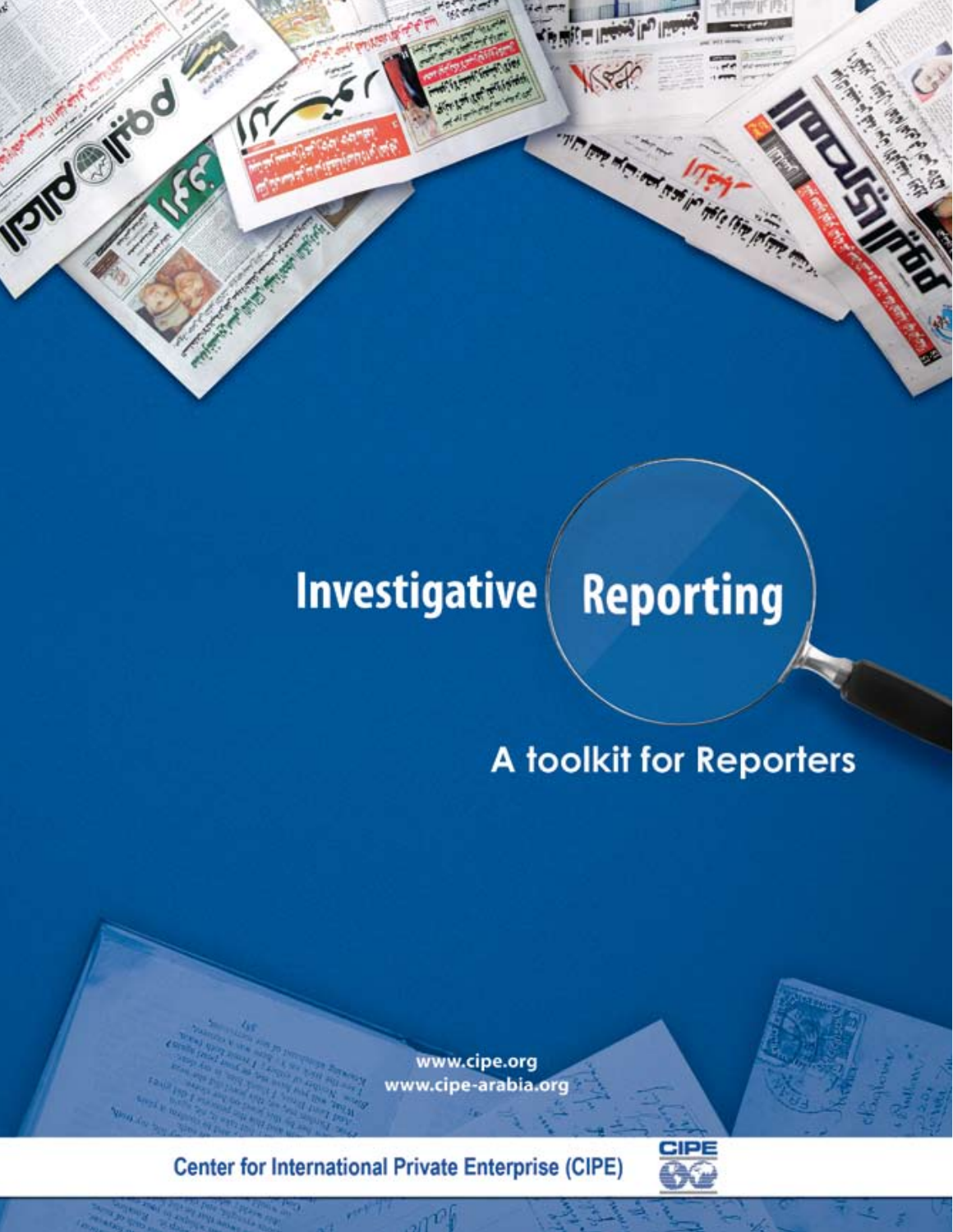## **Investigative Reporting**

# A toolkit for Reporters

AT SIM ON THE PORT OF THE CALL

www.cipe.org www.cipe-arabia.org

**Center for International Private Enterprise (CIPE)** 

Isnderitod

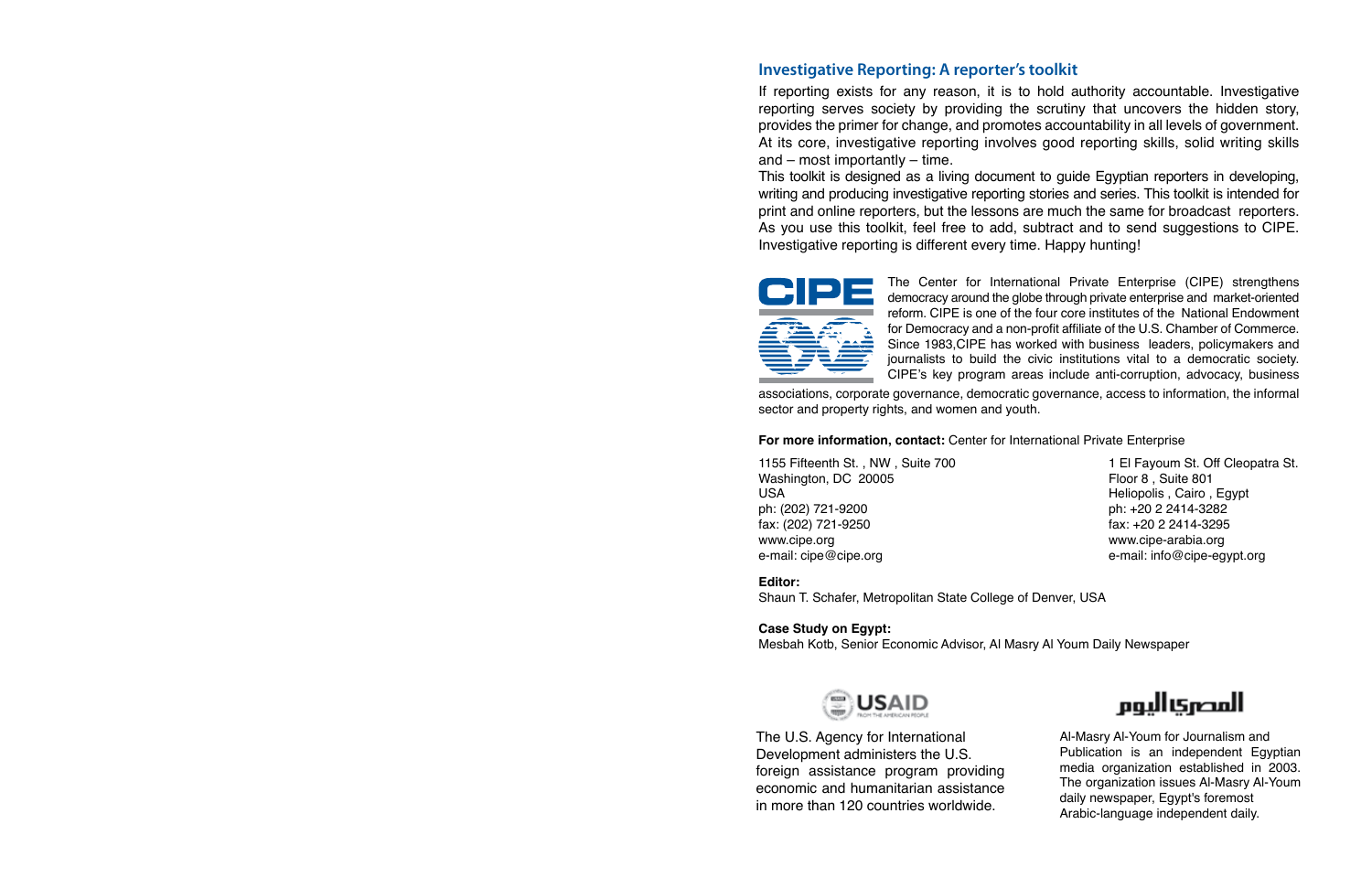#### **Investigative Reporting: A reporter's toolkit**

If reporting exists for any reason, it is to hold authority accountable. Investigative reporting serves society by providing the scrutiny that uncovers the hidden story, provides the primer for change, and promotes accountability in all levels of government. At its core, investigative reporting involves good reporting skills, solid writing skills and – most importantly – time.

This toolkit is designed as a living document to guide Egyptian reporters in developing, writing and producing investigative reporting stories and series. This toolkit is intended for print and online reporters, but the lessons are much the same for broadcast reporters. As you use this toolkit, feel free to add, subtract and to send suggestions to CIPE. Investigative reporting is different every time. Happy hunting!



The Center for International Private Enterprise (CIPE) strengthens democracy around the globe through private enterprise and market-oriented reform. CIPE is one of the four core institutes of the National Endowment for Democracy and a non-profit affiliate of the U.S. Chamber of Commerce. Since 1983,CIPE has worked with business leaders, policymakers and journalists to build the civic institutions vital to a democratic society. CIPE's key program areas include anti-corruption, advocacy, business

associations, corporate governance, democratic governance, access to information, the informal sector and property rights, and women and youth.

#### **For more information, contact:** Center for International Private Enterprise

1155 Fifteenth St. , NW , Suite 700 Washington, DC 20005 USA ph: (202) 721-9200 fax: (202) 721-9250 www.cipe.org e-mail: cipe@cipe.org

1 El Fayoum St. Off Cleopatra St. Floor 8 , Suite 801 Heliopolis , Cairo , Egypt ph: +20 2 2414-3282 fax: +20 2 2414-3295 www.cipe-arabia.org e-mail: info@cipe-egypt.org

#### **Editor:**

Shaun T. Schafer, Metropolitan State College of Denver, USA

**Case Study on Egypt:** Mesbah Kotb, Senior Economic Advisor, Al Masry Al Youm Daily Newspaper



The U.S. Agency for International Development administers the U.S. foreign assistance program providing economic and humanitarian assistance in more than 120 countries worldwide.



Al-Masry Al-Youm for Journalism and Publication is an independent Egyptian media organization established in 2003. The organization issues Al-Masry Al-Youm daily newspaper, Egypt's foremost Arabic-language independent daily.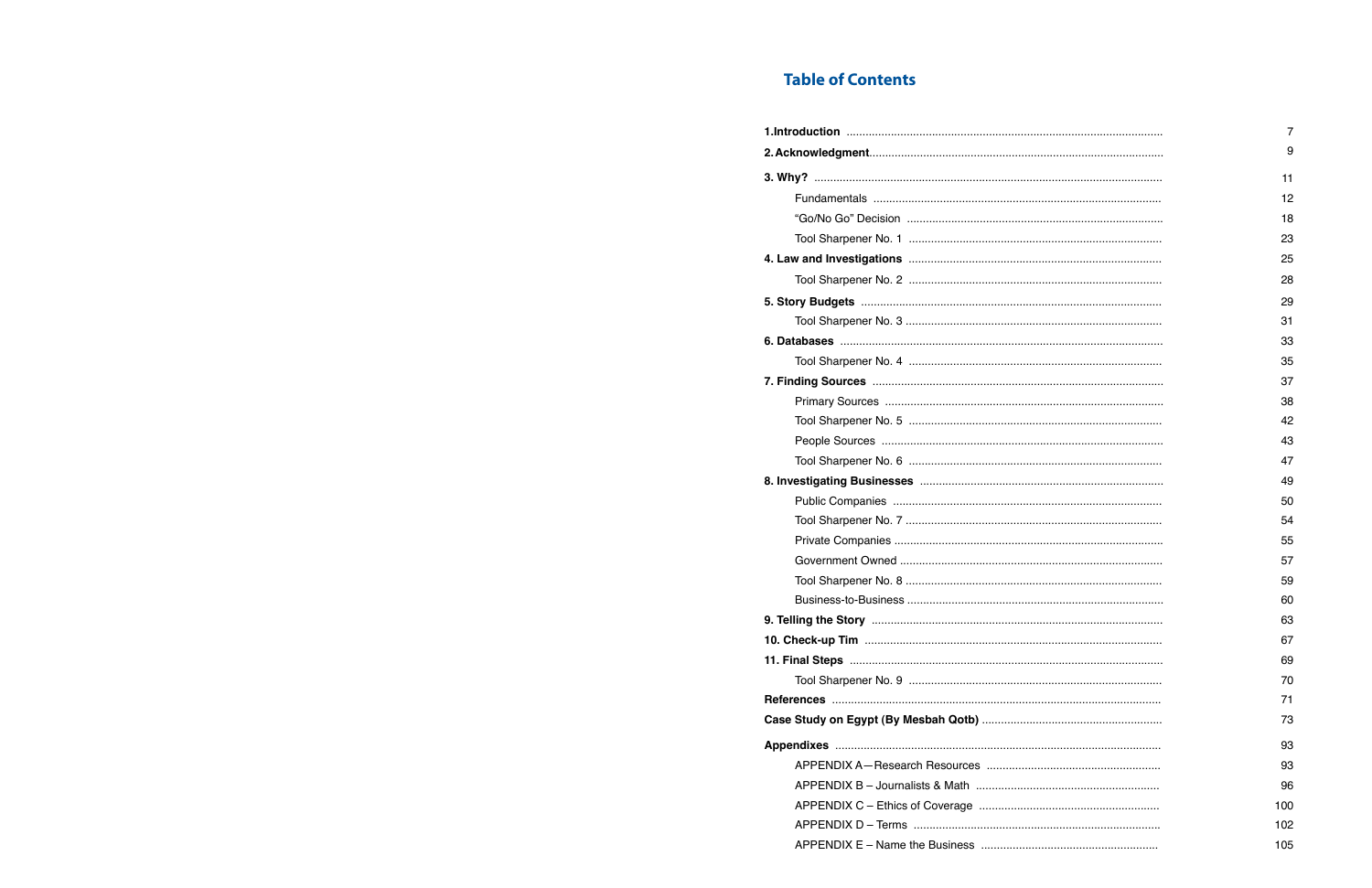## **Table of Contents**

| 7   |
|-----|
| 9   |
| 11  |
| 12  |
| 18  |
| 23  |
| 25  |
| 28  |
| 29  |
| 31  |
| 33  |
| 35  |
| 37  |
| 38  |
| 42  |
| 43  |
| 47  |
| 49  |
| 50  |
| 54  |
| 55  |
| 57  |
| 59  |
| 60  |
| 63  |
| 67  |
| 69  |
| 70  |
| 71  |
| 73  |
| 93  |
| 93  |
| 96  |
| 100 |
| 102 |
| 105 |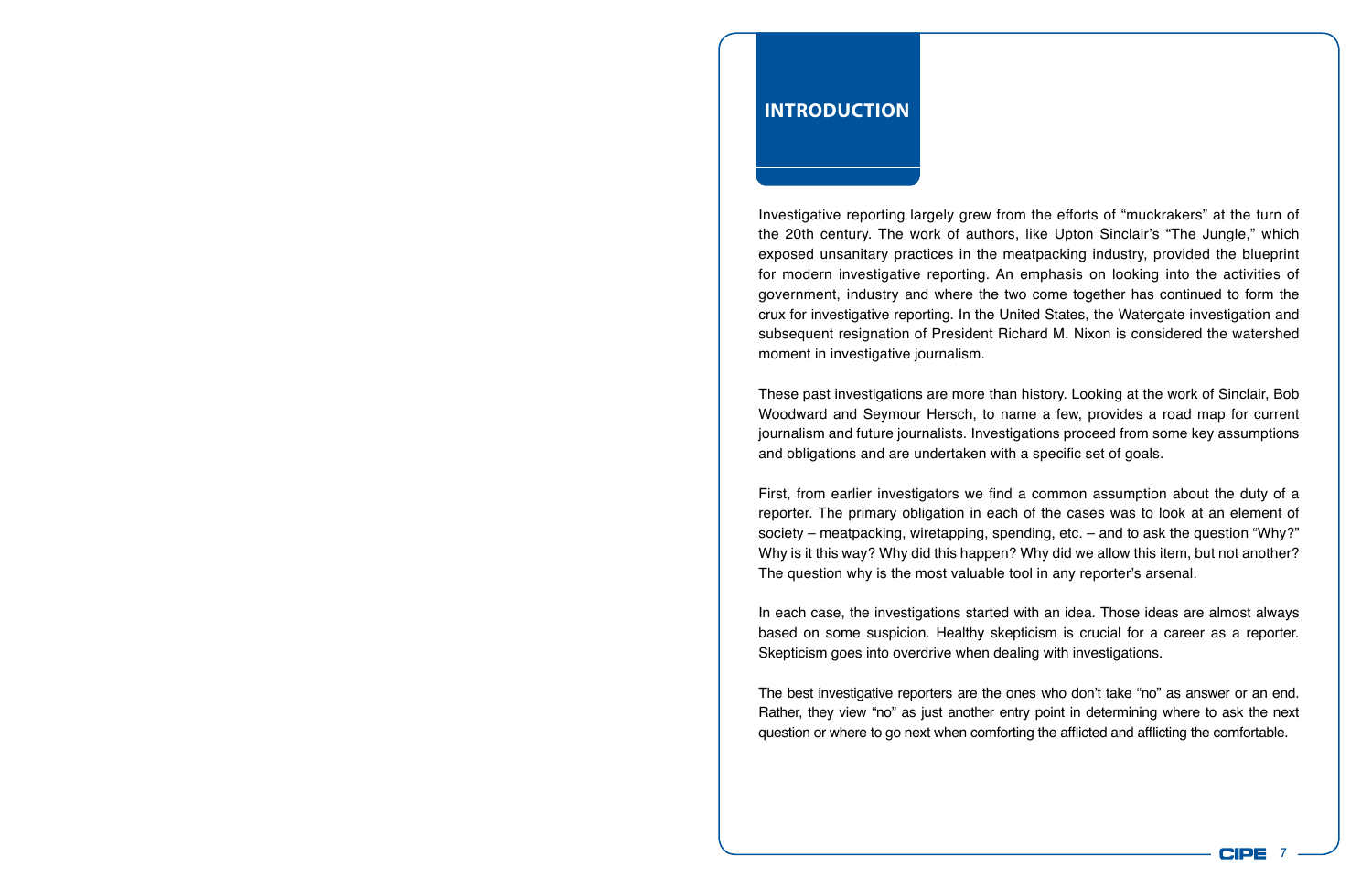## **Introduction**

Investigative reporting largely grew from the efforts of "muckrakers" at the turn of the 20th century. The work of authors, like Upton Sinclair's "The Jungle," which exposed unsanitary practices in the meatpacking industry, provided the blueprint for modern investigative reporting. An emphasis on looking into the activities of government, industry and where the two come together has continued to form the crux for investigative reporting. In the United States, the Watergate investigation and subsequent resignation of President Richard M. Nixon is considered the watershed moment in investigative journalism.

These past investigations are more than history. Looking at the work of Sinclair, Bob Woodward and Seymour Hersch, to name a few, provides a road map for current journalism and future journalists. Investigations proceed from some key assumptions and obligations and are undertaken with a specific set of goals.

First, from earlier investigators we find a common assumption about the duty of a reporter. The primary obligation in each of the cases was to look at an element of society – meatpacking, wiretapping, spending, etc. – and to ask the question "Why?" Why is it this way? Why did this happen? Why did we allow this item, but not another? The question why is the most valuable tool in any reporter's arsenal.

In each case, the investigations started with an idea. Those ideas are almost always based on some suspicion. Healthy skepticism is crucial for a career as a reporter. Skepticism goes into overdrive when dealing with investigations.

The best investigative reporters are the ones who don't take "no" as answer or an end. Rather, they view "no" as just another entry point in determining where to ask the next question or where to go next when comforting the afflicted and afflicting the comfortable.

7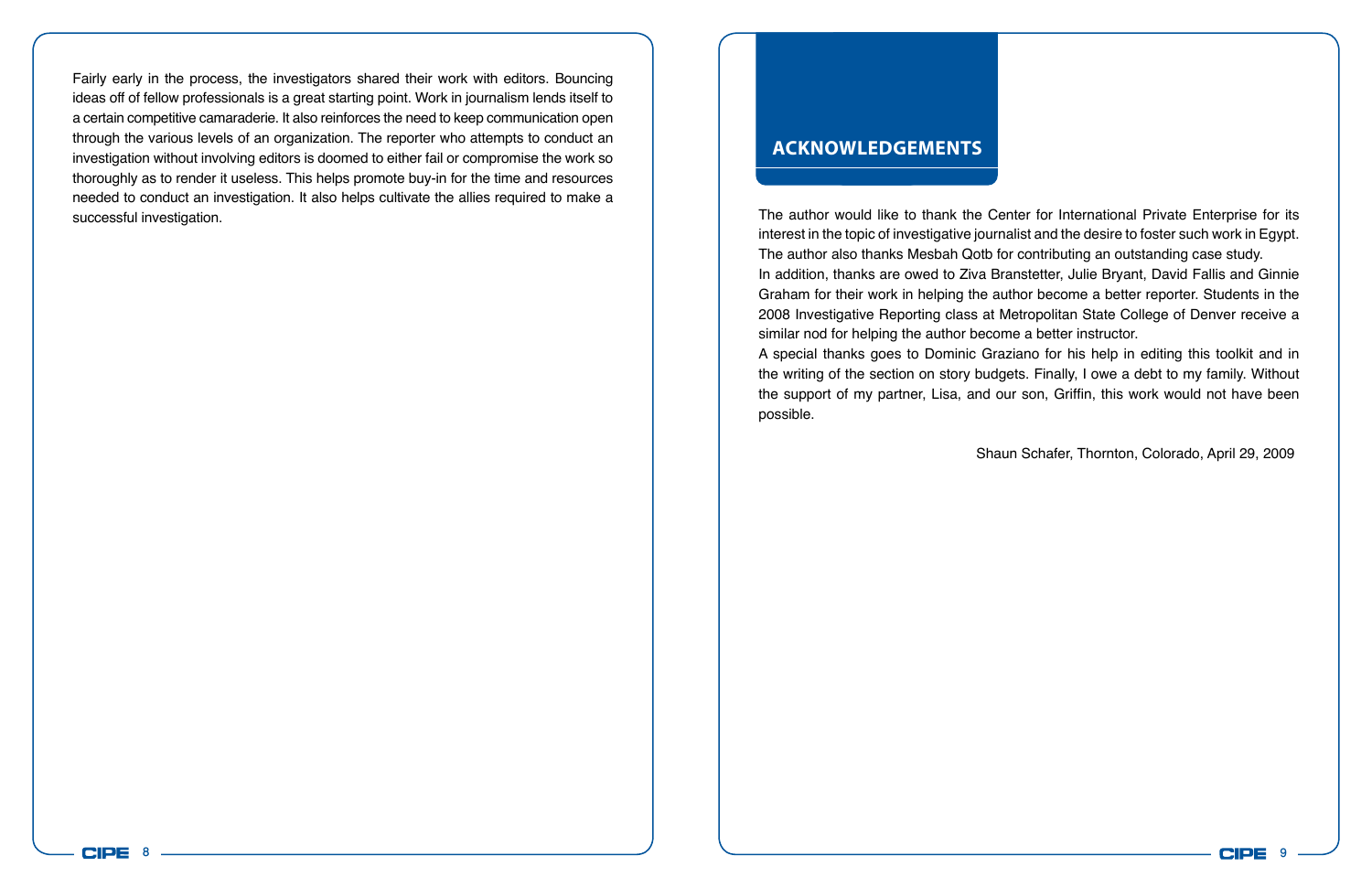Fairly early in the process, the investigators shared their work with editors. Bouncing ideas off of fellow professionals is a great starting point. Work in journalism lends itself to a certain competitive camaraderie. It also reinforces the need to keep communication open through the various levels of an organization. The reporter who attempts to conduct an investigation without involving editors is doomed to either fail or compromise the work so thoroughly as to render it useless. This helps promote buy-in for the time and resources needed to conduct an investigation. It also helps cultivate the allies required to make a successful investigation.

## **Acknowledgements**

possible.

The author would like to thank the Center for International Private Enterprise for its interest in the topic of investigative journalist and the desire to foster such work in Egypt. The author also thanks Mesbah Qotb for contributing an outstanding case study. In addition, thanks are owed to Ziva Branstetter, Julie Bryant, David Fallis and Ginnie Graham for their work in helping the author become a better reporter. Students in the 2008 Investigative Reporting class at Metropolitan State College of Denver receive a

similar nod for helping the author become a better instructor. A special thanks goes to Dominic Graziano for his help in editing this toolkit and in the writing of the section on story budgets. Finally, I owe a debt to my family. Without the support of my partner, Lisa, and our son, Griffin, this work would not have been

Shaun Schafer, Thornton, Colorado, April 29, 2009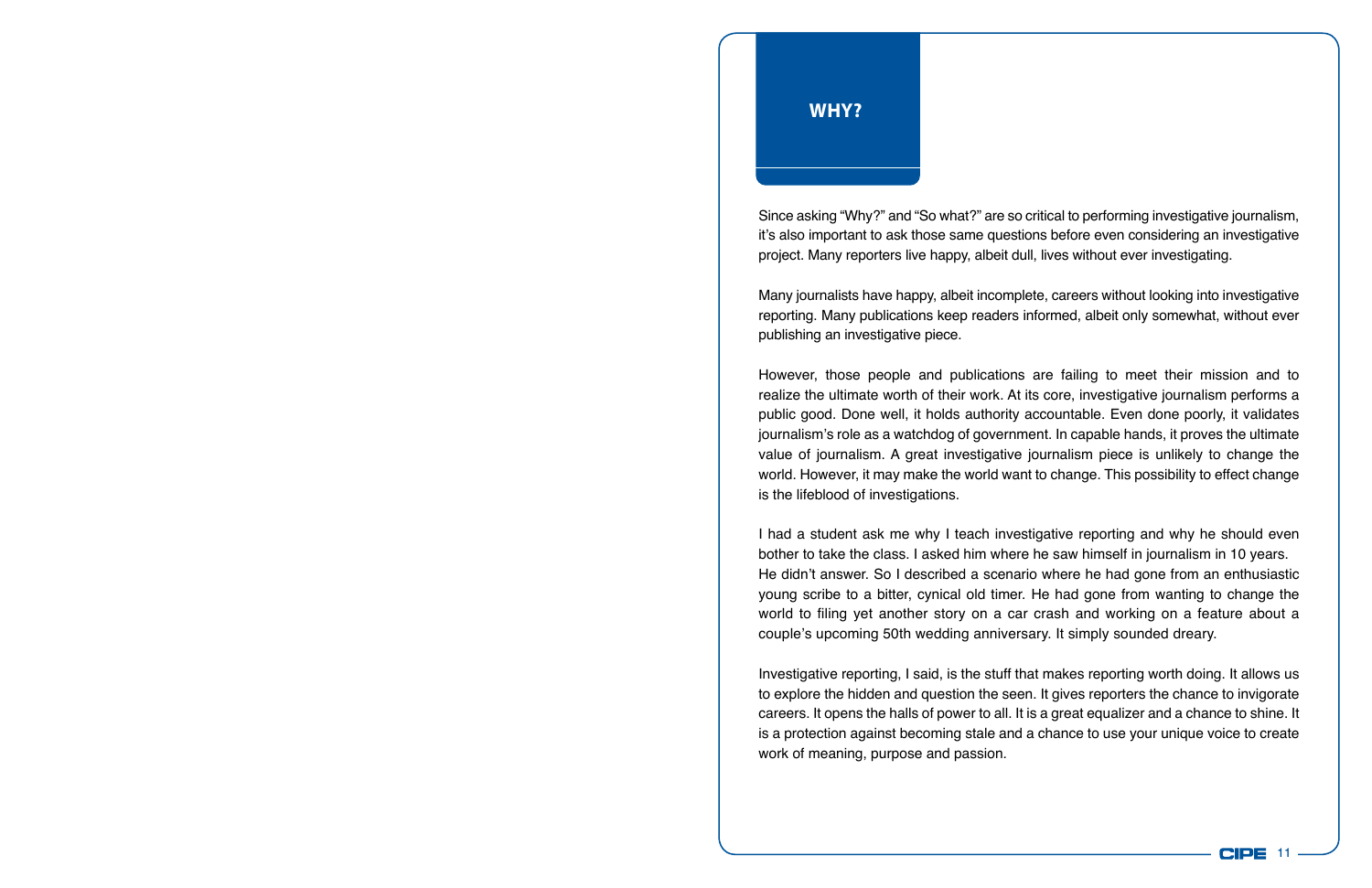Since asking "Why?" and "So what?" are so critical to performing investigative journalism, it's also important to ask those same questions before even considering an investigative project. Many reporters live happy, albeit dull, lives without ever investigating.

Many journalists have happy, albeit incomplete, careers without looking into investigative reporting. Many publications keep readers informed, albeit only somewhat, without ever publishing an investigative piece.

However, those people and publications are failing to meet their mission and to realize the ultimate worth of their work. At its core, investigative journalism performs a public good. Done well, it holds authority accountable. Even done poorly, it validates journalism's role as a watchdog of government. In capable hands, it proves the ultimate value of journalism. A great investigative journalism piece is unlikely to change the world. However, it may make the world want to change. This possibility to effect change is the lifeblood of investigations.

I had a student ask me why I teach investigative reporting and why he should even bother to take the class. I asked him where he saw himself in journalism in 10 years. He didn't answer. So I described a scenario where he had gone from an enthusiastic young scribe to a bitter, cynical old timer. He had gone from wanting to change the world to filing yet another story on a car crash and working on a feature about a couple's upcoming 50th wedding anniversary. It simply sounded dreary.

Investigative reporting, I said, is the stuff that makes reporting worth doing. It allows us to explore the hidden and question the seen. It gives reporters the chance to invigorate careers. It opens the halls of power to all. It is a great equalizer and a chance to shine. It is a protection against becoming stale and a chance to use your unique voice to create work of meaning, purpose and passion.

> CIPE 11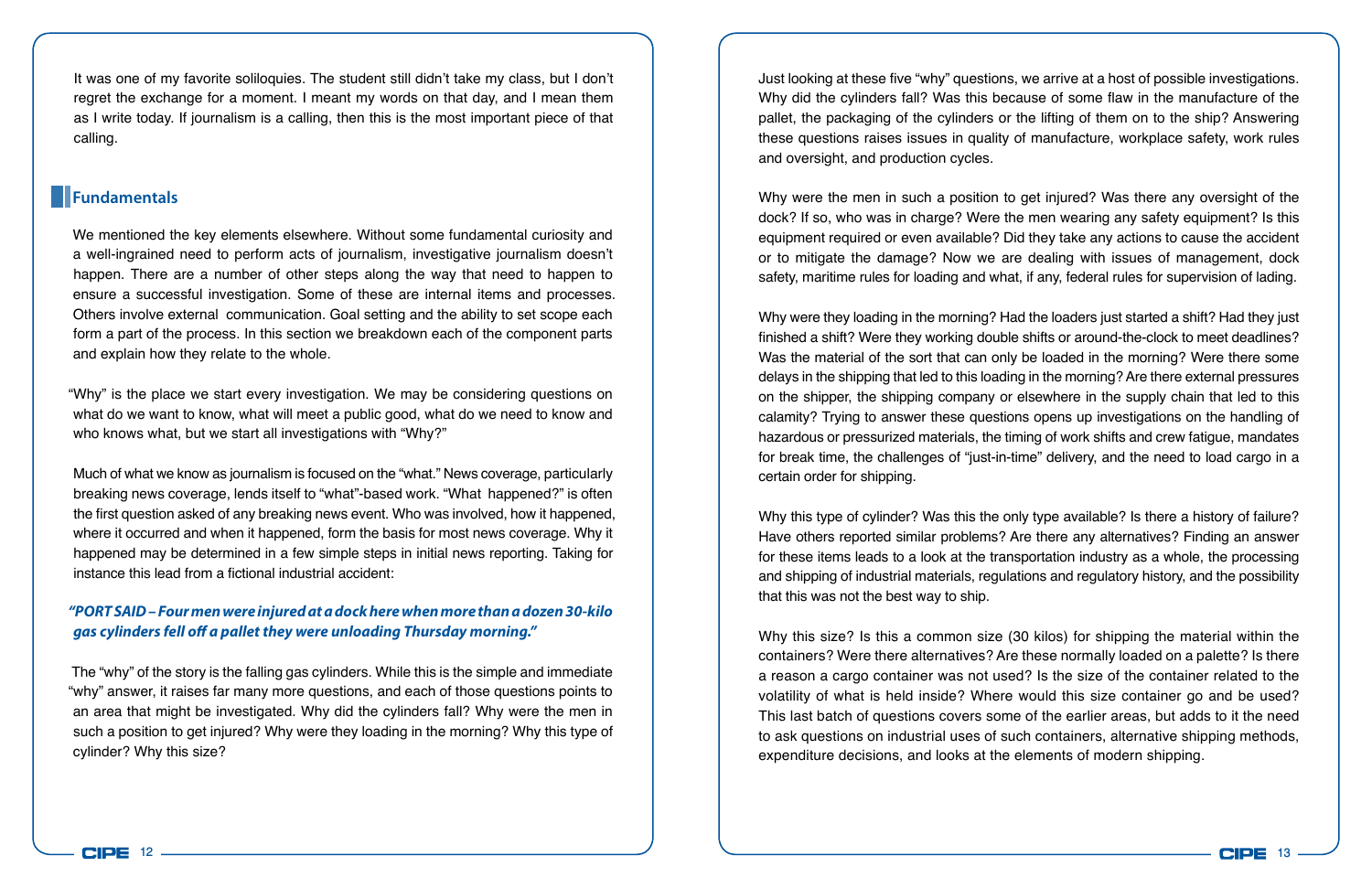It was one of my favorite soliloquies. The student still didn't take my class, but I don't regret the exchange for a moment. I meant my words on that day, and I mean them as I write today. If journalism is a calling, then this is the most important piece of that calling.

#### **Fundamentals**

We mentioned the key elements elsewhere. Without some fundamental curiosity and a well-ingrained need to perform acts of journalism, investigative journalism doesn't happen. There are a number of other steps along the way that need to happen to ensure a successful investigation. Some of these are internal items and processes. Others involve external communication. Goal setting and the ability to set scope each form a part of the process. In this section we breakdown each of the component parts and explain how they relate to the whole.

"Why" is the place we start every investigation. We may be considering questions on what do we want to know, what will meet a public good, what do we need to know and who knows what, but we start all investigations with "Why?"

Much of what we know as journalism is focused on the "what." News coverage, particularly breaking news coverage, lends itself to "what"-based work. "What happened?" is often the first question asked of any breaking news event. Who was involved, how it happened, where it occurred and when it happened, form the basis for most news coverage. Why it happened may be determined in a few simple steps in initial news reporting. Taking for instance this lead from a fictional industrial accident:

#### *"PORT SAID – Four men were injured at a dock here when more than a dozen 30-kilo gas cylinders fell off a pallet they were unloading Thursday morning."*

The "why" of the story is the falling gas cylinders. While this is the simple and immediate "why" answer, it raises far many more questions, and each of those questions points to an area that might be investigated. Why did the cylinders fall? Why were the men in such a position to get injured? Why were they loading in the morning? Why this type of cylinder? Why this size?

Just looking at these five "why" questions, we arrive at a host of possible investigations. Why did the cylinders fall? Was this because of some flaw in the manufacture of the pallet, the packaging of the cylinders or the lifting of them on to the ship? Answering these questions raises issues in quality of manufacture, workplace safety, work rules and oversight, and production cycles.

Why were the men in such a position to get injured? Was there any oversight of the dock? If so, who was in charge? Were the men wearing any safety equipment? Is this equipment required or even available? Did they take any actions to cause the accident or to mitigate the damage? Now we are dealing with issues of management, dock safety, maritime rules for loading and what, if any, federal rules for supervision of lading.

Why were they loading in the morning? Had the loaders just started a shift? Had they just finished a shift? Were they working double shifts or around-the-clock to meet deadlines? Was the material of the sort that can only be loaded in the morning? Were there some delays in the shipping that led to this loading in the morning? Are there external pressures on the shipper, the shipping company or elsewhere in the supply chain that led to this calamity? Trying to answer these questions opens up investigations on the handling of hazardous or pressurized materials, the timing of work shifts and crew fatigue, mandates for break time, the challenges of "just-in-time" delivery, and the need to load cargo in a certain order for shipping.

Why this type of cylinder? Was this the only type available? Is there a history of failure? Have others reported similar problems? Are there any alternatives? Finding an answer for these items leads to a look at the transportation industry as a whole, the processing and shipping of industrial materials, regulations and regulatory history, and the possibility that this was not the best way to ship.

Why this size? Is this a common size (30 kilos) for shipping the material within the containers? Were there alternatives? Are these normally loaded on a palette? Is there a reason a cargo container was not used? Is the size of the container related to the volatility of what is held inside? Where would this size container go and be used? This last batch of questions covers some of the earlier areas, but adds to it the need to ask questions on industrial uses of such containers, alternative shipping methods, expenditure decisions, and looks at the elements of modern shipping.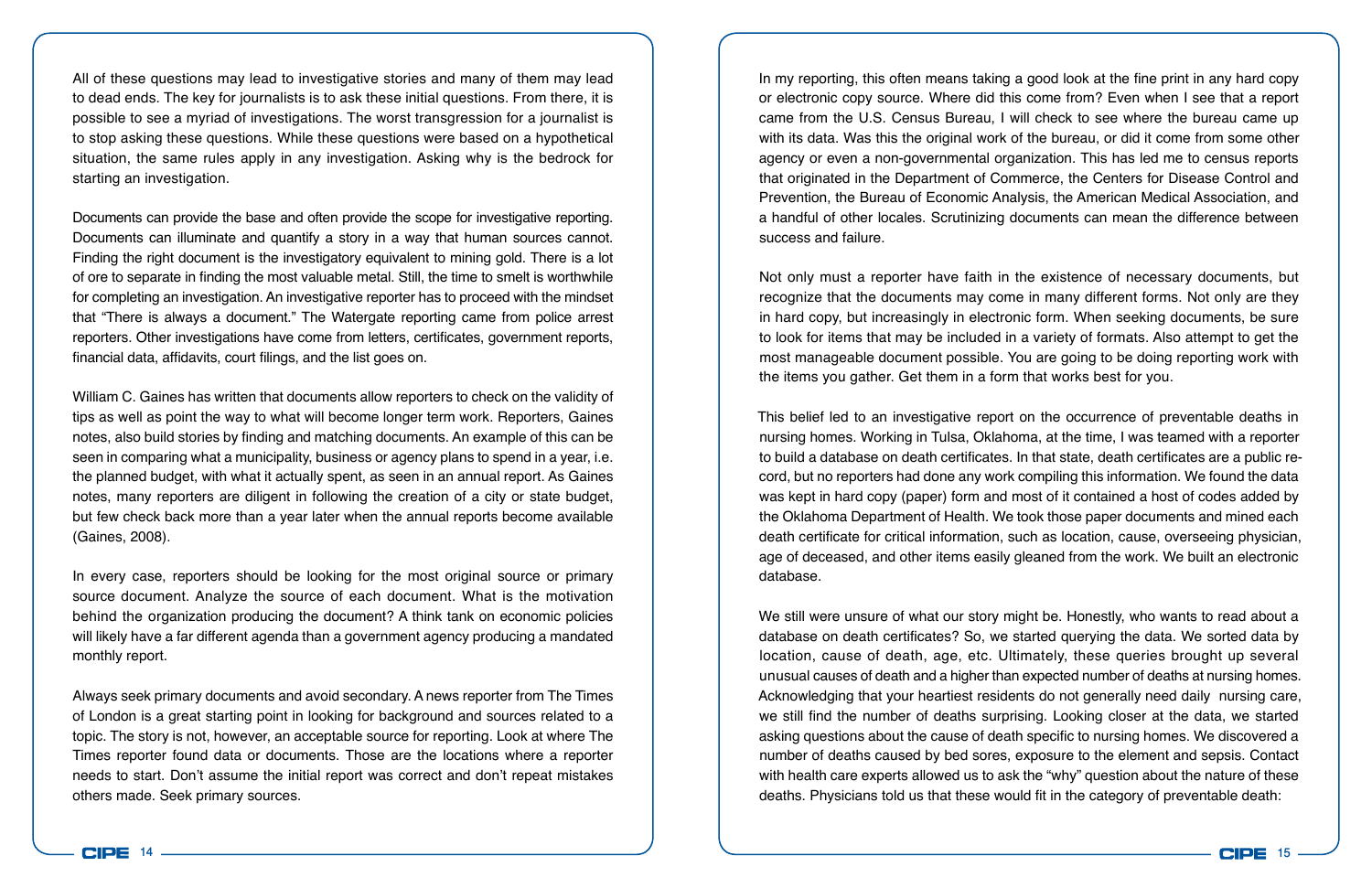All of these questions may lead to investigative stories and many of them may lead to dead ends. The key for journalists is to ask these initial questions. From there, it is possible to see a myriad of investigations. The worst transgression for a journalist is to stop asking these questions. While these questions were based on a hypothetical situation, the same rules apply in any investigation. Asking why is the bedrock for starting an investigation.

Documents can provide the base and often provide the scope for investigative reporting. Documents can illuminate and quantify a story in a way that human sources cannot. Finding the right document is the investigatory equivalent to mining gold. There is a lot of ore to separate in finding the most valuable metal. Still, the time to smelt is worthwhile for completing an investigation. An investigative reporter has to proceed with the mindset that "There is always a document." The Watergate reporting came from police arrest reporters. Other investigations have come from letters, certificates, government reports, financial data, affidavits, court filings, and the list goes on.

William C. Gaines has written that documents allow reporters to check on the validity of tips as well as point the way to what will become longer term work. Reporters, Gaines notes, also build stories by finding and matching documents. An example of this can be seen in comparing what a municipality, business or agency plans to spend in a year, i.e. the planned budget, with what it actually spent, as seen in an annual report. As Gaines notes, many reporters are diligent in following the creation of a city or state budget, but few check back more than a year later when the annual reports become available (Gaines, 2008).

In every case, reporters should be looking for the most original source or primary source document. Analyze the source of each document. What is the motivation behind the organization producing the document? A think tank on economic policies will likely have a far different agenda than a government agency producing a mandated monthly report.

Always seek primary documents and avoid secondary. A news reporter from The Times of London is a great starting point in looking for background and sources related to a topic. The story is not, however, an acceptable source for reporting. Look at where The Times reporter found data or documents. Those are the locations where a reporter needs to start. Don't assume the initial report was correct and don't repeat mistakes others made. Seek primary sources.

In my reporting, this often means taking a good look at the fine print in any hard copy or electronic copy source. Where did this come from? Even when I see that a report came from the U.S. Census Bureau, I will check to see where the bureau came up with its data. Was this the original work of the bureau, or did it come from some other agency or even a non-governmental organization. This has led me to census reports that originated in the Department of Commerce, the Centers for Disease Control and Prevention, the Bureau of Economic Analysis, the American Medical Association, and a handful of other locales. Scrutinizing documents can mean the difference between success and failure.

Not only must a reporter have faith in the existence of necessary documents, but recognize that the documents may come in many different forms. Not only are they in hard copy, but increasingly in electronic form. When seeking documents, be sure to look for items that may be included in a variety of formats. Also attempt to get the most manageable document possible. You are going to be doing reporting work with the items you gather. Get them in a form that works best for you.

This belief led to an investigative report on the occurrence of preventable deaths in nursing homes. Working in Tulsa, Oklahoma, at the time, I was teamed with a reporter to build a database on death certificates. In that state, death certificates are a public record, but no reporters had done any work compiling this information. We found the data was kept in hard copy (paper) form and most of it contained a host of codes added by the Oklahoma Department of Health. We took those paper documents and mined each death certificate for critical information, such as location, cause, overseeing physician, age of deceased, and other items easily gleaned from the work. We built an electronic database.

We still were unsure of what our story might be. Honestly, who wants to read about a database on death certificates? So, we started querying the data. We sorted data by location, cause of death, age, etc. Ultimately, these queries brought up several unusual causes of death and a higher than expected number of deaths at nursing homes. Acknowledging that your heartiest residents do not generally need daily nursing care, we still find the number of deaths surprising. Looking closer at the data, we started asking questions about the cause of death specific to nursing homes. We discovered a number of deaths caused by bed sores, exposure to the element and sepsis. Contact with health care experts allowed us to ask the "why" question about the nature of these deaths. Physicians told us that these would fit in the category of preventable death:

**CIPE**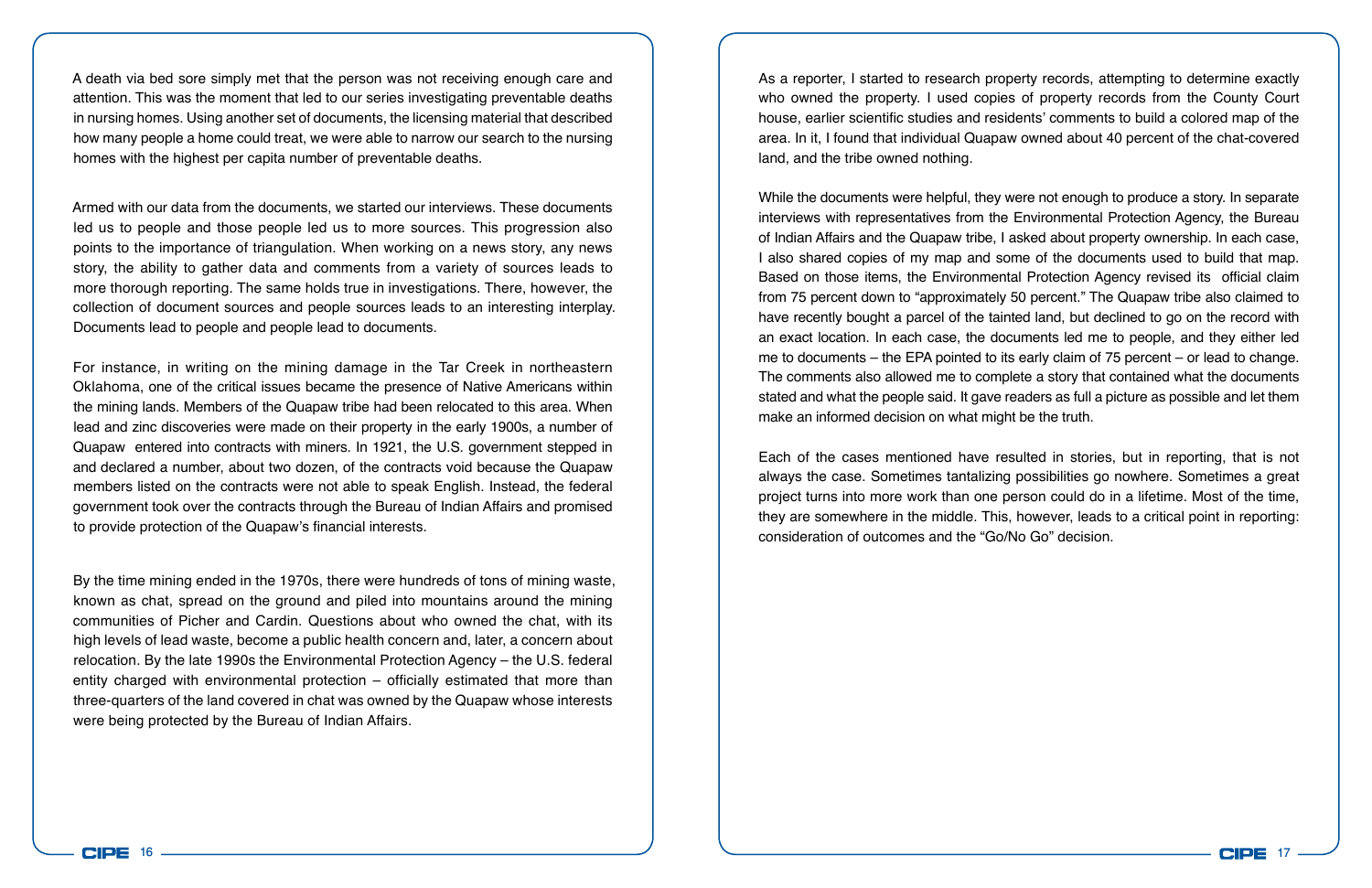A death via bed sore simply met that the person was not receiving enough care and attention. This was the moment that led to our series investigating preventable deaths in nursing homes. Using another set of documents, the licensing material that described how many people a home could treat, we were able to narrow our search to the nursing homes with the highest per capita number of preventable deaths.

Armed with our data from the documents, we started our interviews. These documents led us to people and those people led us to more sources. This progression also points to the importance of triangulation. When working on a news story, any news story, the ability to gather data and comments from a variety of sources leads to more thorough reporting. The same holds true in investigations. There, however, the collection of document sources and people sources leads to an interesting interplay. Documents lead to people and people lead to documents.

For instance, in writing on the mining damage in the Tar Creek in northeastern Oklahoma, one of the critical issues became the presence of Native Americans within the mining lands. Members of the Quapaw tribe had been relocated to this area. When lead and zinc discoveries were made on their property in the early 1900s, a number of Quapaw entered into contracts with miners. In 1921, the U.S. government stepped in and declared a number, about two dozen, of the contracts void because the Quapaw members listed on the contracts were not able to speak English. Instead, the federal government took over the contracts through the Bureau of Indian Affairs and promised to provide protection of the Quapaw's financial interests.

By the time mining ended in the 1970s, there were hundreds of tons of mining waste, known as chat, spread on the ground and piled into mountains around the mining communities of Picher and Cardin. Questions about who owned the chat, with its high levels of lead waste, become a public health concern and, later, a concern about relocation. By the late 1990s the Environmental Protection Agency – the U.S. federal entity charged with environmental protection – officially estimated that more than three-quarters of the land covered in chat was owned by the Quapaw whose interests were being protected by the Bureau of Indian Affairs.

As a reporter, I started to research property records, attempting to determine exactly who owned the property. I used copies of property records from the County Court house, earlier scientific studies and residents' comments to build a colored map of the area. In it, I found that individual Quapaw owned about 40 percent of the chat-covered land, and the tribe owned nothing.

While the documents were helpful, they were not enough to produce a story. In separate interviews with representatives from the Environmental Protection Agency, the Bureau of Indian Affairs and the Quapaw tribe, I asked about property ownership. In each case, I also shared copies of my map and some of the documents used to build that map. Based on those items, the Environmental Protection Agency revised its official claim from 75 percent down to "approximately 50 percent." The Quapaw tribe also claimed to have recently bought a parcel of the tainted land, but declined to go on the record with an exact location. In each case, the documents led me to people, and they either led me to documents – the EPA pointed to its early claim of 75 percent – or lead to change. The comments also allowed me to complete a story that contained what the documents stated and what the people said. It gave readers as full a picture as possible and let them make an informed decision on what might be the truth.

Each of the cases mentioned have resulted in stories, but in reporting, that is not always the case. Sometimes tantalizing possibilities go nowhere. Sometimes a great project turns into more work than one person could do in a lifetime. Most of the time, they are somewhere in the middle. This, however, leads to a critical point in reporting: consideration of outcomes and the "Go/No Go" decision.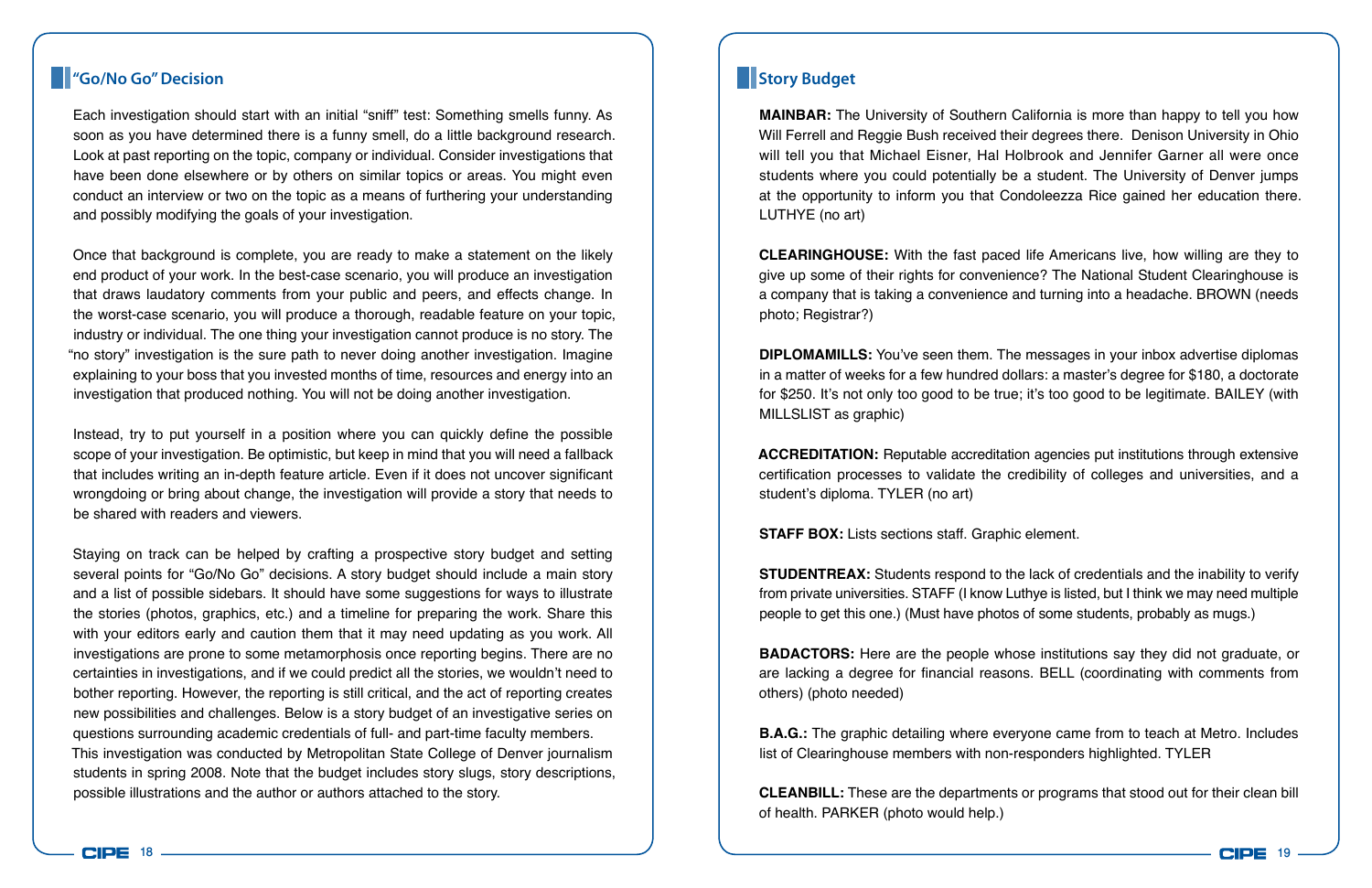#### **"Go/No Go" Decision**

Each investigation should start with an initial "sniff" test: Something smells funny. As soon as you have determined there is a funny smell, do a little background research. Look at past reporting on the topic, company or individual. Consider investigations that have been done elsewhere or by others on similar topics or areas. You might even conduct an interview or two on the topic as a means of furthering your understanding and possibly modifying the goals of your investigation.

Once that background is complete, you are ready to make a statement on the likely end product of your work. In the best-case scenario, you will produce an investigation that draws laudatory comments from your public and peers, and effects change. In the worst-case scenario, you will produce a thorough, readable feature on your topic, industry or individual. The one thing your investigation cannot produce is no story. The "no story" investigation is the sure path to never doing another investigation. Imagine explaining to your boss that you invested months of time, resources and energy into an investigation that produced nothing. You will not be doing another investigation.

Instead, try to put yourself in a position where you can quickly define the possible scope of your investigation. Be optimistic, but keep in mind that you will need a fallback that includes writing an in-depth feature article. Even if it does not uncover significant wrongdoing or bring about change, the investigation will provide a story that needs to be shared with readers and viewers.

Staying on track can be helped by crafting a prospective story budget and setting several points for "Go/No Go" decisions. A story budget should include a main story and a list of possible sidebars. It should have some suggestions for ways to illustrate the stories (photos, graphics, etc.) and a timeline for preparing the work. Share this with your editors early and caution them that it may need updating as you work. All investigations are prone to some metamorphosis once reporting begins. There are no certainties in investigations, and if we could predict all the stories, we wouldn't need to bother reporting. However, the reporting is still critical, and the act of reporting creates new possibilities and challenges. Below is a story budget of an investigative series on questions surrounding academic credentials of full- and part-time faculty members. This investigation was conducted by Metropolitan State College of Denver journalism students in spring 2008. Note that the budget includes story slugs, story descriptions, possible illustrations and the author or authors attached to the story.

## **Story Budget**

**MAINBAR:** The University of Southern California is more than happy to tell you how Will Ferrell and Reggie Bush received their degrees there. Denison University in Ohio will tell you that Michael Eisner, Hal Holbrook and Jennifer Garner all were once students where you could potentially be a student. The University of Denver jumps at the opportunity to inform you that Condoleezza Rice gained her education there. LUTHYE (no art)

**CLEARINGHOUSE:** With the fast paced life Americans live, how willing are they to give up some of their rights for convenience? The National Student Clearinghouse is a company that is taking a convenience and turning into a headache. BROWN (needs photo; Registrar?)

**DIPLOMAMILLS:** You've seen them. The messages in your inbox advertise diplomas in a matter of weeks for a few hundred dollars: a master's degree for \$180, a doctorate for \$250. It's not only too good to be true; it's too good to be legitimate. BAILEY (with MILLSLIST as graphic)

**ACCREDITATION:** Reputable accreditation agencies put institutions through extensive certification processes to validate the credibility of colleges and universities, and a student's diploma. TYLER (no art)

**STAFF BOX:** Lists sections staff. Graphic element.

**STUDENTREAX:** Students respond to the lack of credentials and the inability to verify from private universities. STAFF (I know Luthye is listed, but I think we may need multiple people to get this one.) (Must have photos of some students, probably as mugs.)

**BADACTORS:** Here are the people whose institutions say they did not graduate, or are lacking a degree for financial reasons. BELL (coordinating with comments from others) (photo needed)

**B.A.G.:** The graphic detailing where everyone came from to teach at Metro. Includes list of Clearinghouse members with non-responders highlighted. TYLER

**CLEANBILL:** These are the departments or programs that stood out for their clean bill of health. PARKER (photo would help.)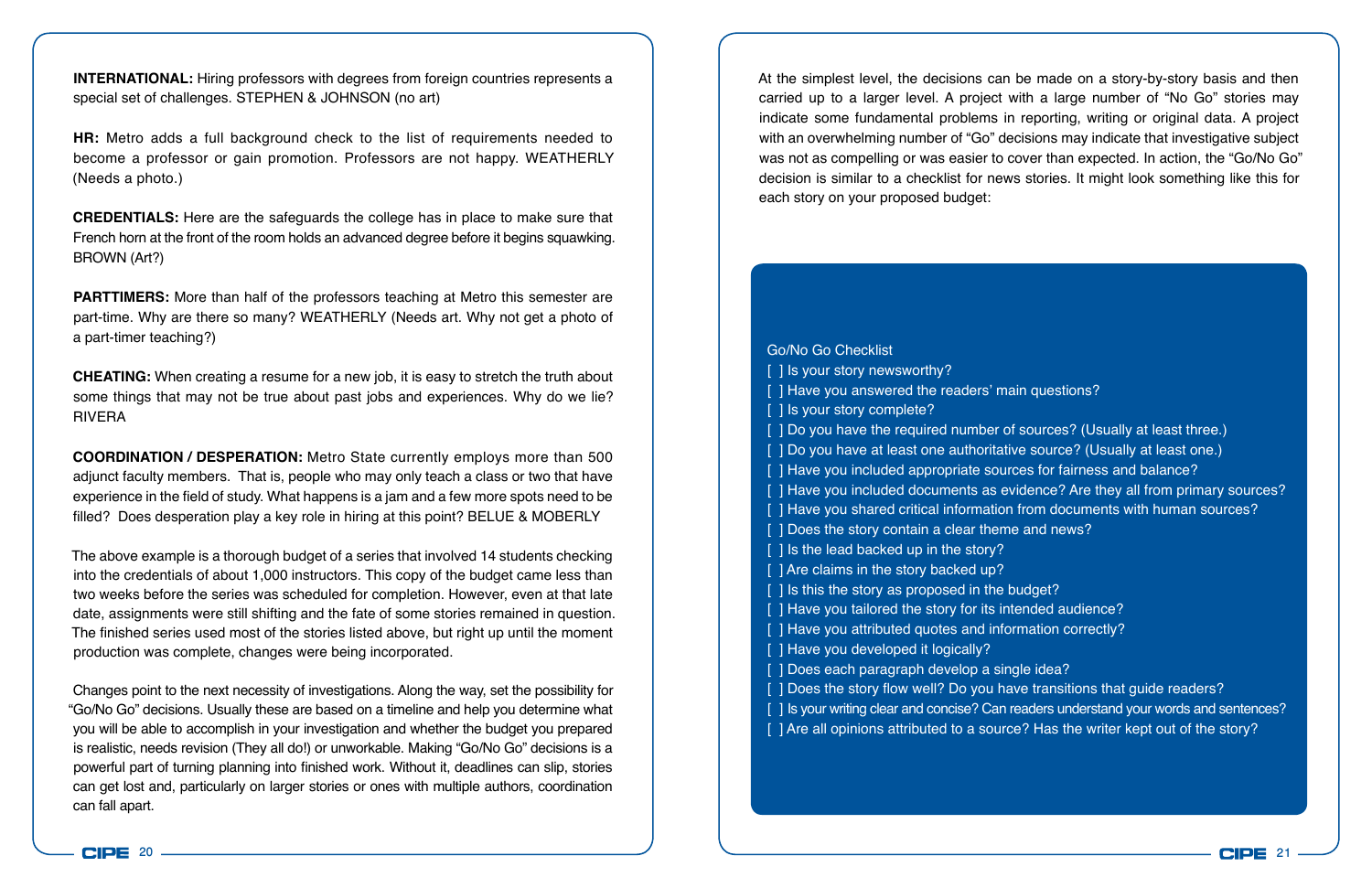**INTERNATIONAL:** Hiring professors with degrees from foreign countries represents a special set of challenges. STEPHEN & JOHNSON (no art)

**HR:** Metro adds a full background check to the list of requirements needed to become a professor or gain promotion. Professors are not happy. WEATHERLY (Needs a photo.)

**CREDENTIALS:** Here are the safeguards the college has in place to make sure that French horn at the front of the room holds an advanced degree before it begins squawking. BROWN (Art?)

**PARTTIMERS:** More than half of the professors teaching at Metro this semester are part-time. Why are there so many? WEATHERLY (Needs art. Why not get a photo of a part-timer teaching?)

**CHEATING:** When creating a resume for a new job, it is easy to stretch the truth about some things that may not be true about past jobs and experiences. Why do we lie? RIVERA

**COORDINATION / DESPERATION:** Metro State currently employs more than 500 adjunct faculty members. That is, people who may only teach a class or two that have experience in the field of study. What happens is a jam and a few more spots need to be filled? Does desperation play a key role in hiring at this point? BELUE & MOBERLY

The above example is a thorough budget of a series that involved 14 students checking into the credentials of about 1,000 instructors. This copy of the budget came less than two weeks before the series was scheduled for completion. However, even at that late date, assignments were still shifting and the fate of some stories remained in question. The finished series used most of the stories listed above, but right up until the moment production was complete, changes were being incorporated.

Changes point to the next necessity of investigations. Along the way, set the possibility for "Go/No Go" decisions. Usually these are based on a timeline and help you determine what you will be able to accomplish in your investigation and whether the budget you prepared is realistic, needs revision (They all do!) or unworkable. Making "Go/No Go" decisions is a powerful part of turning planning into finished work. Without it, deadlines can slip, stories can get lost and, particularly on larger stories or ones with multiple authors, coordination can fall apart.

At the simplest level, the decisions can be made on a story-by-story basis and then carried up to a larger level. A project with a large number of "No Go" stories may indicate some fundamental problems in reporting, writing or original data. A project with an overwhelming number of "Go" decisions may indicate that investigative subject was not as compelling or was easier to cover than expected. In action, the "Go/No Go" decision is similar to a checklist for news stories. It might look something like this for each story on your proposed budget:

Go/No Go Checklist [] Is your story newsworthy? [] Have you answered the readers' main questions? [ ] Is your story complete? [ ] Do you have the required number of sources? (Usually at least three.) [ ] Do you have at least one authoritative source? (Usually at least one.) [ ] Have you included appropriate sources for fairness and balance? [ ] Have you included documents as evidence? Are they all from primary sources? [ ] Have you shared critical information from documents with human sources? [ ] Does the story contain a clear theme and news? [ ] Is the lead backed up in the story? [ ] Are claims in the story backed up? [ ] Is this the story as proposed in the budget? [ ] Have you tailored the story for its intended audience? [ ] Have you attributed quotes and information correctly? [ ] Have you developed it logically? [ ] Does each paragraph develop a single idea? [ ] Does the story flow well? Do you have transitions that guide readers? [ ] Is your writing clear and concise? Can readers understand your words and sentences? [ ] Are all opinions attributed to a source? Has the writer kept out of the story?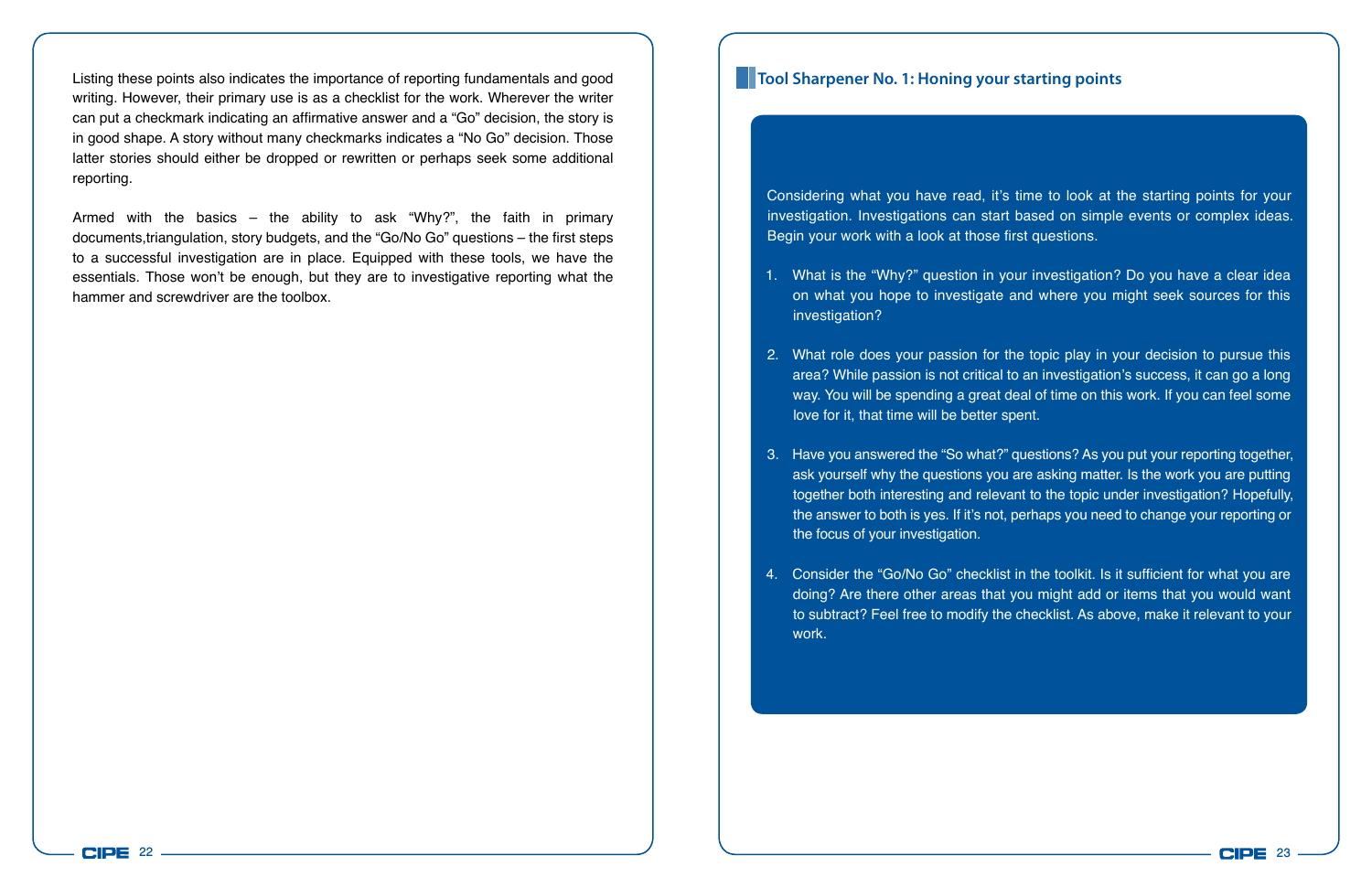Listing these points also indicates the importance of reporting fundamentals and good **Tool Sharpener No. 1: Honing your starting points** writing. However, their primary use is as a checklist for the work. Wherever the writer can put a checkmark indicating an affirmative answer and a "Go" decision, the story is in good shape. A story without many checkmarks indicates a "No Go" decision. Those latter stories should either be dropped or rewritten or perhaps seek some additional reporting.

Armed with the basics  $-$  the ability to ask "Why?", the faith in primary documents,triangulation, story budgets, and the "Go/No Go" questions – the first steps to a successful investigation are in place. Equipped with these tools, we have the essentials. Those won't be enough, but they are to investigative reporting what the hammer and screwdriver are the toolbox.

Considering what you have read, it's time to look at the starting points for your investigation. Investigations can start based on simple events or complex ideas. Begin your work with a look at those first questions.

- 1. What is the "Why?" question in your investigation? Do you have a clear idea on what you hope to investigate and where you might seek sources for this investigation?
- 2. What role does your passion for the topic play in your decision to pursue this area? While passion is not critical to an investigation's success, it can go a long way. You will be spending a great deal of time on this work. If you can feel some love for it, that time will be better spent.
- 3. Have you answered the "So what?" questions? As you put your reporting together, ask yourself why the questions you are asking matter. Is the work you are putting together both interesting and relevant to the topic under investigation? Hopefully, the answer to both is yes. If it's not, perhaps you need to change your reporting or the focus of your investigation.
- 4. Consider the "Go/No Go" checklist in the toolkit. Is it sufficient for what you are doing? Are there other areas that you might add or items that you would want to subtract? Feel free to modify the checklist. As above, make it relevant to your work.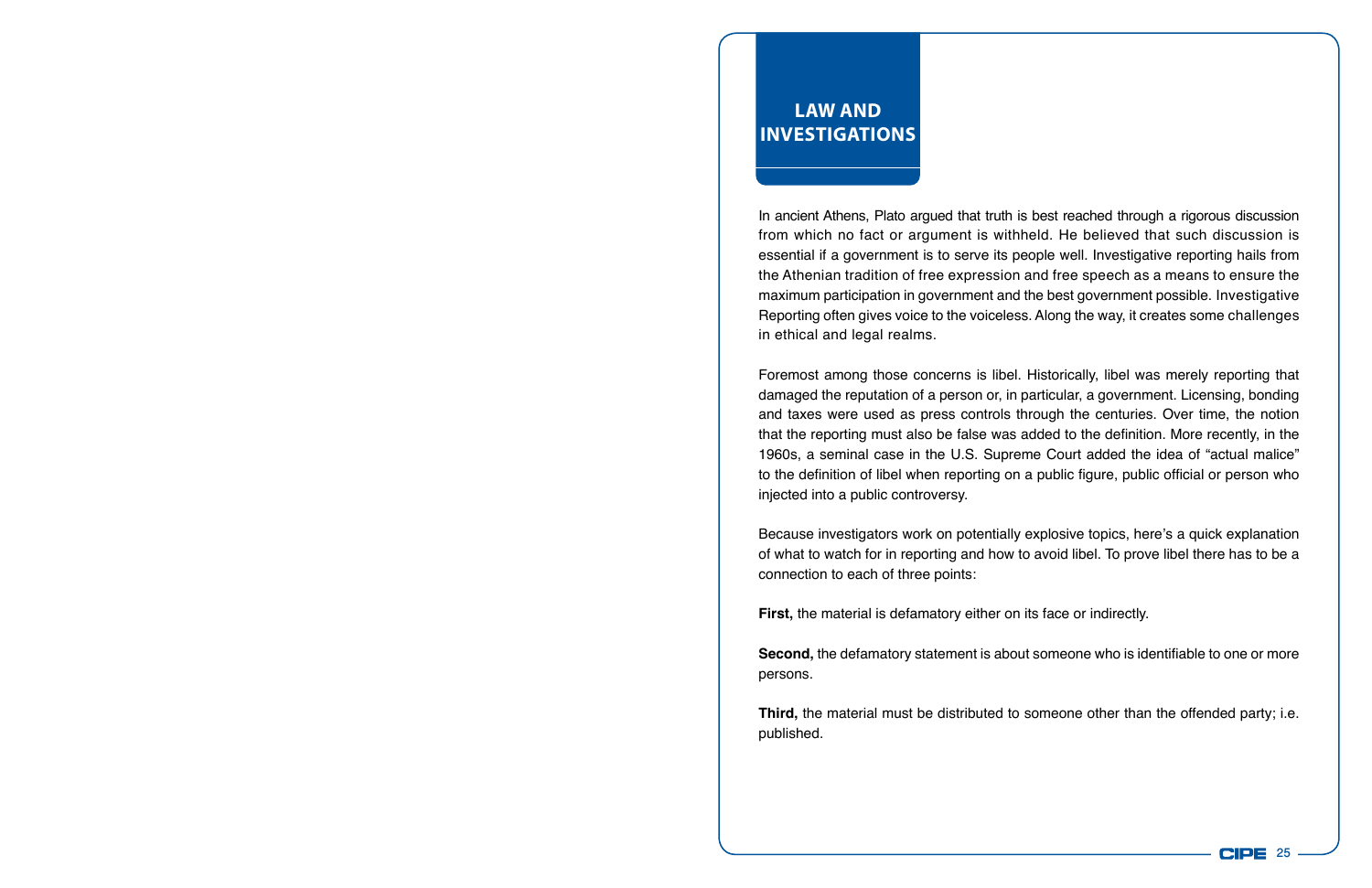## **Law and InvestigationS**

In ancient Athens, Plato argued that truth is best reached through a rigorous discussion from which no fact or argument is withheld. He believed that such discussion is essential if a government is to serve its people well. Investigative reporting hails from the Athenian tradition of free expression and free speech as a means to ensure the maximum participation in government and the best government possible. Investigative Reporting often gives voice to the voiceless. Along the way, it creates some challenges in ethical and legal realms.

Foremost among those concerns is libel. Historically, libel was merely reporting that damaged the reputation of a person or, in particular, a government. Licensing, bonding and taxes were used as press controls through the centuries. Over time, the notion that the reporting must also be false was added to the definition. More recently, in the 1960s, a seminal case in the U.S. Supreme Court added the idea of "actual malice" to the definition of libel when reporting on a public figure, public official or person who injected into a public controversy.

Because investigators work on potentially explosive topics, here's a quick explanation of what to watch for in reporting and how to avoid libel. To prove libel there has to be a connection to each of three points:

**First,** the material is defamatory either on its face or indirectly.

**Second,** the defamatory statement is about someone who is identifiable to one or more persons.

**Third,** the material must be distributed to someone other than the offended party; i.e. published.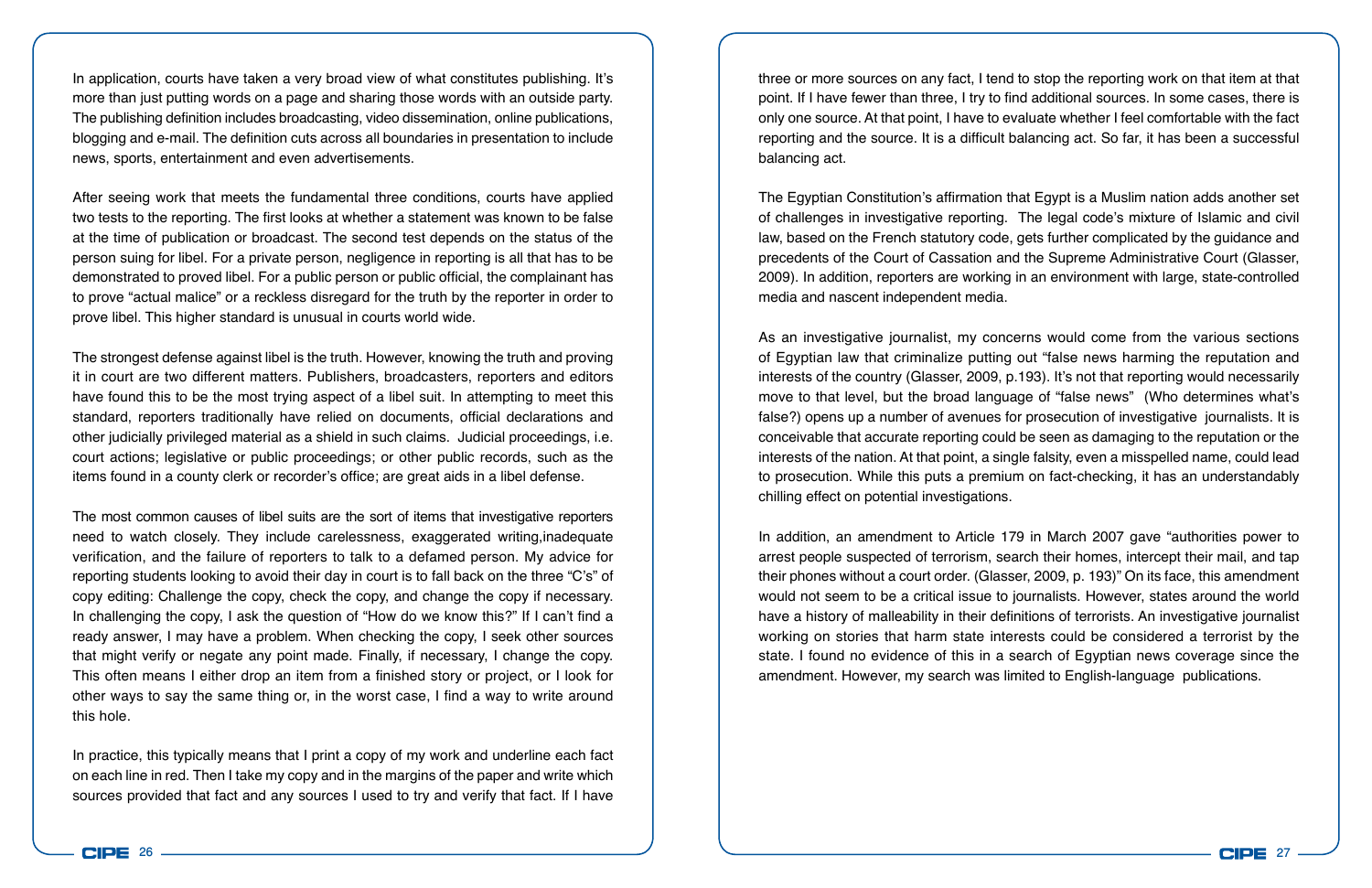In application, courts have taken a very broad view of what constitutes publishing. It's more than just putting words on a page and sharing those words with an outside party. The publishing definition includes broadcasting, video dissemination, online publications, blogging and e-mail. The definition cuts across all boundaries in presentation to include news, sports, entertainment and even advertisements.

After seeing work that meets the fundamental three conditions, courts have applied two tests to the reporting. The first looks at whether a statement was known to be false at the time of publication or broadcast. The second test depends on the status of the person suing for libel. For a private person, negligence in reporting is all that has to be demonstrated to proved libel. For a public person or public official, the complainant has to prove "actual malice" or a reckless disregard for the truth by the reporter in order to prove libel. This higher standard is unusual in courts world wide.

The strongest defense against libel is the truth. However, knowing the truth and proving it in court are two different matters. Publishers, broadcasters, reporters and editors have found this to be the most trying aspect of a libel suit. In attempting to meet this standard, reporters traditionally have relied on documents, official declarations and other judicially privileged material as a shield in such claims. Judicial proceedings, i.e. court actions; legislative or public proceedings; or other public records, such as the items found in a county clerk or recorder's office; are great aids in a libel defense.

The most common causes of libel suits are the sort of items that investigative reporters need to watch closely. They include carelessness, exaggerated writing,inadequate verification, and the failure of reporters to talk to a defamed person. My advice for reporting students looking to avoid their day in court is to fall back on the three "C's" of copy editing: Challenge the copy, check the copy, and change the copy if necessary. In challenging the copy, I ask the question of "How do we know this?" If I can't find a ready answer, I may have a problem. When checking the copy, I seek other sources that might verify or negate any point made. Finally, if necessary, I change the copy. This often means I either drop an item from a finished story or project, or I look for other ways to say the same thing or, in the worst case, I find a way to write around this hole.

In practice, this typically means that I print a copy of my work and underline each fact on each line in red. Then I take my copy and in the margins of the paper and write which sources provided that fact and any sources I used to try and verify that fact. If I have three or more sources on any fact, I tend to stop the reporting work on that item at that point. If I have fewer than three, I try to find additional sources. In some cases, there is only one source. At that point, I have to evaluate whether I feel comfortable with the fact reporting and the source. It is a difficult balancing act. So far, it has been a successful balancing act.

The Egyptian Constitution's affirmation that Egypt is a Muslim nation adds another set of challenges in investigative reporting. The legal code's mixture of Islamic and civil law, based on the French statutory code, gets further complicated by the guidance and precedents of the Court of Cassation and the Supreme Administrative Court (Glasser, 2009). In addition, reporters are working in an environment with large, state-controlled media and nascent independent media.

As an investigative journalist, my concerns would come from the various sections of Egyptian law that criminalize putting out "false news harming the reputation and interests of the country (Glasser, 2009, p.193). It's not that reporting would necessarily move to that level, but the broad language of "false news" (Who determines what's false?) opens up a number of avenues for prosecution of investigative journalists. It is conceivable that accurate reporting could be seen as damaging to the reputation or the interests of the nation. At that point, a single falsity, even a misspelled name, could lead to prosecution. While this puts a premium on fact-checking, it has an understandably chilling effect on potential investigations.

In addition, an amendment to Article 179 in March 2007 gave "authorities power to arrest people suspected of terrorism, search their homes, intercept their mail, and tap their phones without a court order. (Glasser, 2009, p. 193)" On its face, this amendment would not seem to be a critical issue to journalists. However, states around the world have a history of malleability in their definitions of terrorists. An investigative journalist working on stories that harm state interests could be considered a terrorist by the state. I found no evidence of this in a search of Egyptian news coverage since the amendment. However, my search was limited to English-language publications.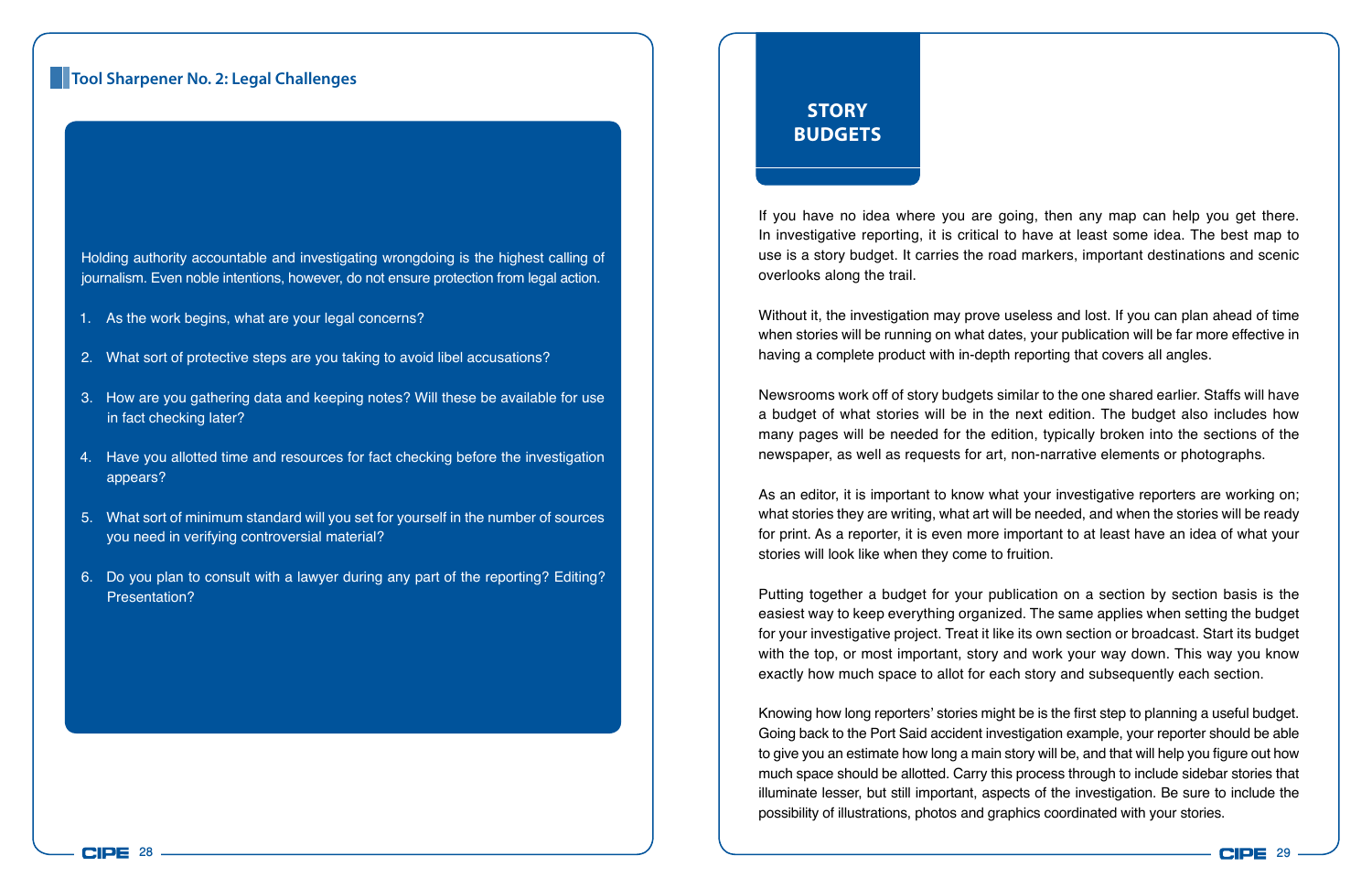### **Tool Sharpener No. 2: Legal Challenges**

Holding authority accountable and investigating wrongdoing is the highest calling of journalism. Even noble intentions, however, do not ensure protection from legal action.

- 1. As the work begins, what are your legal concerns?
- 2. What sort of protective steps are you taking to avoid libel accusations?
- 3. How are you gathering data and keeping notes? Will these be available for use in fact checking later?
- 4. Have you allotted time and resources for fact checking before the investigation appears?
- 5. What sort of minimum standard will you set for yourself in the number of sources you need in verifying controversial material?
- 6. Do you plan to consult with a lawyer during any part of the reporting? Editing? Presentation?

## **Story budgets**

If you have no idea where you are going, then any map can help you get there. In investigative reporting, it is critical to have at least some idea. The best map to use is a story budget. It carries the road markers, important destinations and scenic overlooks along the trail.

Without it, the investigation may prove useless and lost. If you can plan ahead of time when stories will be running on what dates, your publication will be far more effective in having a complete product with in-depth reporting that covers all angles.

Newsrooms work off of story budgets similar to the one shared earlier. Staffs will have a budget of what stories will be in the next edition. The budget also includes how many pages will be needed for the edition, typically broken into the sections of the newspaper, as well as requests for art, non-narrative elements or photographs.

As an editor, it is important to know what your investigative reporters are working on; what stories they are writing, what art will be needed, and when the stories will be ready for print. As a reporter, it is even more important to at least have an idea of what your stories will look like when they come to fruition.

Putting together a budget for your publication on a section by section basis is the easiest way to keep everything organized. The same applies when setting the budget for your investigative project. Treat it like its own section or broadcast. Start its budget with the top, or most important, story and work your way down. This way you know exactly how much space to allot for each story and subsequently each section.

Knowing how long reporters' stories might be is the first step to planning a useful budget. Going back to the Port Said accident investigation example, your reporter should be able to give you an estimate how long a main story will be, and that will help you figure out how much space should be allotted. Carry this process through to include sidebar stories that illuminate lesser, but still important, aspects of the investigation. Be sure to include the possibility of illustrations, photos and graphics coordinated with your stories.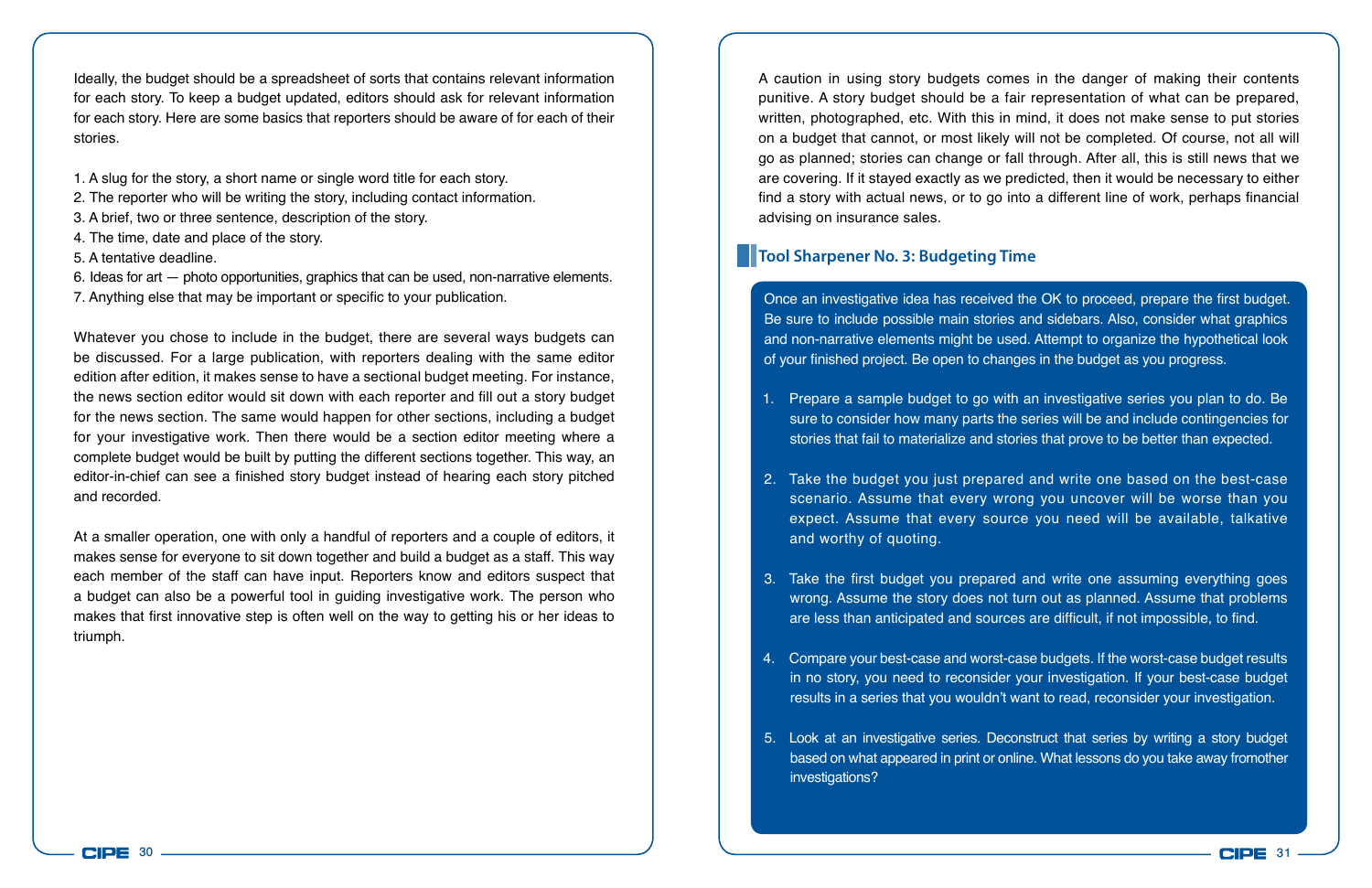Ideally, the budget should be a spreadsheet of sorts that contains relevant information for each story. To keep a budget updated, editors should ask for relevant information for each story. Here are some basics that reporters should be aware of for each of their stories.

- 1. A slug for the story, a short name or single word title for each story.
- 2. The reporter who will be writing the story, including contact information.
- 3. A brief, two or three sentence, description of the story.
- 4. The time, date and place of the story.
- 5. A tentative deadline.
- 6. Ideas for art photo opportunities, graphics that can be used, non-narrative elements.
- 7. Anything else that may be important or specific to your publication.

Whatever you chose to include in the budget, there are several ways budgets can be discussed. For a large publication, with reporters dealing with the same editor edition after edition, it makes sense to have a sectional budget meeting. For instance, the news section editor would sit down with each reporter and fill out a story budget for the news section. The same would happen for other sections, including a budget for your investigative work. Then there would be a section editor meeting where a complete budget would be built by putting the different sections together. This way, an editor-in-chief can see a finished story budget instead of hearing each story pitched and recorded.

At a smaller operation, one with only a handful of reporters and a couple of editors, it makes sense for everyone to sit down together and build a budget as a staff. This way each member of the staff can have input. Reporters know and editors suspect that a budget can also be a powerful tool in guiding investigative work. The person who makes that first innovative step is often well on the way to getting his or her ideas to triumph.

A caution in using story budgets comes in the danger of making their contents punitive. A story budget should be a fair representation of what can be prepared, written, photographed, etc. With this in mind, it does not make sense to put stories on a budget that cannot, or most likely will not be completed. Of course, not all will go as planned; stories can change or fall through. After all, this is still news that we are covering. If it stayed exactly as we predicted, then it would be necessary to either find a story with actual news, or to go into a different line of work, perhaps financial advising on insurance sales.

### **Tool Sharpener No. 3: Budgeting Time**

Once an investigative idea has received the OK to proceed, prepare the first budget. Be sure to include possible main stories and sidebars. Also, consider what graphics and non-narrative elements might be used. Attempt to organize the hypothetical look of your finished project. Be open to changes in the budget as you progress.

- 1. Prepare a sample budget to go with an investigative series you plan to do. Be sure to consider how many parts the series will be and include contingencies for stories that fail to materialize and stories that prove to be better than expected.
- 2. Take the budget you just prepared and write one based on the best-case scenario. Assume that every wrong you uncover will be worse than you expect. Assume that every source you need will be available, talkative and worthy of quoting.
- 3. Take the first budget you prepared and write one assuming everything goes wrong. Assume the story does not turn out as planned. Assume that problems are less than anticipated and sources are difficult, if not impossible, to find.
- 4. Compare your best-case and worst-case budgets. If the worst-case budget results in no story, you need to reconsider your investigation. If your best-case budget results in a series that you wouldn't want to read, reconsider your investigation.
- 5. Look at an investigative series. Deconstruct that series by writing a story budget based on what appeared in print or online. What lessons do you take away fromother investigations?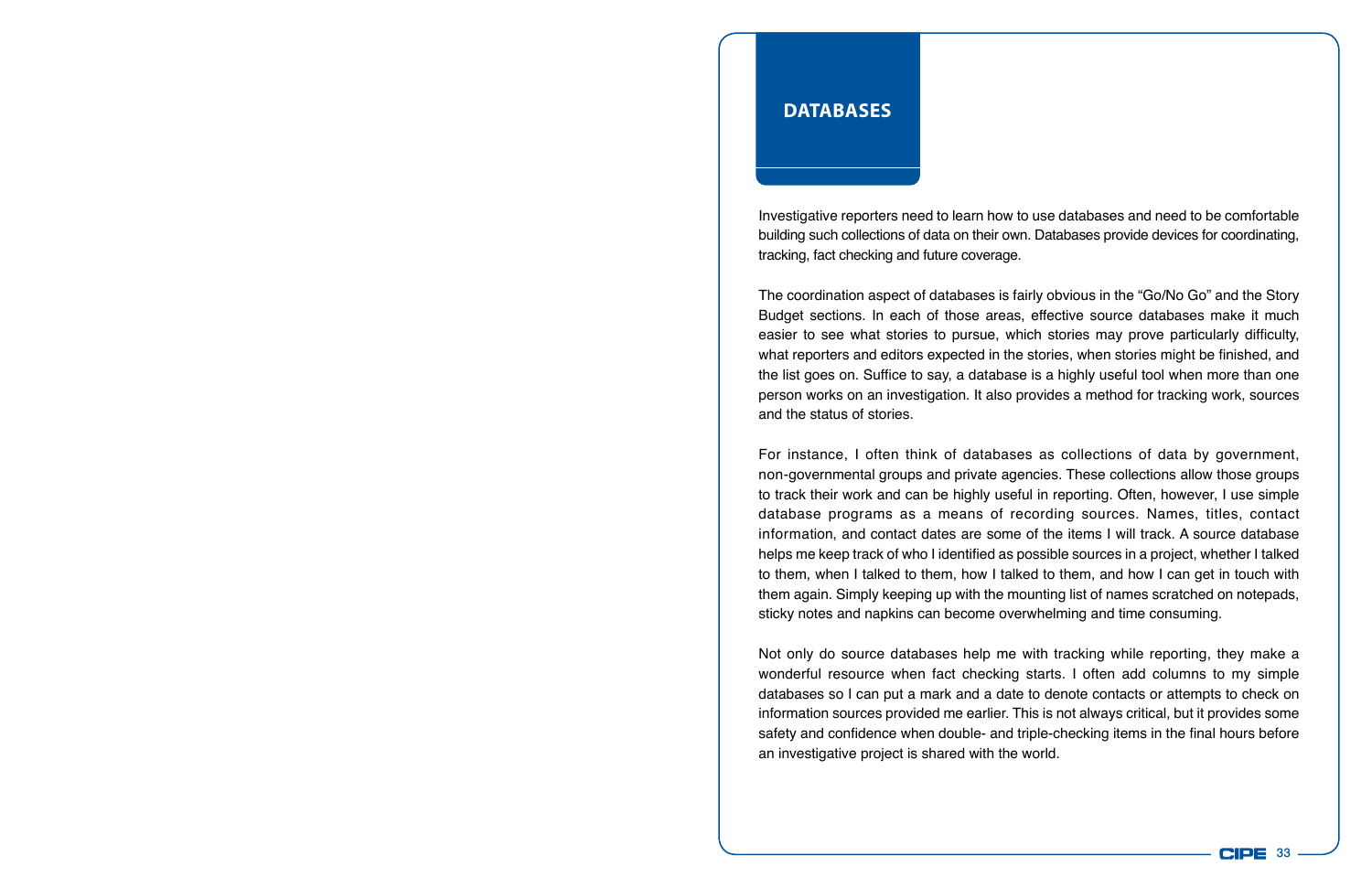### **Databases**

Investigative reporters need to learn how to use databases and need to be comfortable building such collections of data on their own. Databases provide devices for coordinating, tracking, fact checking and future coverage.

The coordination aspect of databases is fairly obvious in the "Go/No Go" and the Story Budget sections. In each of those areas, effective source databases make it much easier to see what stories to pursue, which stories may prove particularly difficulty, what reporters and editors expected in the stories, when stories might be finished, and the list goes on. Suffice to say, a database is a highly useful tool when more than one person works on an investigation. It also provides a method for tracking work, sources and the status of stories.

For instance, I often think of databases as collections of data by government, non-governmental groups and private agencies. These collections allow those groups to track their work and can be highly useful in reporting. Often, however, I use simple database programs as a means of recording sources. Names, titles, contact information, and contact dates are some of the items I will track. A source database helps me keep track of who I identified as possible sources in a project, whether I talked to them, when I talked to them, how I talked to them, and how I can get in touch with them again. Simply keeping up with the mounting list of names scratched on notepads, sticky notes and napkins can become overwhelming and time consuming.

Not only do source databases help me with tracking while reporting, they make a wonderful resource when fact checking starts. I often add columns to my simple databases so I can put a mark and a date to denote contacts or attempts to check on information sources provided me earlier. This is not always critical, but it provides some safety and confidence when double- and triple-checking items in the final hours before an investigative project is shared with the world.

**CIPE 33**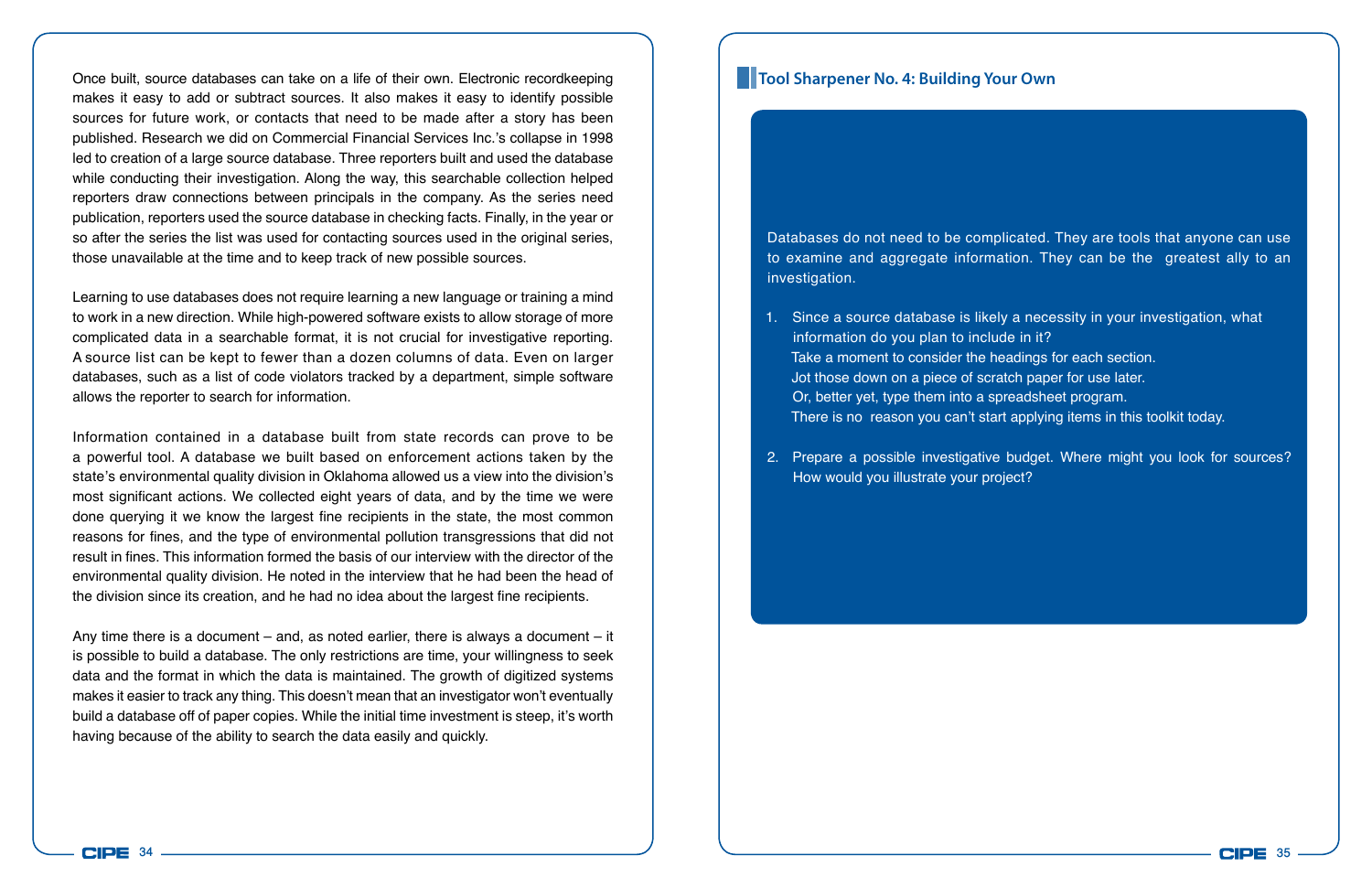Once built, source databases can take on a life of their own. Electronic recordkeeping makes it easy to add or subtract sources. It also makes it easy to identify possible sources for future work, or contacts that need to be made after a story has been published. Research we did on Commercial Financial Services Inc.'s collapse in 1998 led to creation of a large source database. Three reporters built and used the database while conducting their investigation. Along the way, this searchable collection helped reporters draw connections between principals in the company. As the series need publication, reporters used the source database in checking facts. Finally, in the year or so after the series the list was used for contacting sources used in the original series, those unavailable at the time and to keep track of new possible sources.

Learning to use databases does not require learning a new language or training a mind to work in a new direction. While high-powered software exists to allow storage of more complicated data in a searchable format, it is not crucial for investigative reporting. A source list can be kept to fewer than a dozen columns of data. Even on larger databases, such as a list of code violators tracked by a department, simple software allows the reporter to search for information.

Information contained in a database built from state records can prove to be a powerful tool. A database we built based on enforcement actions taken by the state's environmental quality division in Oklahoma allowed us a view into the division's most significant actions. We collected eight years of data, and by the time we were done querying it we know the largest fine recipients in the state, the most common reasons for fines, and the type of environmental pollution transgressions that did not result in fines. This information formed the basis of our interview with the director of the environmental quality division. He noted in the interview that he had been the head of the division since its creation, and he had no idea about the largest fine recipients.

Any time there is a document – and, as noted earlier, there is always a document – it is possible to build a database. The only restrictions are time, your willingness to seek data and the format in which the data is maintained. The growth of digitized systems makes it easier to track any thing. This doesn't mean that an investigator won't eventually build a database off of paper copies. While the initial time investment is steep, it's worth having because of the ability to search the data easily and quickly.

#### **Tool Sharpener No. 4: Building Your Own**

Databases do not need to be complicated. They are tools that anyone can use to examine and aggregate information. They can be the greatest ally to an investigation.

- 1. Since a source database is likely a necessity in your investigation, what information do you plan to include in it? Take a moment to consider the headings for each section. Jot those down on a piece of scratch paper for use later. Or, better yet, type them into a spreadsheet program. There is no reason you can't start applying items in this toolkit today.
- 2. Prepare a possible investigative budget. Where might you look for sources? How would you illustrate your project?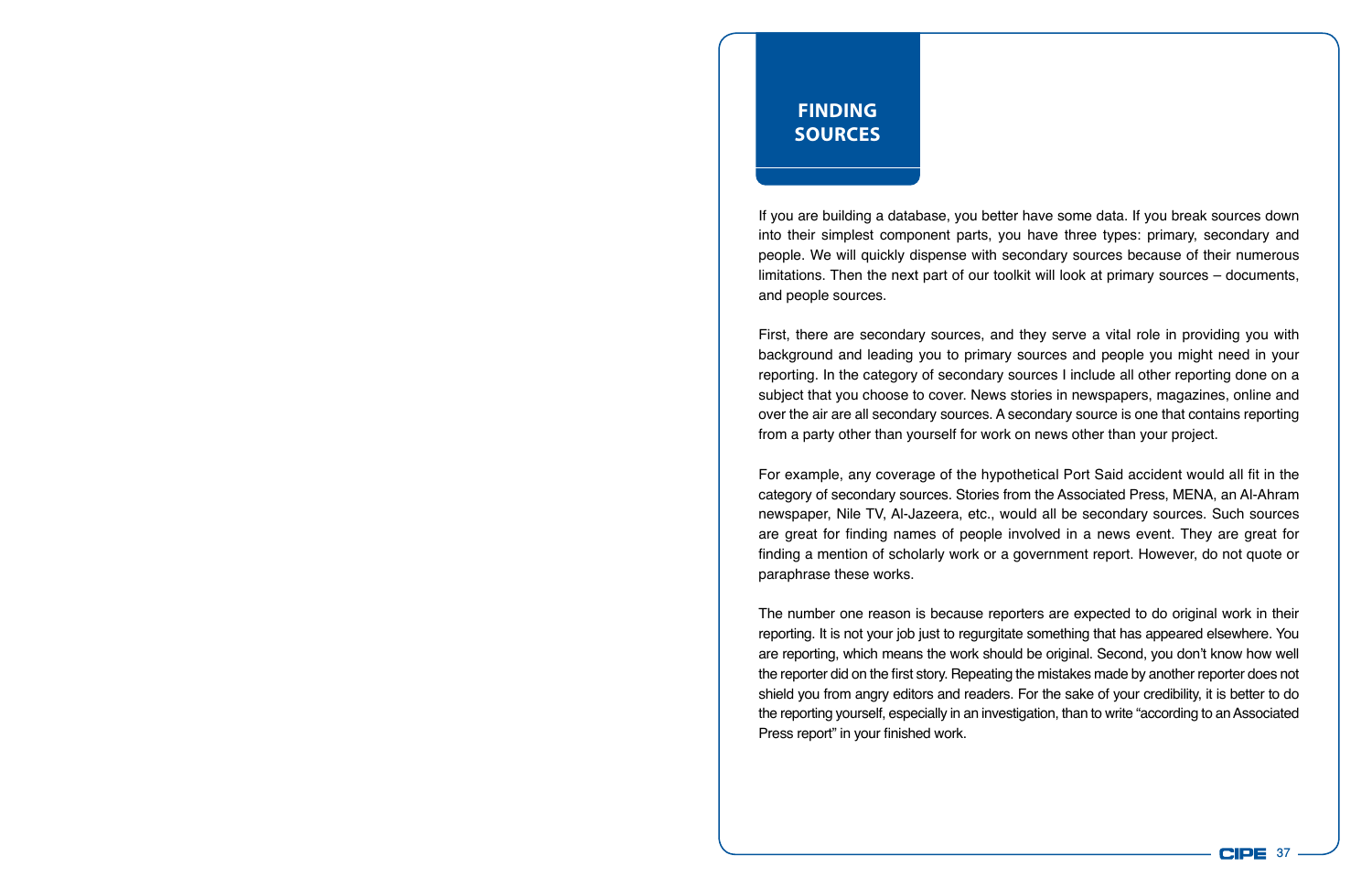## **Finding Sources**

If you are building a database, you better have some data. If you break sources down into their simplest component parts, you have three types: primary, secondary and people. We will quickly dispense with secondary sources because of their numerous limitations. Then the next part of our toolkit will look at primary sources – documents, and people sources.

First, there are secondary sources, and they serve a vital role in providing you with background and leading you to primary sources and people you might need in your reporting. In the category of secondary sources I include all other reporting done on a subject that you choose to cover. News stories in newspapers, magazines, online and over the air are all secondary sources. A secondary source is one that contains reporting from a party other than yourself for work on news other than your project.

For example, any coverage of the hypothetical Port Said accident would all fit in the category of secondary sources. Stories from the Associated Press, MENA, an Al-Ahram newspaper, Nile TV, Al-Jazeera, etc., would all be secondary sources. Such sources are great for finding names of people involved in a news event. They are great for finding a mention of scholarly work or a government report. However, do not quote or paraphrase these works.

The number one reason is because reporters are expected to do original work in their reporting. It is not your job just to regurgitate something that has appeared elsewhere. You are reporting, which means the work should be original. Second, you don't know how well the reporter did on the first story. Repeating the mistakes made by another reporter does not shield you from angry editors and readers. For the sake of your credibility, it is better to do the reporting yourself, especially in an investigation, than to write "according to an Associated Press report" in your finished work.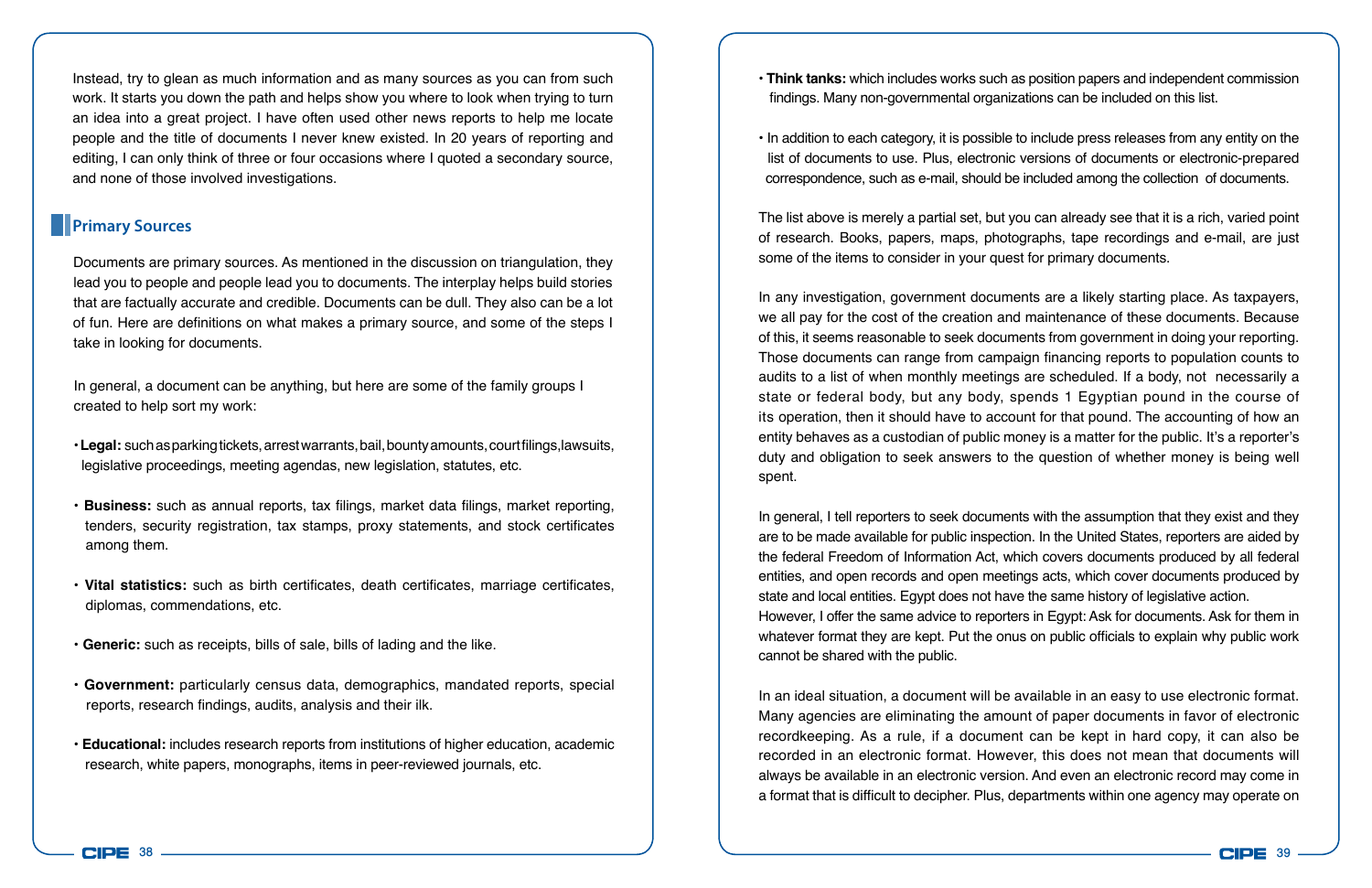Instead, try to glean as much information and as many sources as you can from such work. It starts you down the path and helps show you where to look when trying to turn an idea into a great project. I have often used other news reports to help me locate people and the title of documents I never knew existed. In 20 years of reporting and editing, I can only think of three or four occasions where I quoted a secondary source, and none of those involved investigations.

### **Primary Sources**

Documents are primary sources. As mentioned in the discussion on triangulation, they lead you to people and people lead you to documents. The interplay helps build stories that are factually accurate and credible. Documents can be dull. They also can be a lot of fun. Here are definitions on what makes a primary source, and some of the steps I take in looking for documents.

In general, a document can be anything, but here are some of the family groups I created to help sort my work:

- **Legal:** such as parking tickets, arrest warrants, bail, bounty amounts, court filings,lawsuits, legislative proceedings, meeting agendas, new legislation, statutes, etc.
- **Business:** such as annual reports, tax filings, market data filings, market reporting, tenders, security registration, tax stamps, proxy statements, and stock certificates among them.
- **Vital statistics:** such as birth certificates, death certificates, marriage certificates, diplomas, commendations, etc.
- **Generic:** such as receipts, bills of sale, bills of lading and the like.
- **Government:** particularly census data, demographics, mandated reports, special reports, research findings, audits, analysis and their ilk.
- **Educational:** includes research reports from institutions of higher education, academic research, white papers, monographs, items in peer-reviewed journals, etc.
- **Think tanks:** which includes works such as position papers and independent commission findings. Many non-governmental organizations can be included on this list.
- In addition to each category, it is possible to include press releases from any entity on the list of documents to use. Plus, electronic versions of documents or electronic-prepared correspondence, such as e-mail, should be included among the collection of documents.

The list above is merely a partial set, but you can already see that it is a rich, varied point of research. Books, papers, maps, photographs, tape recordings and e-mail, are just some of the items to consider in your quest for primary documents.

In any investigation, government documents are a likely starting place. As taxpayers, we all pay for the cost of the creation and maintenance of these documents. Because of this, it seems reasonable to seek documents from government in doing your reporting. Those documents can range from campaign financing reports to population counts to audits to a list of when monthly meetings are scheduled. If a body, not necessarily a state or federal body, but any body, spends 1 Egyptian pound in the course of its operation, then it should have to account for that pound. The accounting of how an entity behaves as a custodian of public money is a matter for the public. It's a reporter's duty and obligation to seek answers to the question of whether money is being well spent.

In general, I tell reporters to seek documents with the assumption that they exist and they are to be made available for public inspection. In the United States, reporters are aided by the federal Freedom of Information Act, which covers documents produced by all federal entities, and open records and open meetings acts, which cover documents produced by state and local entities. Egypt does not have the same history of legislative action. However, I offer the same advice to reporters in Egypt: Ask for documents. Ask for them in whatever format they are kept. Put the onus on public officials to explain why public work cannot be shared with the public.

In an ideal situation, a document will be available in an easy to use electronic format. Many agencies are eliminating the amount of paper documents in favor of electronic recordkeeping. As a rule, if a document can be kept in hard copy, it can also be recorded in an electronic format. However, this does not mean that documents will always be available in an electronic version. And even an electronic record may come in a format that is difficult to decipher. Plus, departments within one agency may operate on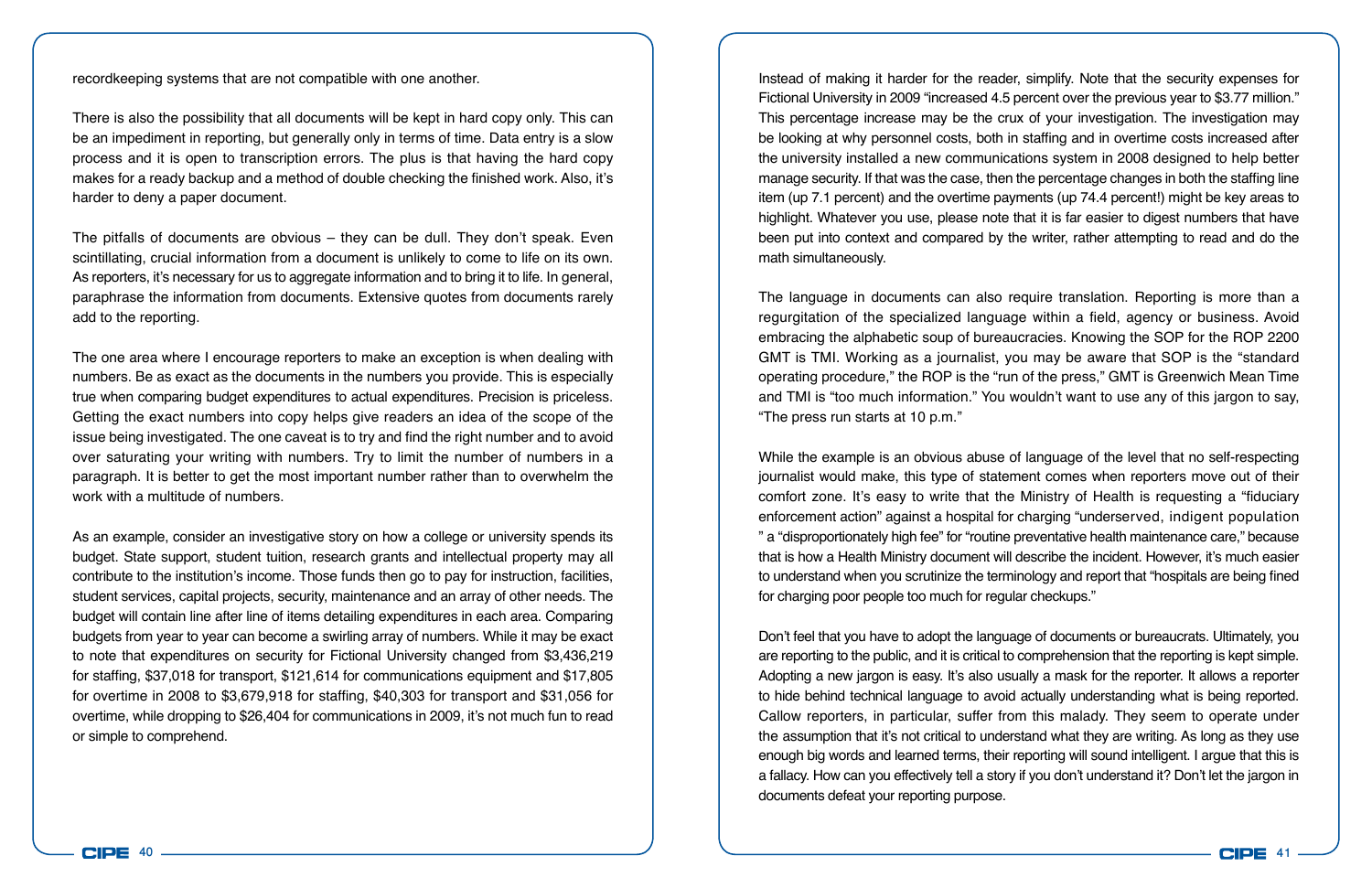recordkeeping systems that are not compatible with one another.

There is also the possibility that all documents will be kept in hard copy only. This can be an impediment in reporting, but generally only in terms of time. Data entry is a slow process and it is open to transcription errors. The plus is that having the hard copy makes for a ready backup and a method of double checking the finished work. Also, it's harder to deny a paper document.

The pitfalls of documents are obvious – they can be dull. They don't speak. Even scintillating, crucial information from a document is unlikely to come to life on its own. As reporters, it's necessary for us to aggregate information and to bring it to life. In general, paraphrase the information from documents. Extensive quotes from documents rarely add to the reporting.

The one area where I encourage reporters to make an exception is when dealing with numbers. Be as exact as the documents in the numbers you provide. This is especially true when comparing budget expenditures to actual expenditures. Precision is priceless. Getting the exact numbers into copy helps give readers an idea of the scope of the issue being investigated. The one caveat is to try and find the right number and to avoid over saturating your writing with numbers. Try to limit the number of numbers in a paragraph. It is better to get the most important number rather than to overwhelm the work with a multitude of numbers.

As an example, consider an investigative story on how a college or university spends its budget. State support, student tuition, research grants and intellectual property may all contribute to the institution's income. Those funds then go to pay for instruction, facilities, student services, capital projects, security, maintenance and an array of other needs. The budget will contain line after line of items detailing expenditures in each area. Comparing budgets from year to year can become a swirling array of numbers. While it may be exact to note that expenditures on security for Fictional University changed from \$3,436,219 for staffing, \$37,018 for transport, \$121,614 for communications equipment and \$17,805 for overtime in 2008 to \$3,679,918 for staffing, \$40,303 for transport and \$31,056 for overtime, while dropping to \$26,404 for communications in 2009, it's not much fun to read or simple to comprehend.

Instead of making it harder for the reader, simplify. Note that the security expenses for Fictional University in 2009 "increased 4.5 percent over the previous year to \$3.77 million." This percentage increase may be the crux of your investigation. The investigation may be looking at why personnel costs, both in staffing and in overtime costs increased after the university installed a new communications system in 2008 designed to help better manage security. If that was the case, then the percentage changes in both the staffing line item (up 7.1 percent) and the overtime payments (up 74.4 percent!) might be key areas to highlight. Whatever you use, please note that it is far easier to digest numbers that have been put into context and compared by the writer, rather attempting to read and do the math simultaneously.

The language in documents can also require translation. Reporting is more than a regurgitation of the specialized language within a field, agency or business. Avoid embracing the alphabetic soup of bureaucracies. Knowing the SOP for the ROP 2200 GMT is TMI. Working as a journalist, you may be aware that SOP is the "standard operating procedure," the ROP is the "run of the press," GMT is Greenwich Mean Time and TMI is "too much information." You wouldn't want to use any of this jargon to say, "The press run starts at 10 p.m."

While the example is an obvious abuse of language of the level that no self-respecting journalist would make, this type of statement comes when reporters move out of their comfort zone. It's easy to write that the Ministry of Health is requesting a "fiduciary enforcement action" against a hospital for charging "underserved, indigent population " a "disproportionately high fee" for "routine preventative health maintenance care," because that is how a Health Ministry document will describe the incident. However, it's much easier to understand when you scrutinize the terminology and report that "hospitals are being fined for charging poor people too much for regular checkups."

Don't feel that you have to adopt the language of documents or bureaucrats. Ultimately, you are reporting to the public, and it is critical to comprehension that the reporting is kept simple. Adopting a new jargon is easy. It's also usually a mask for the reporter. It allows a reporter to hide behind technical language to avoid actually understanding what is being reported. Callow reporters, in particular, suffer from this malady. They seem to operate under the assumption that it's not critical to understand what they are writing. As long as they use enough big words and learned terms, their reporting will sound intelligent. I argue that this is a fallacy. How can you effectively tell a story if you don't understand it? Don't let the jargon in documents defeat your reporting purpose.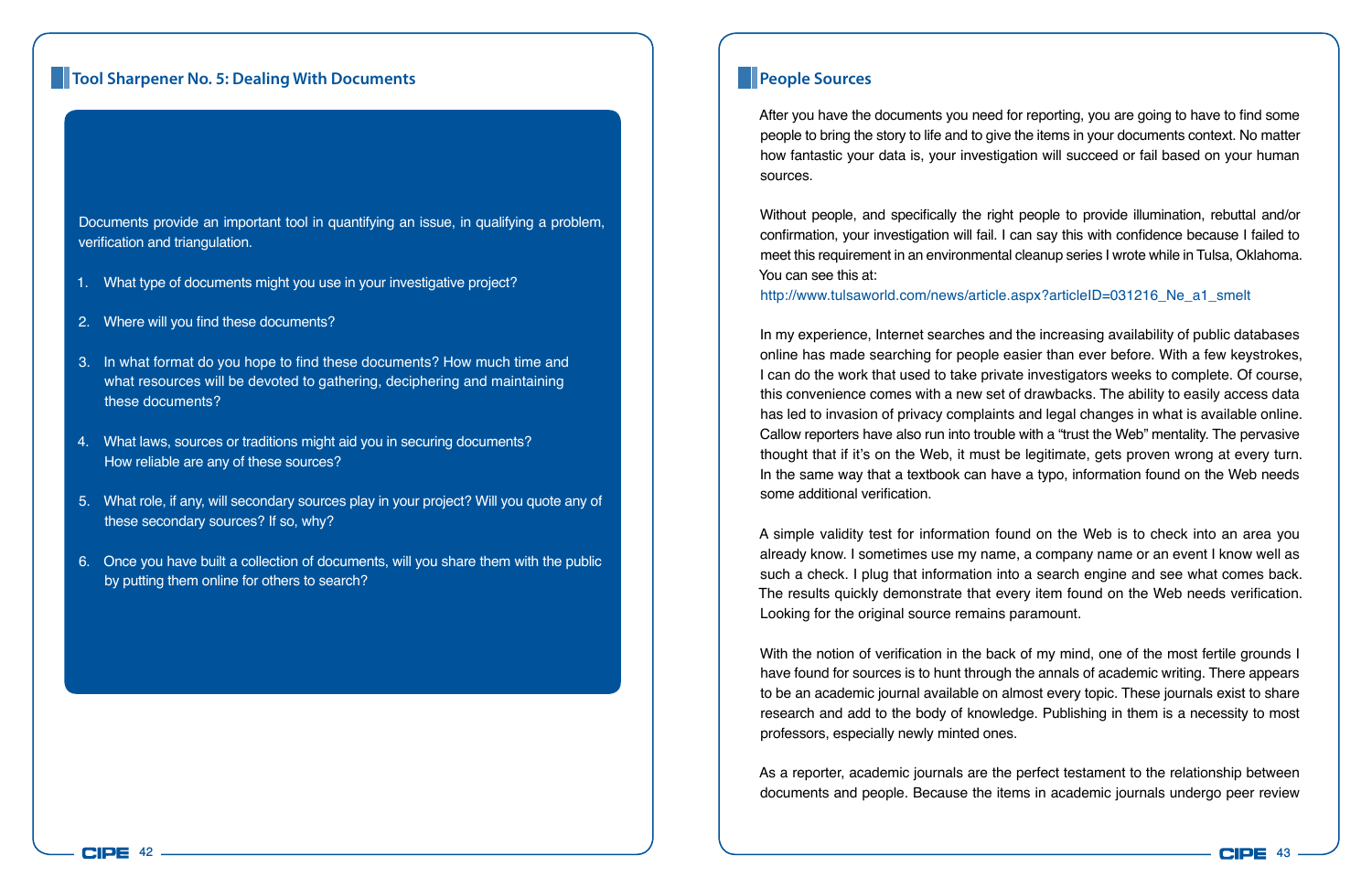#### **Tool Sharpener No. 5: Dealing With Documents People Sources People Sources**

Documents provide an important tool in quantifying an issue, in qualifying a problem, verification and triangulation.

- 1. What type of documents might you use in your investigative project?
- 2. Where will you find these documents?
- 3. In what format do you hope to find these documents? How much time and what resources will be devoted to gathering, deciphering and maintaining these documents?
- 4. What laws, sources or traditions might aid you in securing documents? How reliable are any of these sources?
- 5. What role, if any, will secondary sources play in your project? Will you quote any of these secondary sources? If so, why?
- 6. Once you have built a collection of documents, will you share them with the public by putting them online for others to search?

After you have the documents you need for reporting, you are going to have to find some people to bring the story to life and to give the items in your documents context. No matter how fantastic your data is, your investigation will succeed or fail based on your human sources.

Without people, and specifically the right people to provide illumination, rebuttal and/or confirmation, your investigation will fail. I can say this with confidence because I failed to meet this requirement in an environmental cleanup series I wrote while in Tulsa, Oklahoma. You can see this at:

http://www.tulsaworld.com/news/article.aspx?articleID=031216\_Ne\_a1\_smelt

In my experience, Internet searches and the increasing availability of public databases online has made searching for people easier than ever before. With a few keystrokes, I can do the work that used to take private investigators weeks to complete. Of course, this convenience comes with a new set of drawbacks. The ability to easily access data has led to invasion of privacy complaints and legal changes in what is available online. Callow reporters have also run into trouble with a "trust the Web" mentality. The pervasive thought that if it's on the Web, it must be legitimate, gets proven wrong at every turn. In the same way that a textbook can have a typo, information found on the Web needs some additional verification.

A simple validity test for information found on the Web is to check into an area you already know. I sometimes use my name, a company name or an event I know well as such a check. I plug that information into a search engine and see what comes back. The results quickly demonstrate that every item found on the Web needs verification. Looking for the original source remains paramount.

With the notion of verification in the back of my mind, one of the most fertile grounds I have found for sources is to hunt through the annals of academic writing. There appears to be an academic journal available on almost every topic. These journals exist to share research and add to the body of knowledge. Publishing in them is a necessity to most professors, especially newly minted ones.

As a reporter, academic journals are the perfect testament to the relationship between documents and people. Because the items in academic journals undergo peer review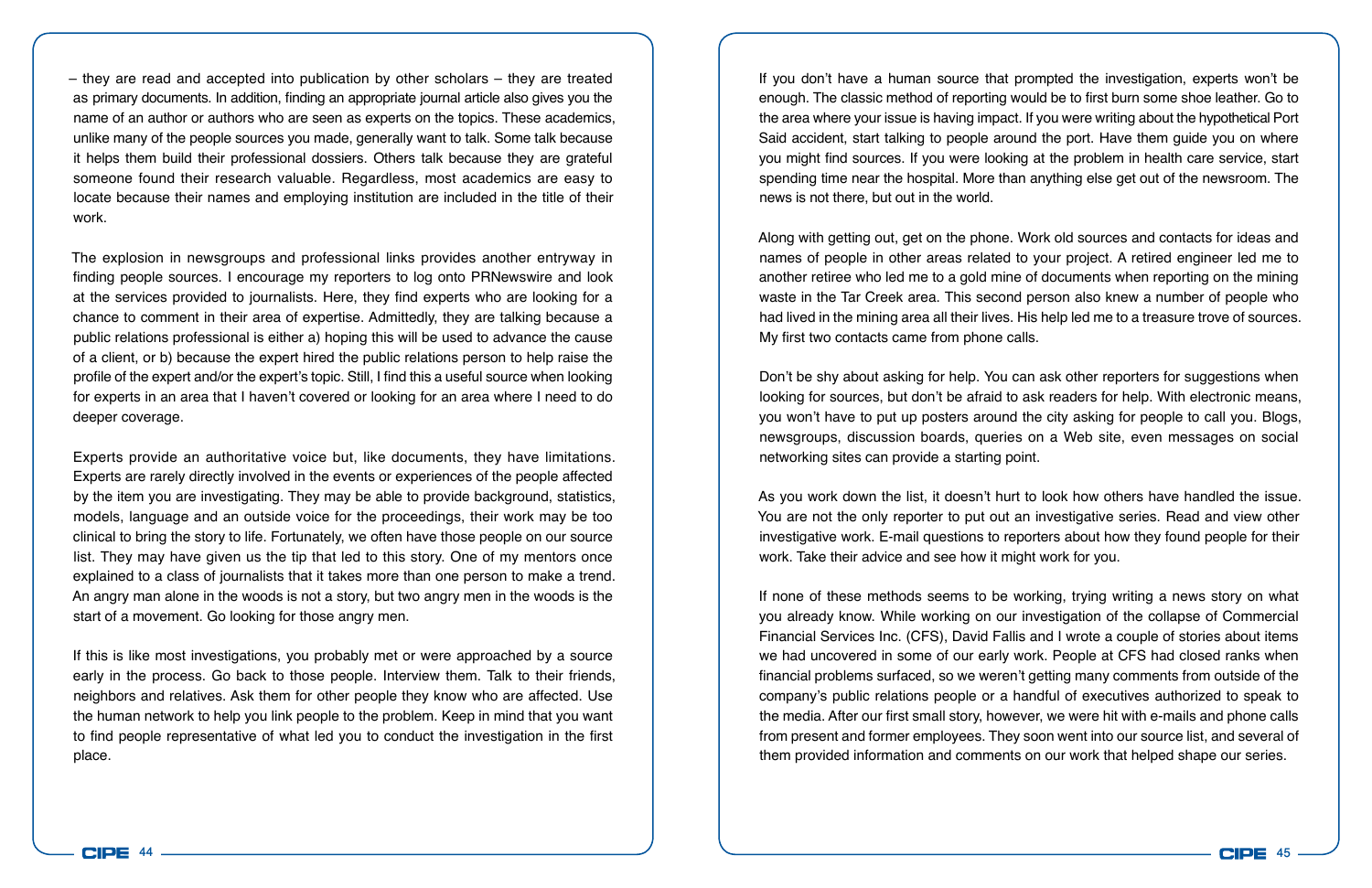– they are read and accepted into publication by other scholars – they are treated as primary documents. In addition, finding an appropriate journal article also gives you the name of an author or authors who are seen as experts on the topics. These academics, unlike many of the people sources you made, generally want to talk. Some talk because it helps them build their professional dossiers. Others talk because they are grateful someone found their research valuable. Regardless, most academics are easy to locate because their names and employing institution are included in the title of their work.

The explosion in newsgroups and professional links provides another entryway in finding people sources. I encourage my reporters to log onto PRNewswire and look at the services provided to journalists. Here, they find experts who are looking for a chance to comment in their area of expertise. Admittedly, they are talking because a public relations professional is either a) hoping this will be used to advance the cause of a client, or b) because the expert hired the public relations person to help raise the profile of the expert and/or the expert's topic. Still, I find this a useful source when looking for experts in an area that I haven't covered or looking for an area where I need to do deeper coverage.

Experts provide an authoritative voice but, like documents, they have limitations. Experts are rarely directly involved in the events or experiences of the people affected by the item you are investigating. They may be able to provide background, statistics, models, language and an outside voice for the proceedings, their work may be too clinical to bring the story to life. Fortunately, we often have those people on our source list. They may have given us the tip that led to this story. One of my mentors once explained to a class of journalists that it takes more than one person to make a trend. An angry man alone in the woods is not a story, but two angry men in the woods is the start of a movement. Go looking for those angry men.

If this is like most investigations, you probably met or were approached by a source early in the process. Go back to those people. Interview them. Talk to their friends, neighbors and relatives. Ask them for other people they know who are affected. Use the human network to help you link people to the problem. Keep in mind that you want to find people representative of what led you to conduct the investigation in the first place.

If you don't have a human source that prompted the investigation, experts won't be enough. The classic method of reporting would be to first burn some shoe leather. Go to the area where your issue is having impact. If you were writing about the hypothetical Port Said accident, start talking to people around the port. Have them guide you on where you might find sources. If you were looking at the problem in health care service, start spending time near the hospital. More than anything else get out of the newsroom. The news is not there, but out in the world.

Along with getting out, get on the phone. Work old sources and contacts for ideas and names of people in other areas related to your project. A retired engineer led me to another retiree who led me to a gold mine of documents when reporting on the mining waste in the Tar Creek area. This second person also knew a number of people who had lived in the mining area all their lives. His help led me to a treasure trove of sources. My first two contacts came from phone calls.

Don't be shy about asking for help. You can ask other reporters for suggestions when looking for sources, but don't be afraid to ask readers for help. With electronic means, you won't have to put up posters around the city asking for people to call you. Blogs, newsgroups, discussion boards, queries on a Web site, even messages on social networking sites can provide a starting point.

As you work down the list, it doesn't hurt to look how others have handled the issue. You are not the only reporter to put out an investigative series. Read and view other investigative work. E-mail questions to reporters about how they found people for their work. Take their advice and see how it might work for you.

If none of these methods seems to be working, trying writing a news story on what you already know. While working on our investigation of the collapse of Commercial Financial Services Inc. (CFS), David Fallis and I wrote a couple of stories about items we had uncovered in some of our early work. People at CFS had closed ranks when financial problems surfaced, so we weren't getting many comments from outside of the company's public relations people or a handful of executives authorized to speak to the media. After our first small story, however, we were hit with e-mails and phone calls from present and former employees. They soon went into our source list, and several of them provided information and comments on our work that helped shape our series.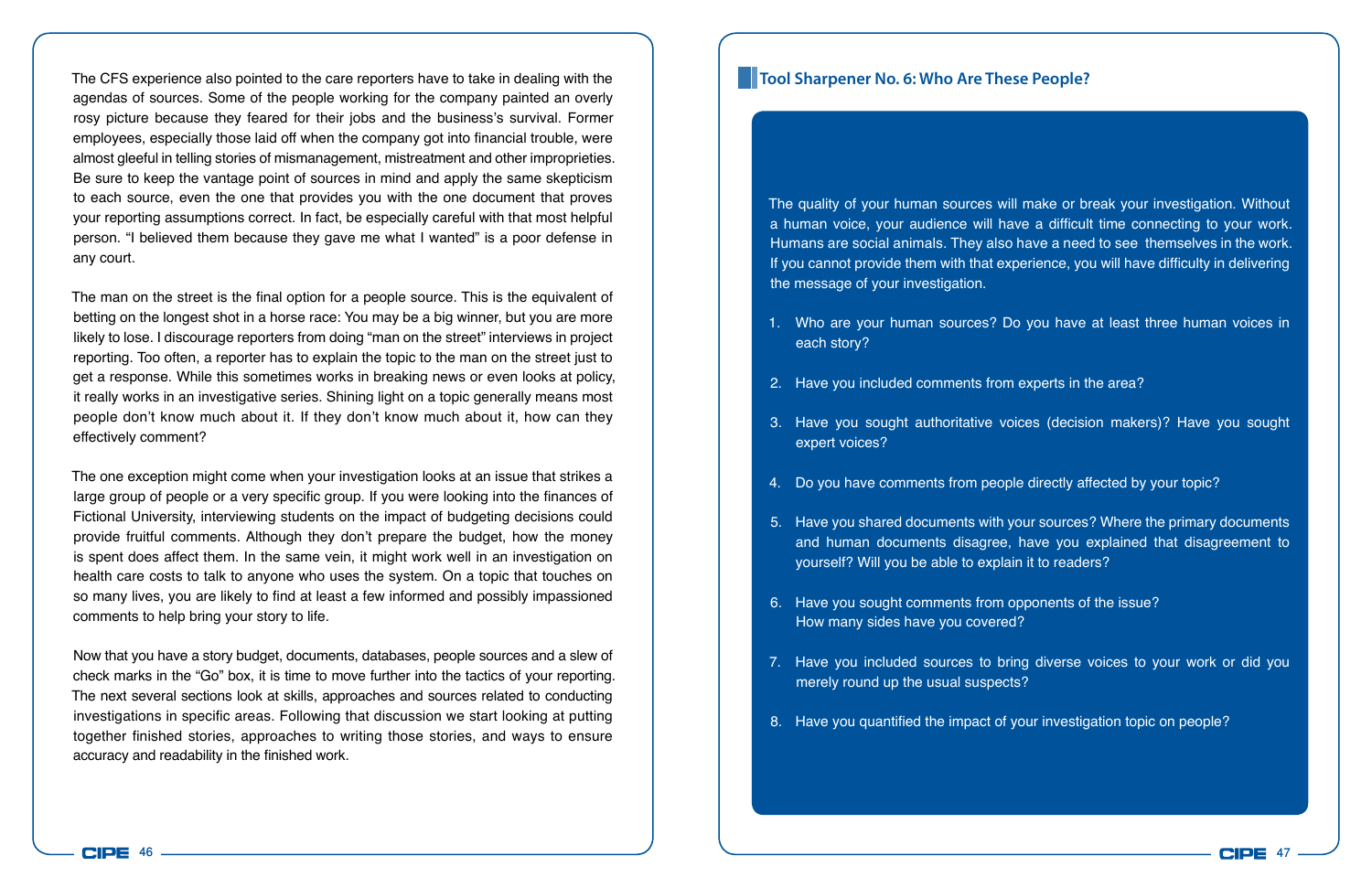The CFS experience also pointed to the care reporters have to take in dealing with the agendas of sources. Some of the people working for the company painted an overly rosy picture because they feared for their jobs and the business's survival. Former employees, especially those laid off when the company got into financial trouble, were almost gleeful in telling stories of mismanagement, mistreatment and other improprieties. Be sure to keep the vantage point of sources in mind and apply the same skepticism to each source, even the one that provides you with the one document that proves your reporting assumptions correct. In fact, be especially careful with that most helpful person. "I believed them because they gave me what I wanted" is a poor defense in any court.

The man on the street is the final option for a people source. This is the equivalent of betting on the longest shot in a horse race: You may be a big winner, but you are more likely to lose. I discourage reporters from doing "man on the street" interviews in project reporting. Too often, a reporter has to explain the topic to the man on the street just to get a response. While this sometimes works in breaking news or even looks at policy, it really works in an investigative series. Shining light on a topic generally means most people don't know much about it. If they don't know much about it, how can they effectively comment?

The one exception might come when your investigation looks at an issue that strikes a large group of people or a very specific group. If you were looking into the finances of Fictional University, interviewing students on the impact of budgeting decisions could provide fruitful comments. Although they don't prepare the budget, how the money is spent does affect them. In the same vein, it might work well in an investigation on health care costs to talk to anyone who uses the system. On a topic that touches on so many lives, you are likely to find at least a few informed and possibly impassioned comments to help bring your story to life.

Now that you have a story budget, documents, databases, people sources and a slew of check marks in the "Go" box, it is time to move further into the tactics of your reporting. The next several sections look at skills, approaches and sources related to conducting investigations in specific areas. Following that discussion we start looking at putting together finished stories, approaches to writing those stories, and ways to ensure accuracy and readability in the finished work.

#### **Tool Sharpener No. 6: Who Are These People?**

The quality of your human sources will make or break your investigation. Without a human voice, your audience will have a difficult time connecting to your work. Humans are social animals. They also have a need to see themselves in the work. If you cannot provide them with that experience, you will have difficulty in delivering the message of your investigation.

- 1. Who are your human sources? Do you have at least three human voices in each story?
- 2. Have you included comments from experts in the area?
- 3. Have you sought authoritative voices (decision makers)? Have you sought expert voices?
- 4. Do you have comments from people directly affected by your topic?
- 5. Have you shared documents with your sources? Where the primary documents and human documents disagree, have you explained that disagreement to yourself? Will you be able to explain it to readers?
- 6. Have you sought comments from opponents of the issue? How many sides have you covered?
- 7. Have you included sources to bring diverse voices to your work or did you merely round up the usual suspects?
- 8. Have you quantified the impact of your investigation topic on people?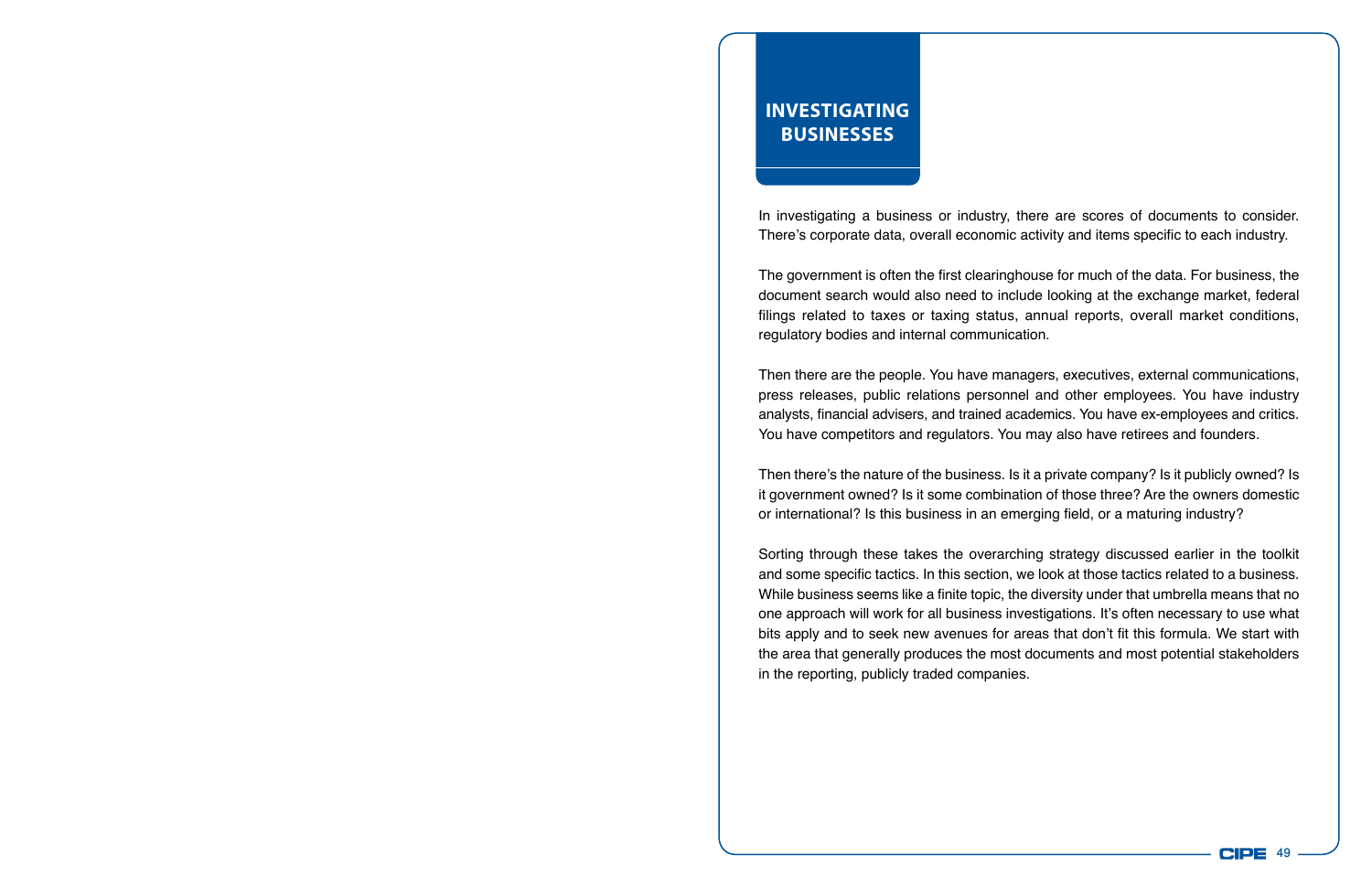## **Investigating Businesses**

In investigating a business or industry, there are scores of documents to consider. There's corporate data, overall economic activity and items specific to each industry.

The government is often the first clearinghouse for much of the data. For business, the document search would also need to include looking at the exchange market, federal filings related to taxes or taxing status, annual reports, overall market conditions, regulatory bodies and internal communication.

Then there are the people. You have managers, executives, external communications, press releases, public relations personnel and other employees. You have industry analysts, financial advisers, and trained academics. You have ex-employees and critics. You have competitors and regulators. You may also have retirees and founders.

Then there's the nature of the business. Is it a private company? Is it publicly owned? Is it government owned? Is it some combination of those three? Are the owners domestic or international? Is this business in an emerging field, or a maturing industry?

Sorting through these takes the overarching strategy discussed earlier in the toolkit and some specific tactics. In this section, we look at those tactics related to a business. While business seems like a finite topic, the diversity under that umbrella means that no one approach will work for all business investigations. It's often necessary to use what bits apply and to seek new avenues for areas that don't fit this formula. We start with the area that generally produces the most documents and most potential stakeholders in the reporting, publicly traded companies.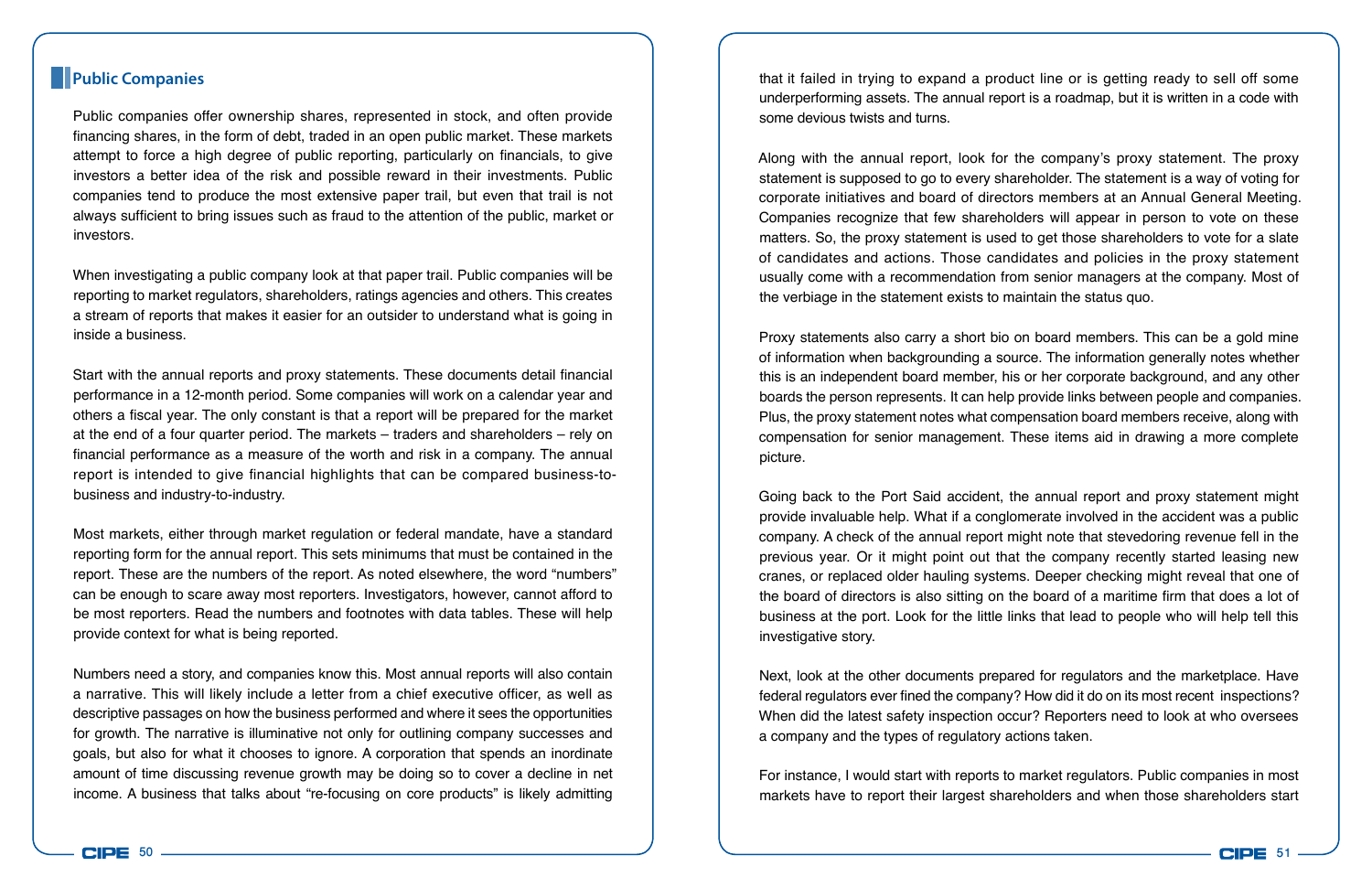Public companies offer ownership shares, represented in stock, and often provide financing shares, in the form of debt, traded in an open public market. These markets attempt to force a high degree of public reporting, particularly on financials, to give investors a better idea of the risk and possible reward in their investments. Public companies tend to produce the most extensive paper trail, but even that trail is not always sufficient to bring issues such as fraud to the attention of the public, market or investors.

When investigating a public company look at that paper trail. Public companies will be reporting to market regulators, shareholders, ratings agencies and others. This creates a stream of reports that makes it easier for an outsider to understand what is going in inside a business.

Start with the annual reports and proxy statements. These documents detail financial performance in a 12-month period. Some companies will work on a calendar year and others a fiscal year. The only constant is that a report will be prepared for the market at the end of a four quarter period. The markets – traders and shareholders – rely on financial performance as a measure of the worth and risk in a company. The annual report is intended to give financial highlights that can be compared business-tobusiness and industry-to-industry.

Most markets, either through market regulation or federal mandate, have a standard reporting form for the annual report. This sets minimums that must be contained in the report. These are the numbers of the report. As noted elsewhere, the word "numbers" can be enough to scare away most reporters. Investigators, however, cannot afford to be most reporters. Read the numbers and footnotes with data tables. These will help provide context for what is being reported.

Numbers need a story, and companies know this. Most annual reports will also contain a narrative. This will likely include a letter from a chief executive officer, as well as descriptive passages on how the business performed and where it sees the opportunities for growth. The narrative is illuminative not only for outlining company successes and goals, but also for what it chooses to ignore. A corporation that spends an inordinate amount of time discussing revenue growth may be doing so to cover a decline in net income. A business that talks about "re-focusing on core products" is likely admitting

**Public Companies** that it failed in trying to expand a product line or is getting ready to sell off some underperforming assets. The annual report is a roadmap, but it is written in a code with some devious twists and turns.

> Along with the annual report, look for the company's proxy statement. The proxy statement is supposed to go to every shareholder. The statement is a way of voting for corporate initiatives and board of directors members at an Annual General Meeting. Companies recognize that few shareholders will appear in person to vote on these matters. So, the proxy statement is used to get those shareholders to vote for a slate of candidates and actions. Those candidates and policies in the proxy statement usually come with a recommendation from senior managers at the company. Most of the verbiage in the statement exists to maintain the status quo.

> Proxy statements also carry a short bio on board members. This can be a gold mine of information when backgrounding a source. The information generally notes whether this is an independent board member, his or her corporate background, and any other boards the person represents. It can help provide links between people and companies. Plus, the proxy statement notes what compensation board members receive, along with compensation for senior management. These items aid in drawing a more complete picture.

> Going back to the Port Said accident, the annual report and proxy statement might provide invaluable help. What if a conglomerate involved in the accident was a public company. A check of the annual report might note that stevedoring revenue fell in the previous year. Or it might point out that the company recently started leasing new cranes, or replaced older hauling systems. Deeper checking might reveal that one of the board of directors is also sitting on the board of a maritime firm that does a lot of business at the port. Look for the little links that lead to people who will help tell this investigative story.

> Next, look at the other documents prepared for regulators and the marketplace. Have federal regulators ever fined the company? How did it do on its most recent inspections? When did the latest safety inspection occur? Reporters need to look at who oversees a company and the types of regulatory actions taken.

> For instance, I would start with reports to market regulators. Public companies in most markets have to report their largest shareholders and when those shareholders start

**CIPE**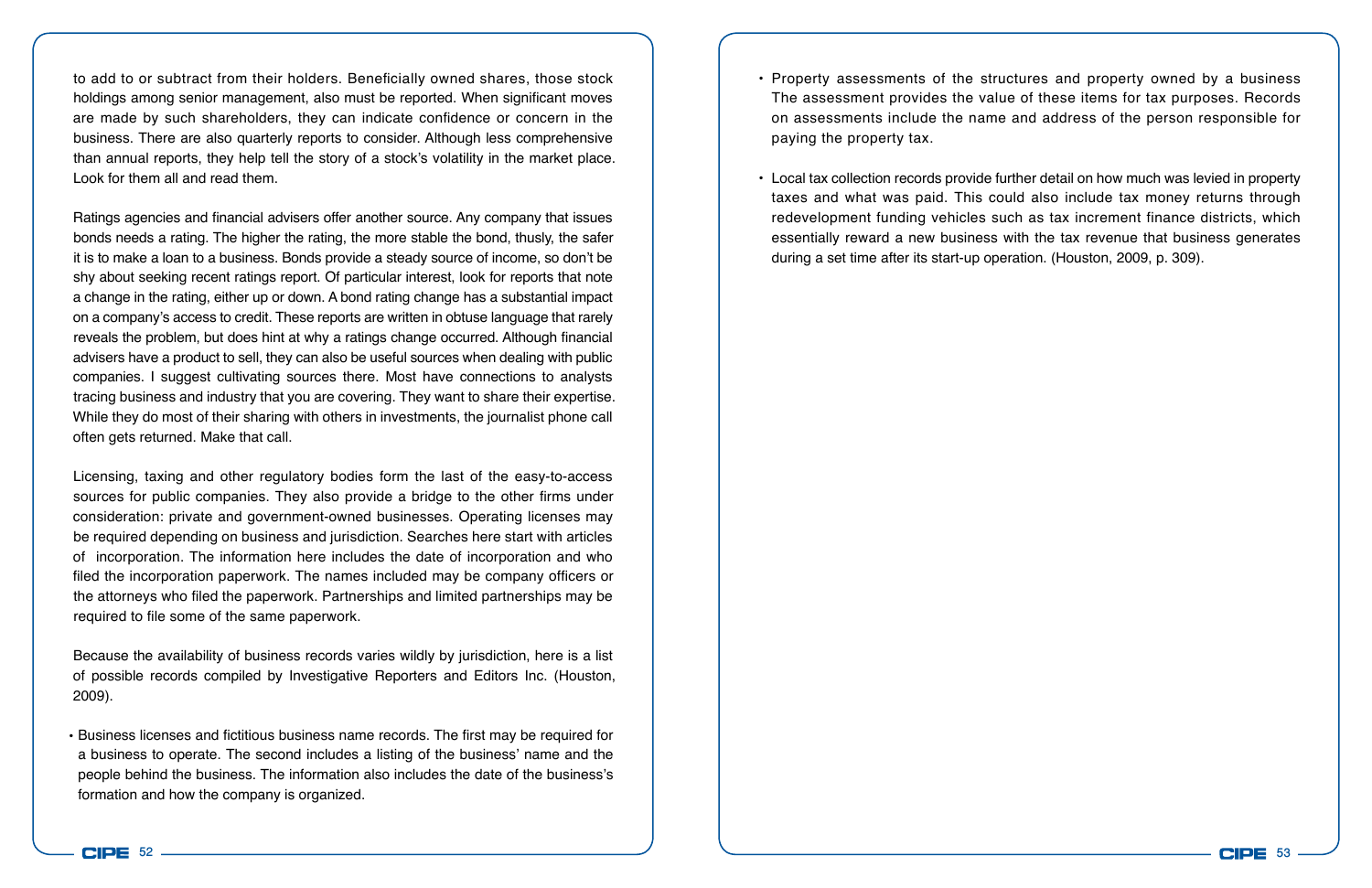to add to or subtract from their holders. Beneficially owned shares, those stock holdings among senior management, also must be reported. When significant moves are made by such shareholders, they can indicate confidence or concern in the business. There are also quarterly reports to consider. Although less comprehensive than annual reports, they help tell the story of a stock's volatility in the market place. Look for them all and read them.

Ratings agencies and financial advisers offer another source. Any company that issues bonds needs a rating. The higher the rating, the more stable the bond, thusly, the safer it is to make a loan to a business. Bonds provide a steady source of income, so don't be shy about seeking recent ratings report. Of particular interest, look for reports that note a change in the rating, either up or down. A bond rating change has a substantial impact on a company's access to credit. These reports are written in obtuse language that rarely reveals the problem, but does hint at why a ratings change occurred. Although financial advisers have a product to sell, they can also be useful sources when dealing with public companies. I suggest cultivating sources there. Most have connections to analysts tracing business and industry that you are covering. They want to share their expertise. While they do most of their sharing with others in investments, the journalist phone call often gets returned. Make that call.

Licensing, taxing and other regulatory bodies form the last of the easy-to-access sources for public companies. They also provide a bridge to the other firms under consideration: private and government-owned businesses. Operating licenses may be required depending on business and jurisdiction. Searches here start with articles of incorporation. The information here includes the date of incorporation and who filed the incorporation paperwork. The names included may be company officers or the attorneys who filed the paperwork. Partnerships and limited partnerships may be required to file some of the same paperwork.

Because the availability of business records varies wildly by jurisdiction, here is a list of possible records compiled by Investigative Reporters and Editors Inc. (Houston, 2009).

• Business licenses and fictitious business name records. The first may be required for a business to operate. The second includes a listing of the business' name and the people behind the business. The information also includes the date of the business's formation and how the company is organized.

- Property assessments of the structures and property owned by a business The assessment provides the value of these items for tax purposes. Records on assessments include the name and address of the person responsible for paying the property tax.
- Local tax collection records provide further detail on how much was levied in property taxes and what was paid. This could also include tax money returns through redevelopment funding vehicles such as tax increment finance districts, which essentially reward a new business with the tax revenue that business generates during a set time after its start-up operation. (Houston, 2009, p. 309).

CIPE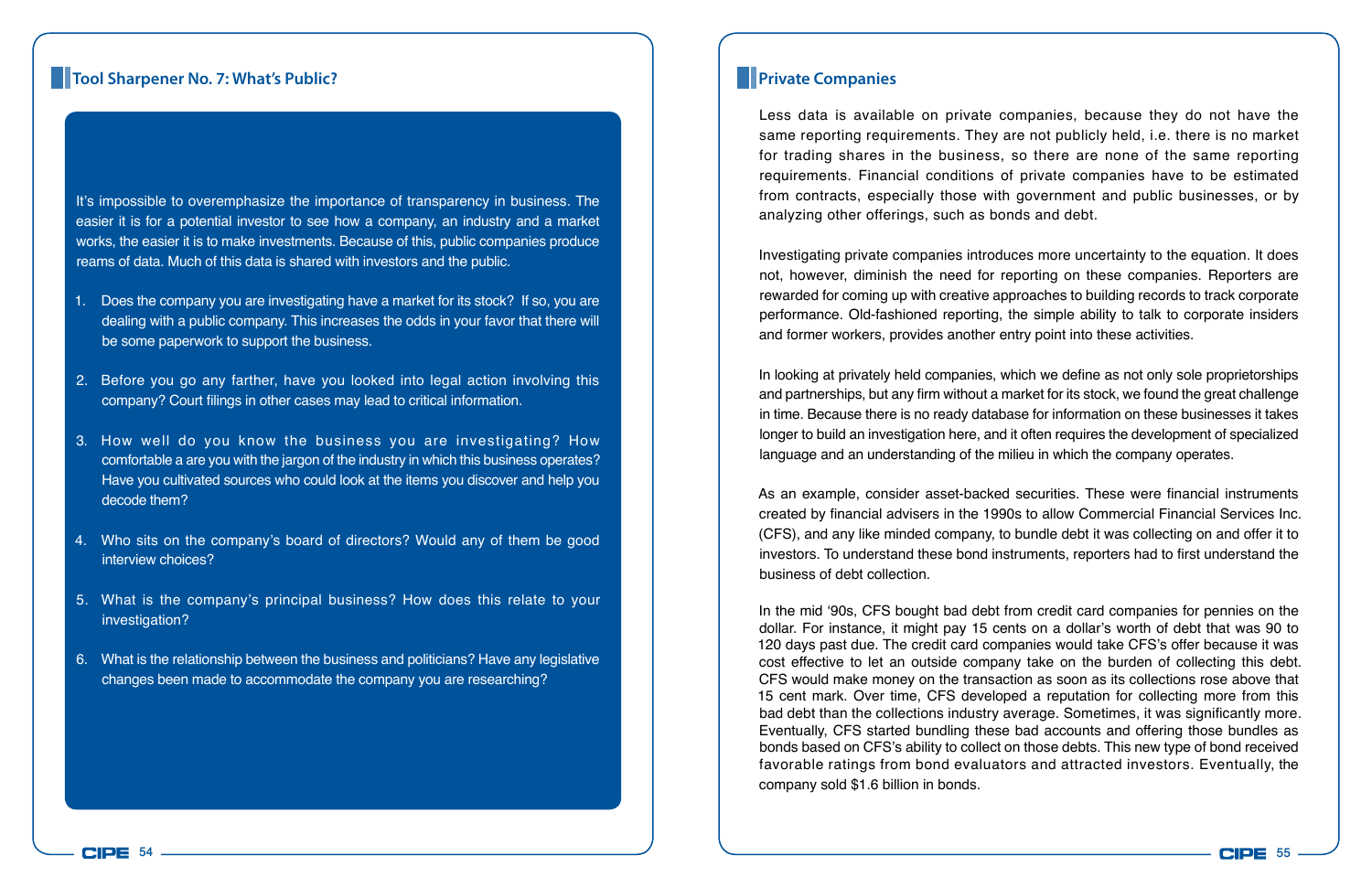## **Tool Sharpener No. 7: What's Public? Private Companies Private Companies**

It's impossible to overemphasize the importance of transparency in business. The easier it is for a potential investor to see how a company, an industry and a market works, the easier it is to make investments. Because of this, public companies produce reams of data. Much of this data is shared with investors and the public.

- 1. Does the company you are investigating have a market for its stock? If so, you are dealing with a public company. This increases the odds in your favor that there will be some paperwork to support the business.
- 2. Before you go any farther, have you looked into legal action involving this company? Court filings in other cases may lead to critical information.
- 3. How well do you know the business you are investigating? How comfortable a are you with the jargon of the industry in which this business operates? Have you cultivated sources who could look at the items you discover and help you decode them?
- 4. Who sits on the company's board of directors? Would any of them be good interview choices?
- 5. What is the company's principal business? How does this relate to your investigation?
- 6. What is the relationship between the business and politicians? Have any legislative changes been made to accommodate the company you are researching?

Less data is available on private companies, because they do not have the same reporting requirements. They are not publicly held, i.e. there is no market for trading shares in the business, so there are none of the same reporting requirements. Financial conditions of private companies have to be estimated from contracts, especially those with government and public businesses, or by analyzing other offerings, such as bonds and debt.

Investigating private companies introduces more uncertainty to the equation. It does not, however, diminish the need for reporting on these companies. Reporters are rewarded for coming up with creative approaches to building records to track corporate performance. Old-fashioned reporting, the simple ability to talk to corporate insiders and former workers, provides another entry point into these activities.

In looking at privately held companies, which we define as not only sole proprietorships and partnerships, but any firm without a market for its stock, we found the great challenge in time. Because there is no ready database for information on these businesses it takes longer to build an investigation here, and it often requires the development of specialized language and an understanding of the milieu in which the company operates.

As an example, consider asset-backed securities. These were financial instruments created by financial advisers in the 1990s to allow Commercial Financial Services Inc. (CFS), and any like minded company, to bundle debt it was collecting on and offer it to investors. To understand these bond instruments, reporters had to first understand the business of debt collection.

In the mid '90s, CFS bought bad debt from credit card companies for pennies on the dollar. For instance, it might pay 15 cents on a dollar's worth of debt that was 90 to 120 days past due. The credit card companies would take CFS's offer because it was cost effective to let an outside company take on the burden of collecting this debt. CFS would make money on the transaction as soon as its collections rose above that 15 cent mark. Over time, CFS developed a reputation for collecting more from this bad debt than the collections industry average. Sometimes, it was significantly more. Eventually, CFS started bundling these bad accounts and offering those bundles as bonds based on CFS's ability to collect on those debts. This new type of bond received favorable ratings from bond evaluators and attracted investors. Eventually, the company sold \$1.6 billion in bonds.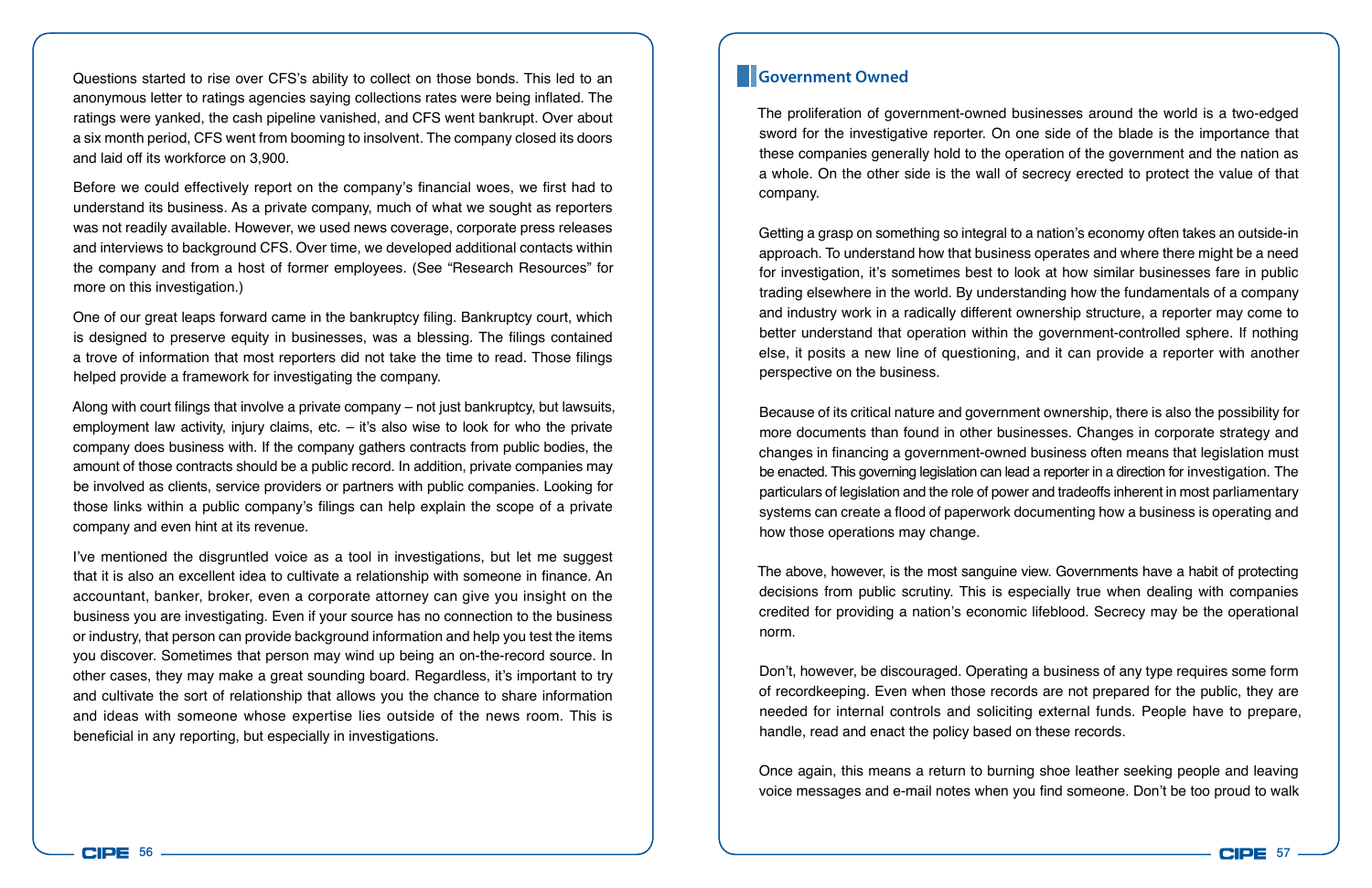Questions started to rise over CFS's ability to collect on those bonds. This led to an anonymous letter to ratings agencies saying collections rates were being inflated. The ratings were yanked, the cash pipeline vanished, and CFS went bankrupt. Over about a six month period, CFS went from booming to insolvent. The company closed its doors and laid off its workforce on 3,900.

Before we could effectively report on the company's financial woes, we first had to understand its business. As a private company, much of what we sought as reporters was not readily available. However, we used news coverage, corporate press releases and interviews to background CFS. Over time, we developed additional contacts within the company and from a host of former employees. (See "Research Resources" for more on this investigation.)

One of our great leaps forward came in the bankruptcy filing. Bankruptcy court, which is designed to preserve equity in businesses, was a blessing. The filings contained a trove of information that most reporters did not take the time to read. Those filings helped provide a framework for investigating the company.

Along with court filings that involve a private company – not just bankruptcy, but lawsuits, employment law activity, injury claims, etc. – it's also wise to look for who the private company does business with. If the company gathers contracts from public bodies, the amount of those contracts should be a public record. In addition, private companies may be involved as clients, service providers or partners with public companies. Looking for those links within a public company's filings can help explain the scope of a private company and even hint at its revenue.

I've mentioned the disgruntled voice as a tool in investigations, but let me suggest that it is also an excellent idea to cultivate a relationship with someone in finance. An accountant, banker, broker, even a corporate attorney can give you insight on the business you are investigating. Even if your source has no connection to the business or industry, that person can provide background information and help you test the items you discover. Sometimes that person may wind up being an on-the-record source. In other cases, they may make a great sounding board. Regardless, it's important to try and cultivate the sort of relationship that allows you the chance to share information and ideas with someone whose expertise lies outside of the news room. This is beneficial in any reporting, but especially in investigations.

### **Government Owned**

The proliferation of government-owned businesses around the world is a two-edged sword for the investigative reporter. On one side of the blade is the importance that these companies generally hold to the operation of the government and the nation as a whole. On the other side is the wall of secrecy erected to protect the value of that company.

Getting a grasp on something so integral to a nation's economy often takes an outside-in approach. To understand how that business operates and where there might be a need for investigation, it's sometimes best to look at how similar businesses fare in public trading elsewhere in the world. By understanding how the fundamentals of a company and industry work in a radically different ownership structure, a reporter may come to better understand that operation within the government-controlled sphere. If nothing else, it posits a new line of questioning, and it can provide a reporter with another perspective on the business.

Because of its critical nature and government ownership, there is also the possibility for more documents than found in other businesses. Changes in corporate strategy and changes in financing a government-owned business often means that legislation must be enacted. This governing legislation can lead a reporter in a direction for investigation. The particulars of legislation and the role of power and tradeoffs inherent in most parliamentary systems can create a flood of paperwork documenting how a business is operating and how those operations may change.

The above, however, is the most sanguine view. Governments have a habit of protecting decisions from public scrutiny. This is especially true when dealing with companies credited for providing a nation's economic lifeblood. Secrecy may be the operational norm.

Don't, however, be discouraged. Operating a business of any type requires some form of recordkeeping. Even when those records are not prepared for the public, they are needed for internal controls and soliciting external funds. People have to prepare, handle, read and enact the policy based on these records.

Once again, this means a return to burning shoe leather seeking people and leaving voice messages and e-mail notes when you find someone. Don't be too proud to walk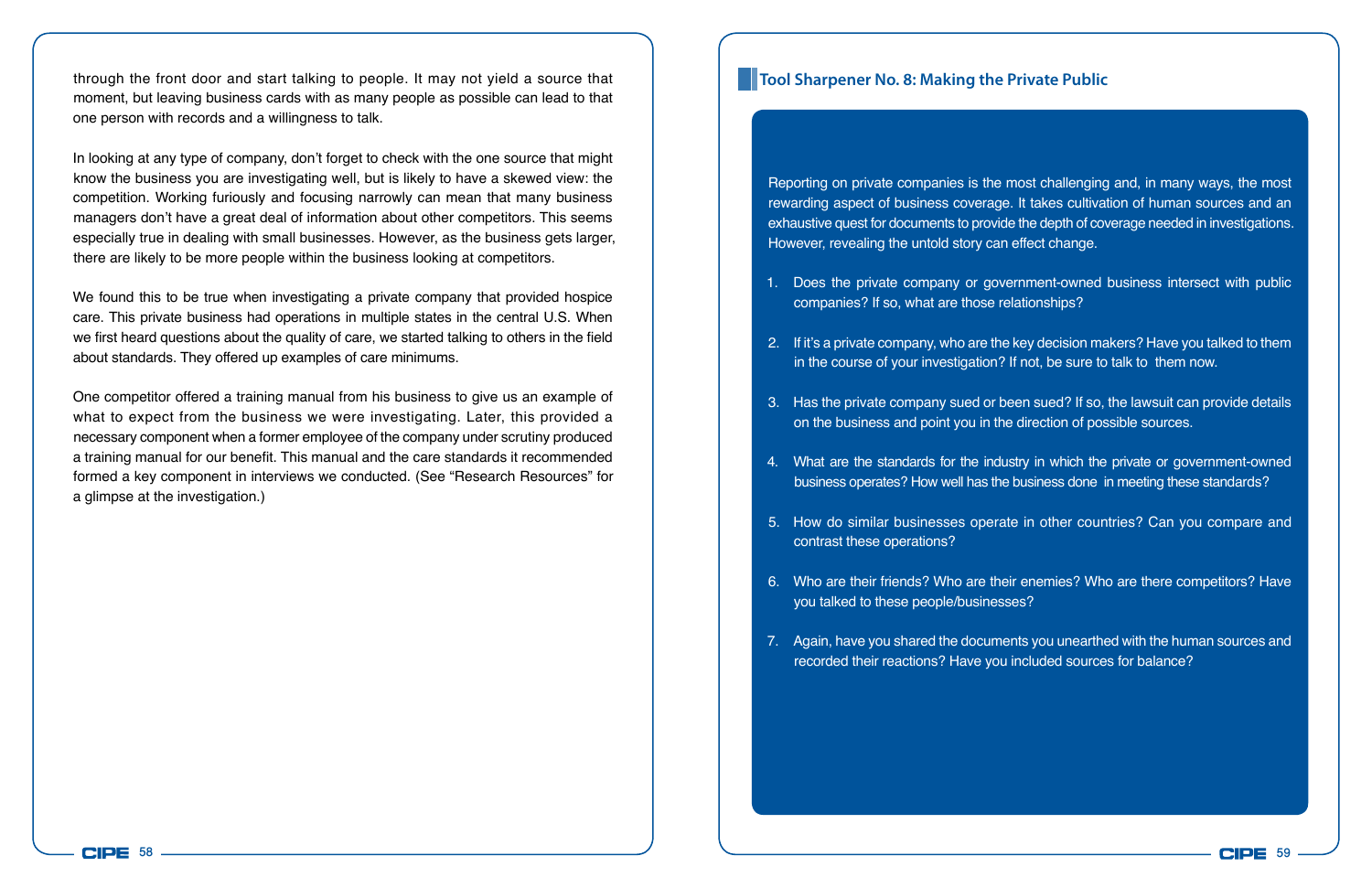through the front door and start talking to people. It may not yield a source that moment, but leaving business cards with as many people as possible can lead to that one person with records and a willingness to talk.

In looking at any type of company, don't forget to check with the one source that might know the business you are investigating well, but is likely to have a skewed view: the competition. Working furiously and focusing narrowly can mean that many business managers don't have a great deal of information about other competitors. This seems especially true in dealing with small businesses. However, as the business gets larger, there are likely to be more people within the business looking at competitors.

We found this to be true when investigating a private company that provided hospice care. This private business had operations in multiple states in the central U.S. When we first heard questions about the quality of care, we started talking to others in the field about standards. They offered up examples of care minimums.

One competitor offered a training manual from his business to give us an example of what to expect from the business we were investigating. Later, this provided a necessary component when a former employee of the company under scrutiny produced a training manual for our benefit. This manual and the care standards it recommended formed a key component in interviews we conducted. (See "Research Resources" for a glimpse at the investigation.)

## **Tool Sharpener No. 8: Making the Private Public**

Reporting on private companies is the most challenging and, in many ways, the most rewarding aspect of business coverage. It takes cultivation of human sources and an exhaustive quest for documents to provide the depth of coverage needed in investigations. However, revealing the untold story can effect change.

- 1. Does the private company or government-owned business intersect with public companies? If so, what are those relationships?
- 2. If it's a private company, who are the key decision makers? Have you talked to them in the course of your investigation? If not, be sure to talk to them now.
- 3. Has the private company sued or been sued? If so, the lawsuit can provide details on the business and point you in the direction of possible sources.
- 4. What are the standards for the industry in which the private or government-owned business operates? How well has the business done in meeting these standards?
- 5. How do similar businesses operate in other countries? Can you compare and contrast these operations?
- 6. Who are their friends? Who are their enemies? Who are there competitors? Have you talked to these people/businesses?
- 7. Again, have you shared the documents you unearthed with the human sources and recorded their reactions? Have you included sources for balance?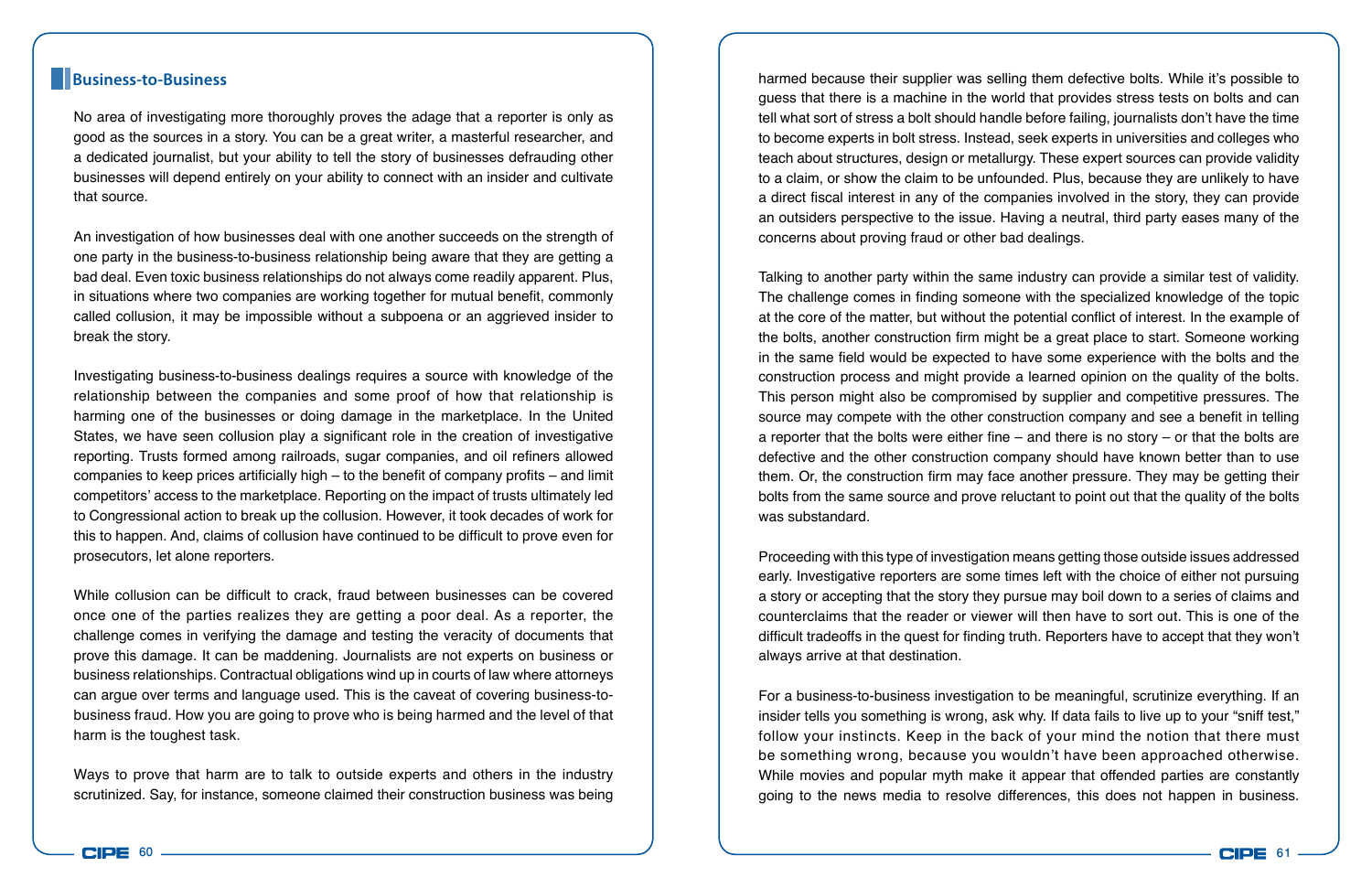#### **Business-to-Business**

No area of investigating more thoroughly proves the adage that a reporter is only as good as the sources in a story. You can be a great writer, a masterful researcher, and a dedicated journalist, but your ability to tell the story of businesses defrauding other businesses will depend entirely on your ability to connect with an insider and cultivate that source.

An investigation of how businesses deal with one another succeeds on the strength of one party in the business-to-business relationship being aware that they are getting a bad deal. Even toxic business relationships do not always come readily apparent. Plus, in situations where two companies are working together for mutual benefit, commonly called collusion, it may be impossible without a subpoena or an aggrieved insider to break the story.

Investigating business-to-business dealings requires a source with knowledge of the relationship between the companies and some proof of how that relationship is harming one of the businesses or doing damage in the marketplace. In the United States, we have seen collusion play a significant role in the creation of investigative reporting. Trusts formed among railroads, sugar companies, and oil refiners allowed companies to keep prices artificially high – to the benefit of company profits – and limit competitors' access to the marketplace. Reporting on the impact of trusts ultimately led to Congressional action to break up the collusion. However, it took decades of work for this to happen. And, claims of collusion have continued to be difficult to prove even for prosecutors, let alone reporters.

While collusion can be difficult to crack, fraud between businesses can be covered once one of the parties realizes they are getting a poor deal. As a reporter, the challenge comes in verifying the damage and testing the veracity of documents that prove this damage. It can be maddening. Journalists are not experts on business or business relationships. Contractual obligations wind up in courts of law where attorneys can argue over terms and language used. This is the caveat of covering business-tobusiness fraud. How you are going to prove who is being harmed and the level of that harm is the toughest task.

Ways to prove that harm are to talk to outside experts and others in the industry scrutinized. Say, for instance, someone claimed their construction business was being

harmed because their supplier was selling them defective bolts. While it's possible to guess that there is a machine in the world that provides stress tests on bolts and can tell what sort of stress a bolt should handle before failing, journalists don't have the time to become experts in bolt stress. Instead, seek experts in universities and colleges who teach about structures, design or metallurgy. These expert sources can provide validity to a claim, or show the claim to be unfounded. Plus, because they are unlikely to have a direct fiscal interest in any of the companies involved in the story, they can provide an outsiders perspective to the issue. Having a neutral, third party eases many of the concerns about proving fraud or other bad dealings.

Talking to another party within the same industry can provide a similar test of validity. The challenge comes in finding someone with the specialized knowledge of the topic at the core of the matter, but without the potential conflict of interest. In the example of the bolts, another construction firm might be a great place to start. Someone working in the same field would be expected to have some experience with the bolts and the construction process and might provide a learned opinion on the quality of the bolts. This person might also be compromised by supplier and competitive pressures. The source may compete with the other construction company and see a benefit in telling a reporter that the bolts were either fine – and there is no story – or that the bolts are defective and the other construction company should have known better than to use them. Or, the construction firm may face another pressure. They may be getting their bolts from the same source and prove reluctant to point out that the quality of the bolts was substandard.

Proceeding with this type of investigation means getting those outside issues addressed early. Investigative reporters are some times left with the choice of either not pursuing a story or accepting that the story they pursue may boil down to a series of claims and counterclaims that the reader or viewer will then have to sort out. This is one of the difficult tradeoffs in the quest for finding truth. Reporters have to accept that they won't always arrive at that destination.

For a business-to-business investigation to be meaningful, scrutinize everything. If an insider tells you something is wrong, ask why. If data fails to live up to your "sniff test," follow your instincts. Keep in the back of your mind the notion that there must be something wrong, because you wouldn't have been approached otherwise. While movies and popular myth make it appear that offended parties are constantly going to the news media to resolve differences, this does not happen in business.

**CIPE**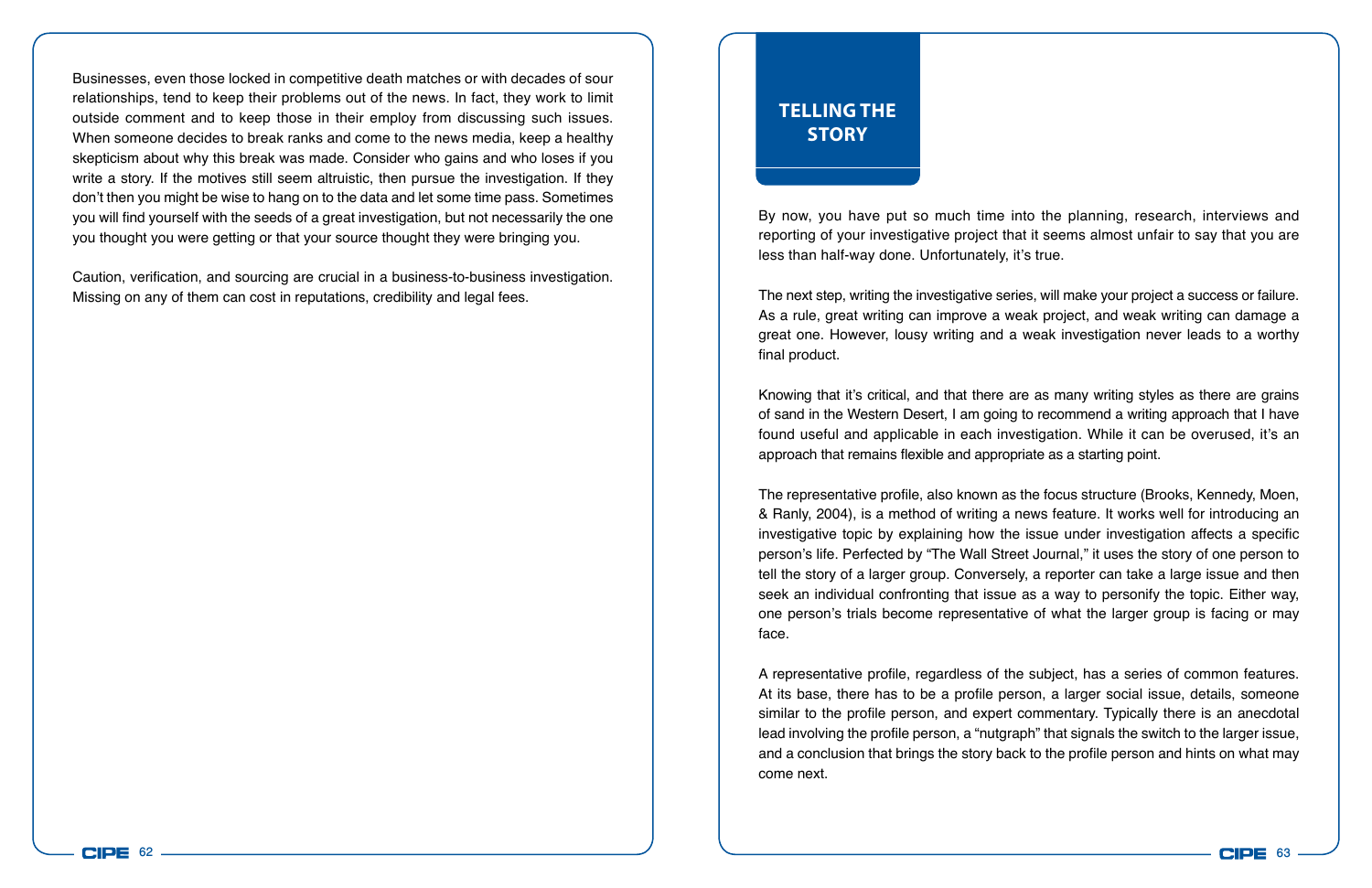Businesses, even those locked in competitive death matches or with decades of sour relationships, tend to keep their problems out of the news. In fact, they work to limit outside comment and to keep those in their employ from discussing such issues. When someone decides to break ranks and come to the news media, keep a healthy skepticism about why this break was made. Consider who gains and who loses if you write a story. If the motives still seem altruistic, then pursue the investigation. If they don't then you might be wise to hang on to the data and let some time pass. Sometimes you will find yourself with the seeds of a great investigation, but not necessarily the one you thought you were getting or that your source thought they were bringing you.

Caution, verification, and sourcing are crucial in a business-to-business investigation. Missing on any of them can cost in reputations, credibility and legal fees.

## **Telling the Story**

By now, you have put so much time into the planning, research, interviews and reporting of your investigative project that it seems almost unfair to say that you are less than half-way done. Unfortunately, it's true.

The next step, writing the investigative series, will make your project a success or failure. As a rule, great writing can improve a weak project, and weak writing can damage a great one. However, lousy writing and a weak investigation never leads to a worthy final product.

Knowing that it's critical, and that there are as many writing styles as there are grains of sand in the Western Desert, I am going to recommend a writing approach that I have found useful and applicable in each investigation. While it can be overused, it's an approach that remains flexible and appropriate as a starting point.

The representative profile, also known as the focus structure (Brooks, Kennedy, Moen, & Ranly, 2004), is a method of writing a news feature. It works well for introducing an investigative topic by explaining how the issue under investigation affects a specific person's life. Perfected by "The Wall Street Journal," it uses the story of one person to tell the story of a larger group. Conversely, a reporter can take a large issue and then seek an individual confronting that issue as a way to personify the topic. Either way, one person's trials become representative of what the larger group is facing or may face.

A representative profile, regardless of the subject, has a series of common features. At its base, there has to be a profile person, a larger social issue, details, someone similar to the profile person, and expert commentary. Typically there is an anecdotal lead involving the profile person, a "nutgraph" that signals the switch to the larger issue, and a conclusion that brings the story back to the profile person and hints on what may come next.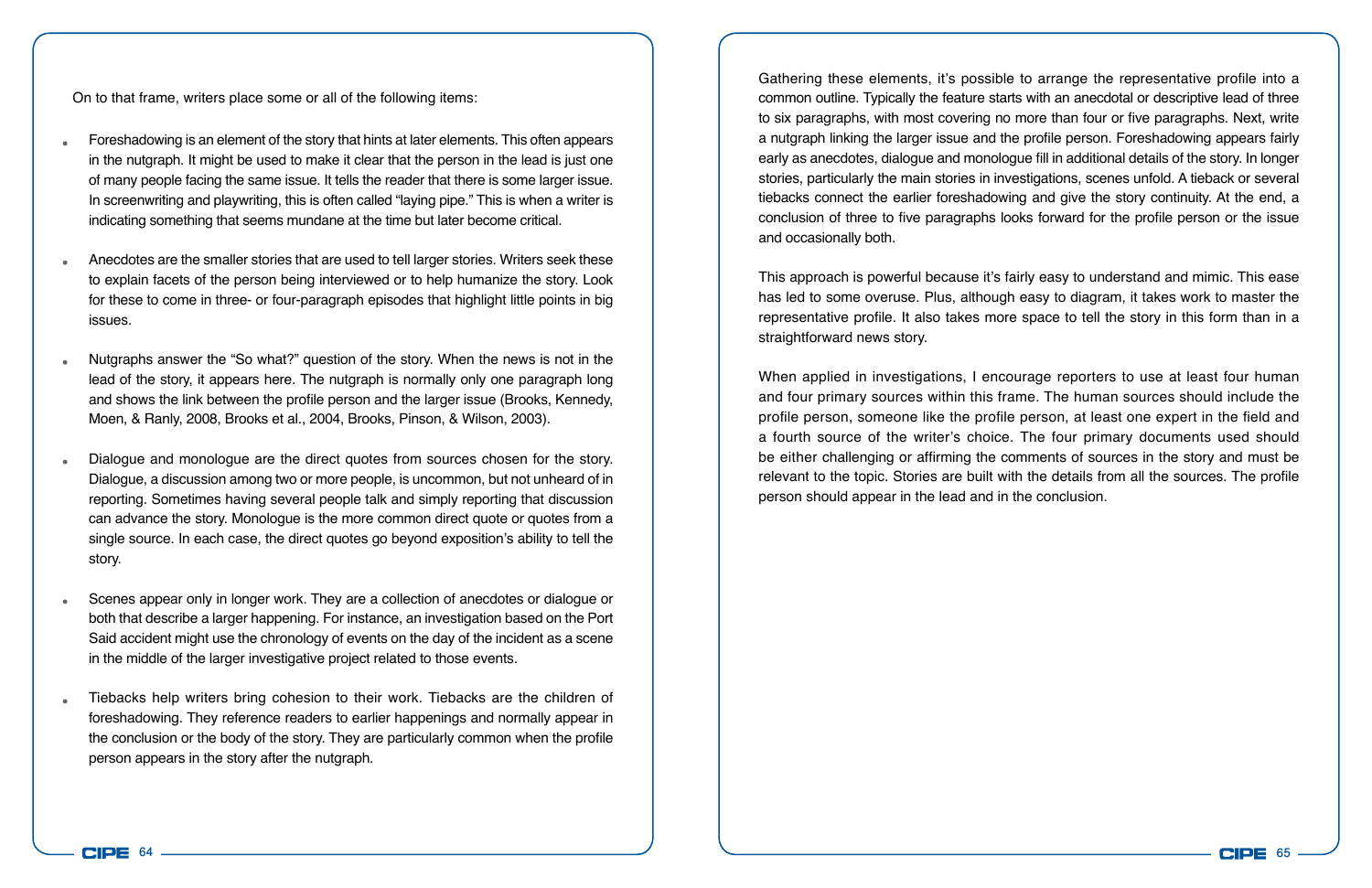On to that frame, writers place some or all of the following items:

- Foreshadowing is an element of the story that hints at later elements. This often appears in the nutgraph. It might be used to make it clear that the person in the lead is just one of many people facing the same issue. It tells the reader that there is some larger issue. In screenwriting and playwriting, this is often called "laying pipe." This is when a writer is indicating something that seems mundane at the time but later become critical.
- Anecdotes are the smaller stories that are used to tell larger stories. Writers seek these to explain facets of the person being interviewed or to help humanize the story. Look for these to come in three- or four-paragraph episodes that highlight little points in big issues.
- Nutgraphs answer the "So what?" question of the story. When the news is not in the lead of the story, it appears here. The nutgraph is normally only one paragraph long and shows the link between the profile person and the larger issue (Brooks, Kennedy, Moen, & Ranly, 2008, Brooks et al., 2004, Brooks, Pinson, & Wilson, 2003).
- Dialogue and monologue are the direct quotes from sources chosen for the story. Dialogue, a discussion among two or more people, is uncommon, but not unheard of in reporting. Sometimes having several people talk and simply reporting that discussion can advance the story. Monologue is the more common direct quote or quotes from a single source. In each case, the direct quotes go beyond exposition's ability to tell the story.
- Scenes appear only in longer work. They are a collection of anecdotes or dialogue or both that describe a larger happening. For instance, an investigation based on the Port Said accident might use the chronology of events on the day of the incident as a scene in the middle of the larger investigative project related to those events.
- Tiebacks help writers bring cohesion to their work. Tiebacks are the children of foreshadowing. They reference readers to earlier happenings and normally appear in the conclusion or the body of the story. They are particularly common when the profile person appears in the story after the nutgraph.

Gathering these elements, it's possible to arrange the representative profile into a common outline. Typically the feature starts with an anecdotal or descriptive lead of three to six paragraphs, with most covering no more than four or five paragraphs. Next, write a nutgraph linking the larger issue and the profile person. Foreshadowing appears fairly early as anecdotes, dialogue and monologue fill in additional details of the story. In longer stories, particularly the main stories in investigations, scenes unfold. A tieback or several tiebacks connect the earlier foreshadowing and give the story continuity. At the end, a conclusion of three to five paragraphs looks forward for the profile person or the issue and occasionally both.

This approach is powerful because it's fairly easy to understand and mimic. This ease has led to some overuse. Plus, although easy to diagram, it takes work to master the representative profile. It also takes more space to tell the story in this form than in a straightforward news story.

When applied in investigations, I encourage reporters to use at least four human and four primary sources within this frame. The human sources should include the profile person, someone like the profile person, at least one expert in the field and a fourth source of the writer's choice. The four primary documents used should be either challenging or affirming the comments of sources in the story and must be relevant to the topic. Stories are built with the details from all the sources. The profile person should appear in the lead and in the conclusion.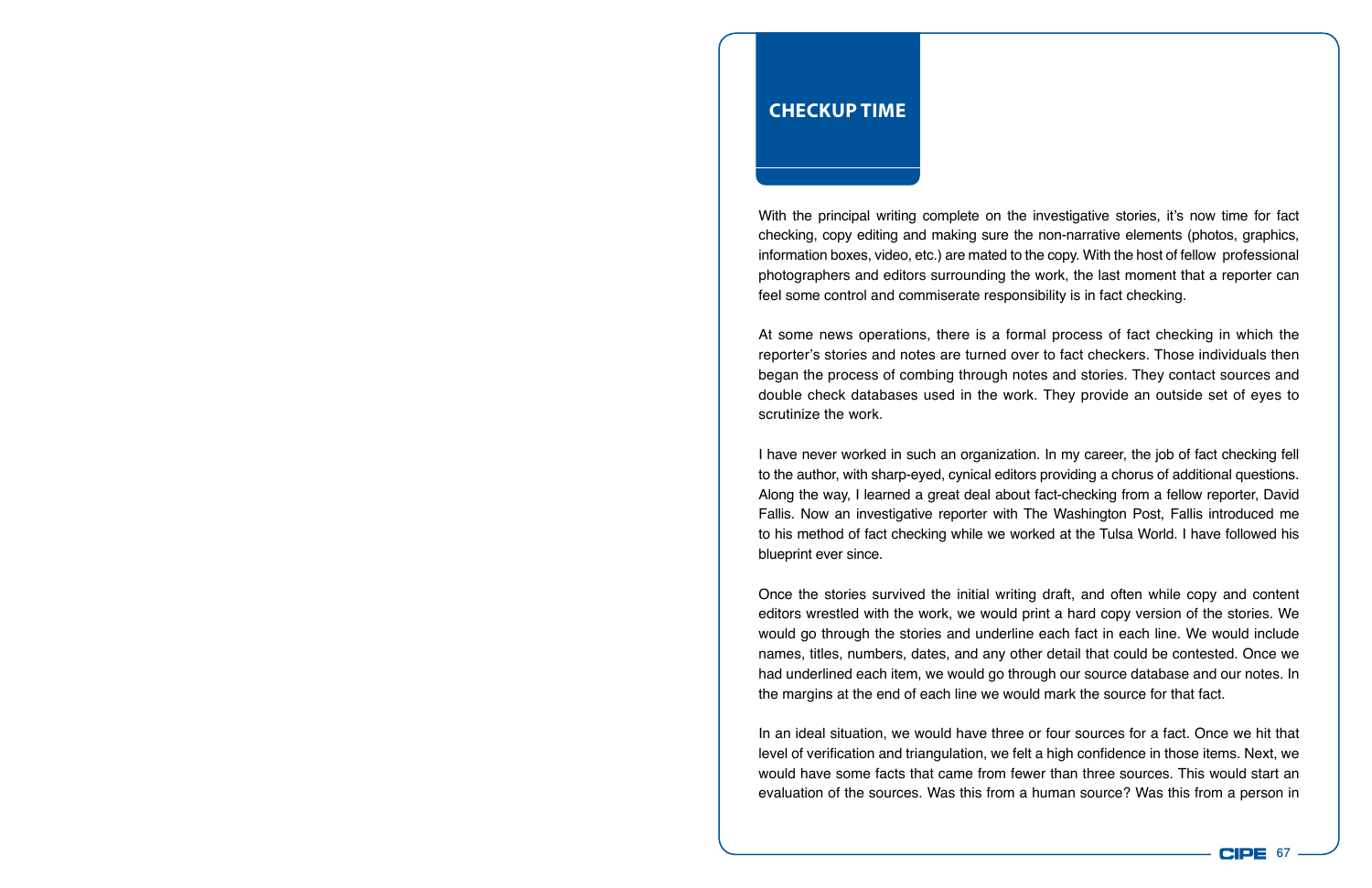## **Checkup Time**

With the principal writing complete on the investigative stories, it's now time for fact checking, copy editing and making sure the non-narrative elements (photos, graphics, information boxes, video, etc.) are mated to the copy. With the host of fellow professional photographers and editors surrounding the work, the last moment that a reporter can feel some control and commiserate responsibility is in fact checking.

At some news operations, there is a formal process of fact checking in which the reporter's stories and notes are turned over to fact checkers. Those individuals then began the process of combing through notes and stories. They contact sources and double check databases used in the work. They provide an outside set of eyes to scrutinize the work.

I have never worked in such an organization. In my career, the job of fact checking fell to the author, with sharp-eyed, cynical editors providing a chorus of additional questions. Along the way, I learned a great deal about fact-checking from a fellow reporter, David Fallis. Now an investigative reporter with The Washington Post, Fallis introduced me to his method of fact checking while we worked at the Tulsa World. I have followed his blueprint ever since.

Once the stories survived the initial writing draft, and often while copy and content editors wrestled with the work, we would print a hard copy version of the stories. We would go through the stories and underline each fact in each line. We would include names, titles, numbers, dates, and any other detail that could be contested. Once we had underlined each item, we would go through our source database and our notes. In the margins at the end of each line we would mark the source for that fact.

In an ideal situation, we would have three or four sources for a fact. Once we hit that level of verification and triangulation, we felt a high confidence in those items. Next, we would have some facts that came from fewer than three sources. This would start an evaluation of the sources. Was this from a human source? Was this from a person in

67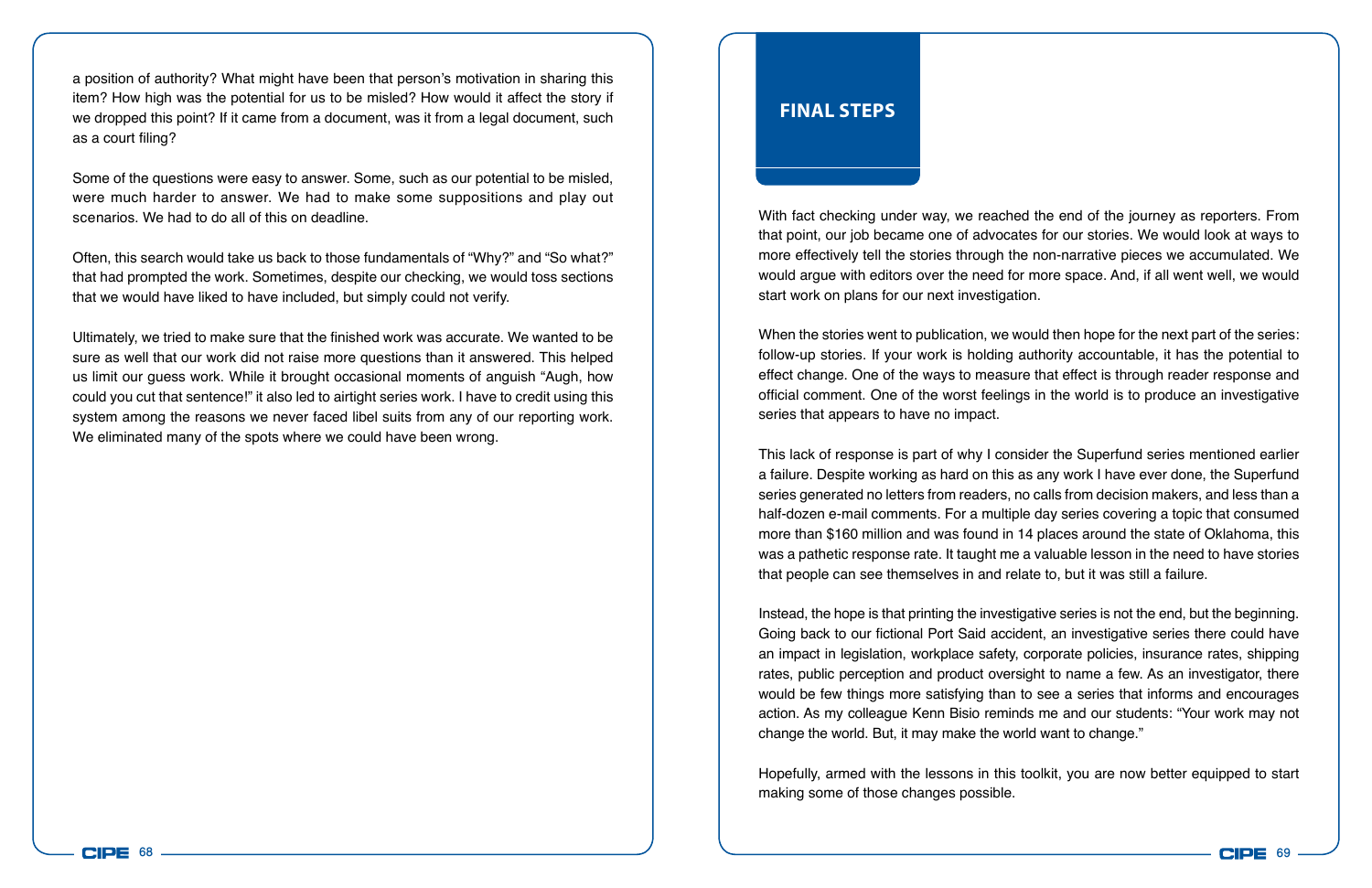a position of authority? What might have been that person's motivation in sharing this item? How high was the potential for us to be misled? How would it affect the story if we dropped this point? If it came from a document, was it from a legal document, such as a court filing?

Some of the questions were easy to answer. Some, such as our potential to be misled, were much harder to answer. We had to make some suppositions and play out scenarios. We had to do all of this on deadline.

Often, this search would take us back to those fundamentals of "Why?" and "So what?" that had prompted the work. Sometimes, despite our checking, we would toss sections that we would have liked to have included, but simply could not verify.

Ultimately, we tried to make sure that the finished work was accurate. We wanted to be sure as well that our work did not raise more questions than it answered. This helped us limit our guess work. While it brought occasional moments of anguish "Augh, how could you cut that sentence!" it also led to airtight series work. I have to credit using this system among the reasons we never faced libel suits from any of our reporting work. We eliminated many of the spots where we could have been wrong.

## **Final Steps**

With fact checking under way, we reached the end of the journey as reporters. From that point, our job became one of advocates for our stories. We would look at ways to more effectively tell the stories through the non-narrative pieces we accumulated. We would argue with editors over the need for more space. And, if all went well, we would start work on plans for our next investigation.

When the stories went to publication, we would then hope for the next part of the series: follow-up stories. If your work is holding authority accountable, it has the potential to effect change. One of the ways to measure that effect is through reader response and official comment. One of the worst feelings in the world is to produce an investigative series that appears to have no impact.

This lack of response is part of why I consider the Superfund series mentioned earlier a failure. Despite working as hard on this as any work I have ever done, the Superfund series generated no letters from readers, no calls from decision makers, and less than a half-dozen e-mail comments. For a multiple day series covering a topic that consumed more than \$160 million and was found in 14 places around the state of Oklahoma, this was a pathetic response rate. It taught me a valuable lesson in the need to have stories that people can see themselves in and relate to, but it was still a failure.

Instead, the hope is that printing the investigative series is not the end, but the beginning. Going back to our fictional Port Said accident, an investigative series there could have an impact in legislation, workplace safety, corporate policies, insurance rates, shipping rates, public perception and product oversight to name a few. As an investigator, there would be few things more satisfying than to see a series that informs and encourages action. As my colleague Kenn Bisio reminds me and our students: "Your work may not change the world. But, it may make the world want to change."

Hopefully, armed with the lessons in this toolkit, you are now better equipped to start making some of those changes possible.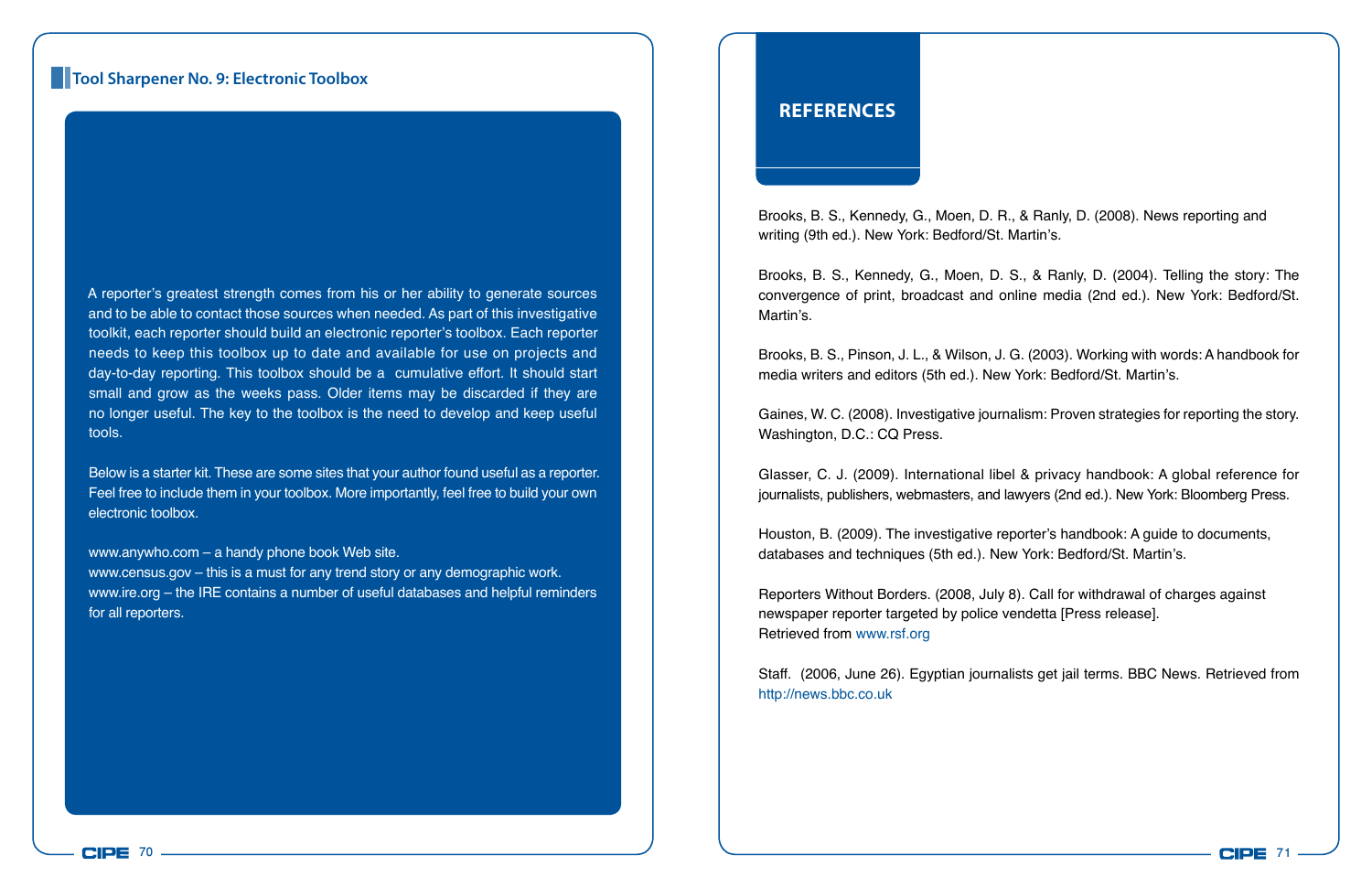#### **Tool Sharpener No. 9: Electronic Toolbox**

A reporter's greatest strength comes from his or her ability to generate sources and to be able to contact those sources when needed. As part of this investigative toolkit, each reporter should build an electronic reporter's toolbox. Each reporter needs to keep this toolbox up to date and available for use on projects and day-to-day reporting. This toolbox should be a cumulative effort. It should start small and grow as the weeks pass. Older items may be discarded if they are no longer useful. The key to the toolbox is the need to develop and keep useful tools.

Below is a starter kit. These are some sites that your author found useful as a reporter. Feel free to include them in your toolbox. More importantly, feel free to build your own electronic toolbox.

www.anywho.com – a handy phone book Web site.

www.census.gov – this is a must for any trend story or any demographic work. www.ire.org – the IRE contains a number of useful databases and helpful reminders for all reporters.

#### **References**

Brooks, B. S., Kennedy, G., Moen, D. R., & Ranly, D. (2008). News reporting and writing (9th ed.). New York: Bedford/St. Martin's.

Brooks, B. S., Kennedy, G., Moen, D. S., & Ranly, D. (2004). Telling the story: The convergence of print, broadcast and online media (2nd ed.). New York: Bedford/St. Martin's.

Brooks, B. S., Pinson, J. L., & Wilson, J. G. (2003). Working with words: A handbook for media writers and editors (5th ed.). New York: Bedford/St. Martin's.

Gaines, W. C. (2008). Investigative journalism: Proven strategies for reporting the story. Washington, D.C.: CQ Press.

Glasser, C. J. (2009). International libel & privacy handbook: A global reference for journalists, publishers, webmasters, and lawyers (2nd ed.). New York: Bloomberg Press.

Houston, B. (2009). The investigative reporter's handbook: A guide to documents, databases and techniques (5th ed.). New York: Bedford/St. Martin's.

Reporters Without Borders. (2008, July 8). Call for withdrawal of charges against newspaper reporter targeted by police vendetta [Press release]. Retrieved from www.rsf.org

Staff. (2006, June 26). Egyptian journalists get jail terms. BBC News. Retrieved from http://news.bbc.co.uk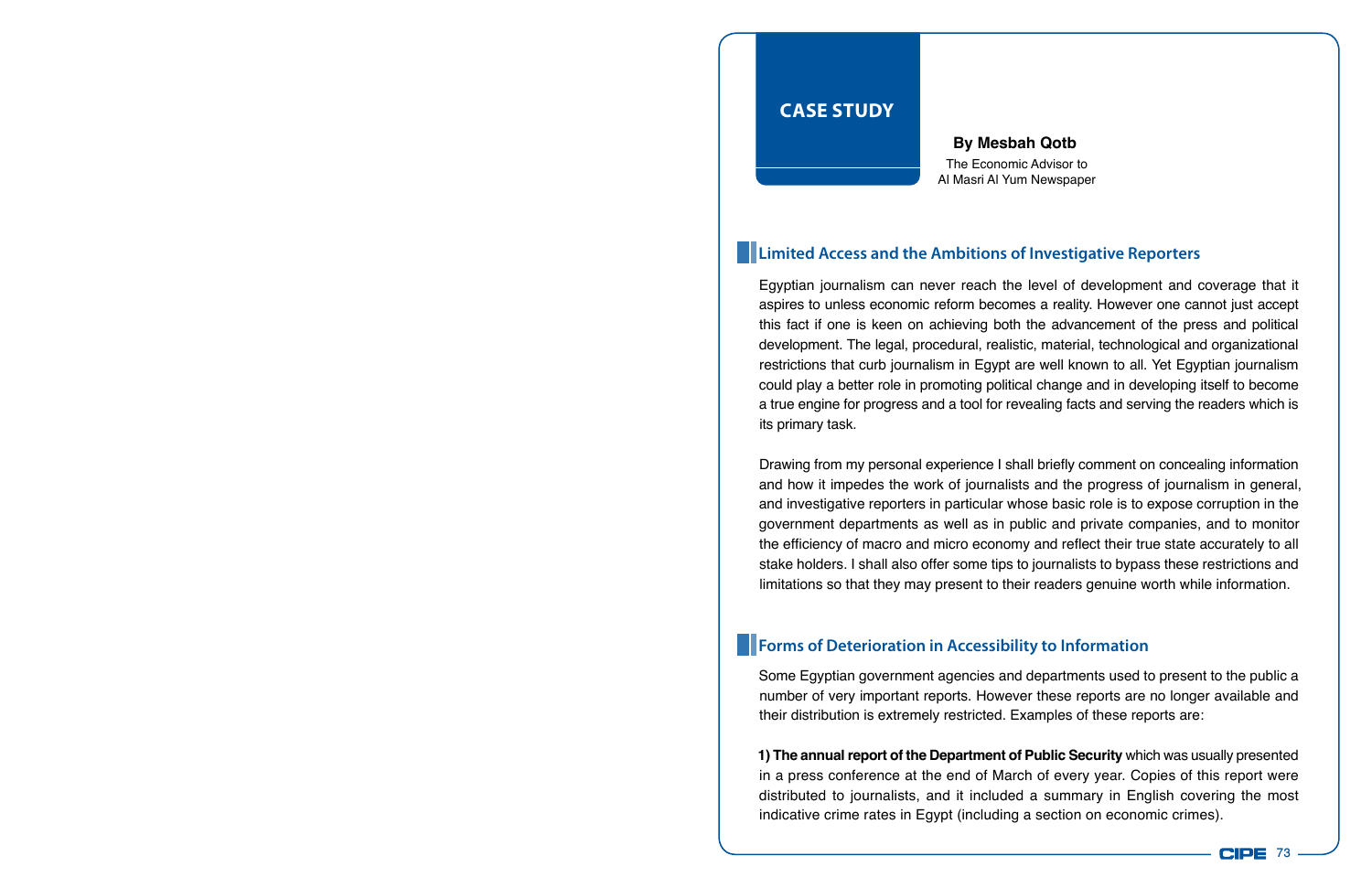## **Case Study**

The Economic Advisor to Al Masri Al Yum Newspaper **By Mesbah Qotb**

#### **Limited Access and the Ambitions of Investigative Reporters**

Egyptian journalism can never reach the level of development and coverage that it aspires to unless economic reform becomes a reality. However one cannot just accept this fact if one is keen on achieving both the advancement of the press and political development. The legal, procedural, realistic, material, technological and organizational restrictions that curb journalism in Egypt are well known to all. Yet Egyptian journalism could play a better role in promoting political change and in developing itself to become a true engine for progress and a tool for revealing facts and serving the readers which is its primary task.

Drawing from my personal experience I shall briefly comment on concealing information and how it impedes the work of journalists and the progress of journalism in general, and investigative reporters in particular whose basic role is to expose corruption in the government departments as well as in public and private companies, and to monitor the efficiency of macro and micro economy and reflect their true state accurately to all stake holders. I shall also offer some tips to journalists to bypass these restrictions and limitations so that they may present to their readers genuine worth while information.

#### **Forms of Deterioration in Accessibility to Information**

Some Egyptian government agencies and departments used to present to the public a number of very important reports. However these reports are no longer available and their distribution is extremely restricted. Examples of these reports are:

**1) The annual report of the Department of Public Security** which was usually presented in a press conference at the end of March of every year. Copies of this report were distributed to journalists, and it included a summary in English covering the most indicative crime rates in Egypt (including a section on economic crimes).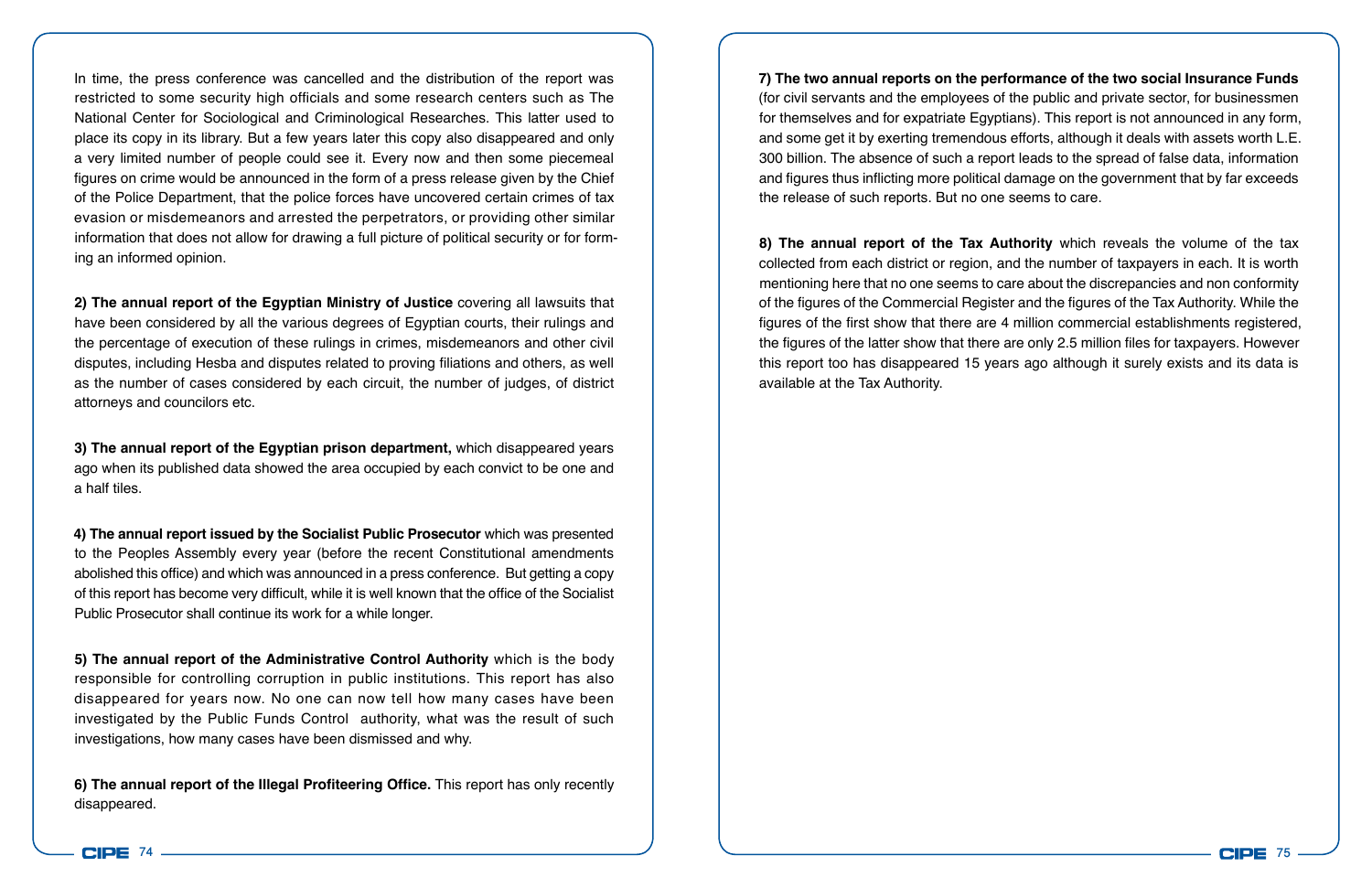In time, the press conference was cancelled and the distribution of the report was restricted to some security high officials and some research centers such as The National Center for Sociological and Criminological Researches. This latter used to place its copy in its library. But a few years later this copy also disappeared and only a very limited number of people could see it. Every now and then some piecemeal figures on crime would be announced in the form of a press release given by the Chief of the Police Department, that the police forces have uncovered certain crimes of tax evasion or misdemeanors and arrested the perpetrators, or providing other similar information that does not allow for drawing a full picture of political security or for forming an informed opinion.

**2) The annual report of the Egyptian Ministry of Justice** covering all lawsuits that have been considered by all the various degrees of Egyptian courts, their rulings and the percentage of execution of these rulings in crimes, misdemeanors and other civil disputes, including Hesba and disputes related to proving filiations and others, as well as the number of cases considered by each circuit, the number of judges, of district attorneys and councilors etc.

**3) The annual report of the Egyptian prison department,** which disappeared years ago when its published data showed the area occupied by each convict to be one and a half tiles.

**4) The annual report issued by the Socialist Public Prosecutor** which was presented to the Peoples Assembly every year (before the recent Constitutional amendments abolished this office) and which was announced in a press conference. But getting a copy of this report has become very difficult, while it is well known that the office of the Socialist Public Prosecutor shall continue its work for a while longer.

**5) The annual report of the Administrative Control Authority** which is the body responsible for controlling corruption in public institutions. This report has also disappeared for years now. No one can now tell how many cases have been investigated by the Public Funds Control authority, what was the result of such investigations, how many cases have been dismissed and why.

**6) The annual report of the Illegal Profiteering Office.** This report has only recently disappeared.

**7) The two annual reports on the performance of the two social Insurance Funds**  (for civil servants and the employees of the public and private sector, for businessmen for themselves and for expatriate Egyptians). This report is not announced in any form, and some get it by exerting tremendous efforts, although it deals with assets worth L.E. 300 billion. The absence of such a report leads to the spread of false data, information and figures thus inflicting more political damage on the government that by far exceeds the release of such reports. But no one seems to care.

**8) The annual report of the Tax Authority** which reveals the volume of the tax collected from each district or region, and the number of taxpayers in each. It is worth mentioning here that no one seems to care about the discrepancies and non conformity of the figures of the Commercial Register and the figures of the Tax Authority. While the figures of the first show that there are 4 million commercial establishments registered, the figures of the latter show that there are only 2.5 million files for taxpayers. However this report too has disappeared 15 years ago although it surely exists and its data is available at the Tax Authority.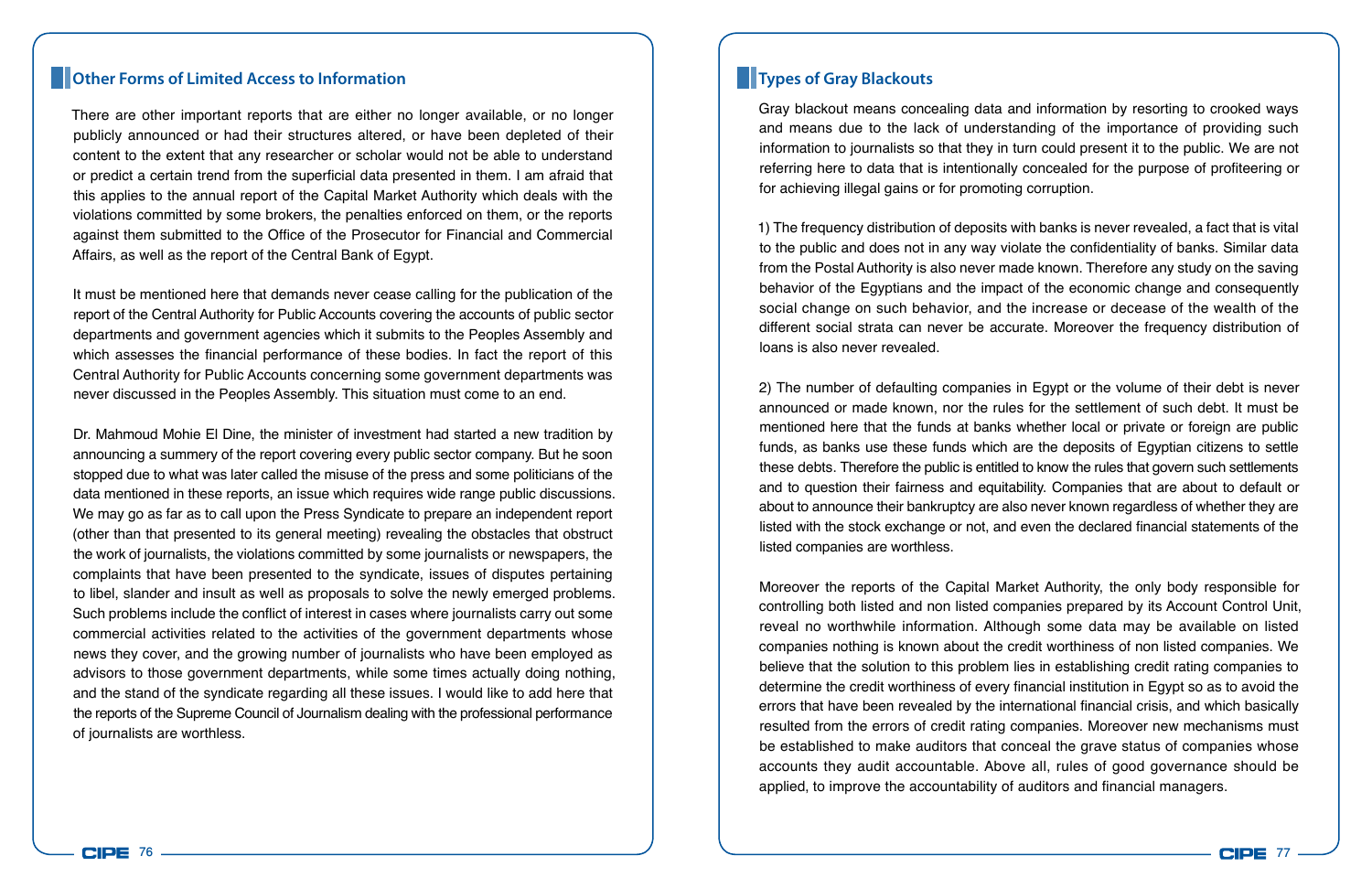#### **Other Forms of Limited Access to Information Types of Gray Blackouts**

There are other important reports that are either no longer available, or no longer publicly announced or had their structures altered, or have been depleted of their content to the extent that any researcher or scholar would not be able to understand or predict a certain trend from the superficial data presented in them. I am afraid that this applies to the annual report of the Capital Market Authority which deals with the violations committed by some brokers, the penalties enforced on them, or the reports against them submitted to the Office of the Prosecutor for Financial and Commercial Affairs, as well as the report of the Central Bank of Egypt.

It must be mentioned here that demands never cease calling for the publication of the report of the Central Authority for Public Accounts covering the accounts of public sector departments and government agencies which it submits to the Peoples Assembly and which assesses the financial performance of these bodies. In fact the report of this Central Authority for Public Accounts concerning some government departments was never discussed in the Peoples Assembly. This situation must come to an end.

Dr. Mahmoud Mohie El Dine, the minister of investment had started a new tradition by announcing a summery of the report covering every public sector company. But he soon stopped due to what was later called the misuse of the press and some politicians of the data mentioned in these reports, an issue which requires wide range public discussions. We may go as far as to call upon the Press Syndicate to prepare an independent report (other than that presented to its general meeting) revealing the obstacles that obstruct the work of journalists, the violations committed by some journalists or newspapers, the complaints that have been presented to the syndicate, issues of disputes pertaining to libel, slander and insult as well as proposals to solve the newly emerged problems. Such problems include the conflict of interest in cases where journalists carry out some commercial activities related to the activities of the government departments whose news they cover, and the growing number of journalists who have been employed as advisors to those government departments, while some times actually doing nothing, and the stand of the syndicate regarding all these issues. I would like to add here that the reports of the Supreme Council of Journalism dealing with the professional performance of journalists are worthless.

Gray blackout means concealing data and information by resorting to crooked ways and means due to the lack of understanding of the importance of providing such information to journalists so that they in turn could present it to the public. We are not referring here to data that is intentionally concealed for the purpose of profiteering or for achieving illegal gains or for promoting corruption.

1) The frequency distribution of deposits with banks is never revealed, a fact that is vital to the public and does not in any way violate the confidentiality of banks. Similar data from the Postal Authority is also never made known. Therefore any study on the saving behavior of the Egyptians and the impact of the economic change and consequently social change on such behavior, and the increase or decease of the wealth of the different social strata can never be accurate. Moreover the frequency distribution of loans is also never revealed.

2) The number of defaulting companies in Egypt or the volume of their debt is never announced or made known, nor the rules for the settlement of such debt. It must be mentioned here that the funds at banks whether local or private or foreign are public funds, as banks use these funds which are the deposits of Egyptian citizens to settle these debts. Therefore the public is entitled to know the rules that govern such settlements and to question their fairness and equitability. Companies that are about to default or about to announce their bankruptcy are also never known regardless of whether they are listed with the stock exchange or not, and even the declared financial statements of the listed companies are worthless.

Moreover the reports of the Capital Market Authority, the only body responsible for controlling both listed and non listed companies prepared by its Account Control Unit, reveal no worthwhile information. Although some data may be available on listed companies nothing is known about the credit worthiness of non listed companies. We believe that the solution to this problem lies in establishing credit rating companies to determine the credit worthiness of every financial institution in Egypt so as to avoid the errors that have been revealed by the international financial crisis, and which basically resulted from the errors of credit rating companies. Moreover new mechanisms must be established to make auditors that conceal the grave status of companies whose accounts they audit accountable. Above all, rules of good governance should be applied, to improve the accountability of auditors and financial managers.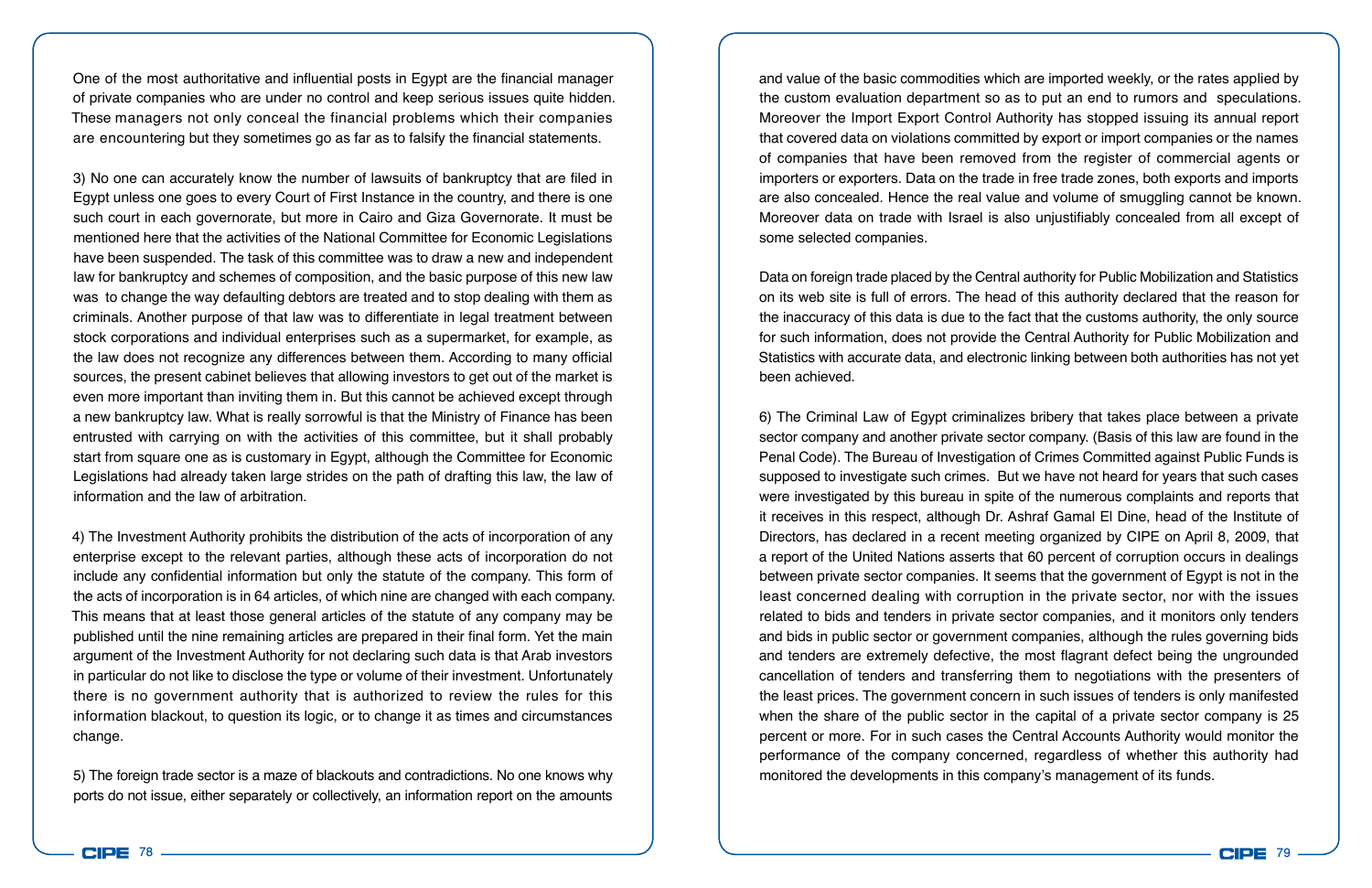One of the most authoritative and influential posts in Egypt are the financial manager of private companies who are under no control and keep serious issues quite hidden. These managers not only conceal the financial problems which their companies are encountering but they sometimes go as far as to falsify the financial statements.

3) No one can accurately know the number of lawsuits of bankruptcy that are filed in Egypt unless one goes to every Court of First Instance in the country, and there is one such court in each governorate, but more in Cairo and Giza Governorate. It must be mentioned here that the activities of the National Committee for Economic Legislations have been suspended. The task of this committee was to draw a new and independent law for bankruptcy and schemes of composition, and the basic purpose of this new law was to change the way defaulting debtors are treated and to stop dealing with them as criminals. Another purpose of that law was to differentiate in legal treatment between stock corporations and individual enterprises such as a supermarket, for example, as the law does not recognize any differences between them. According to many official sources, the present cabinet believes that allowing investors to get out of the market is even more important than inviting them in. But this cannot be achieved except through a new bankruptcy law. What is really sorrowful is that the Ministry of Finance has been entrusted with carrying on with the activities of this committee, but it shall probably start from square one as is customary in Egypt, although the Committee for Economic Legislations had already taken large strides on the path of drafting this law, the law of information and the law of arbitration.

4) The Investment Authority prohibits the distribution of the acts of incorporation of any enterprise except to the relevant parties, although these acts of incorporation do not include any confidential information but only the statute of the company. This form of the acts of incorporation is in 64 articles, of which nine are changed with each company. This means that at least those general articles of the statute of any company may be published until the nine remaining articles are prepared in their final form. Yet the main argument of the Investment Authority for not declaring such data is that Arab investors in particular do not like to disclose the type or volume of their investment. Unfortunately there is no government authority that is authorized to review the rules for this information blackout, to question its logic, or to change it as times and circumstances change.

5) The foreign trade sector is a maze of blackouts and contradictions. No one knows why ports do not issue, either separately or collectively, an information report on the amounts

and value of the basic commodities which are imported weekly, or the rates applied by the custom evaluation department so as to put an end to rumors and speculations. Moreover the Import Export Control Authority has stopped issuing its annual report that covered data on violations committed by export or import companies or the names of companies that have been removed from the register of commercial agents or importers or exporters. Data on the trade in free trade zones, both exports and imports are also concealed. Hence the real value and volume of smuggling cannot be known. Moreover data on trade with Israel is also unjustifiably concealed from all except of some selected companies.

Data on foreign trade placed by the Central authority for Public Mobilization and Statistics on its web site is full of errors. The head of this authority declared that the reason for the inaccuracy of this data is due to the fact that the customs authority, the only source for such information, does not provide the Central Authority for Public Mobilization and Statistics with accurate data, and electronic linking between both authorities has not yet been achieved.

6) The Criminal Law of Egypt criminalizes bribery that takes place between a private sector company and another private sector company. (Basis of this law are found in the Penal Code). The Bureau of Investigation of Crimes Committed against Public Funds is supposed to investigate such crimes. But we have not heard for years that such cases were investigated by this bureau in spite of the numerous complaints and reports that it receives in this respect, although Dr. Ashraf Gamal El Dine, head of the Institute of Directors, has declared in a recent meeting organized by CIPE on April 8, 2009, that a report of the United Nations asserts that 60 percent of corruption occurs in dealings between private sector companies. It seems that the government of Egypt is not in the least concerned dealing with corruption in the private sector, nor with the issues related to bids and tenders in private sector companies, and it monitors only tenders and bids in public sector or government companies, although the rules governing bids and tenders are extremely defective, the most flagrant defect being the ungrounded cancellation of tenders and transferring them to negotiations with the presenters of the least prices. The government concern in such issues of tenders is only manifested when the share of the public sector in the capital of a private sector company is 25 percent or more. For in such cases the Central Accounts Authority would monitor the performance of the company concerned, regardless of whether this authority had monitored the developments in this company's management of its funds.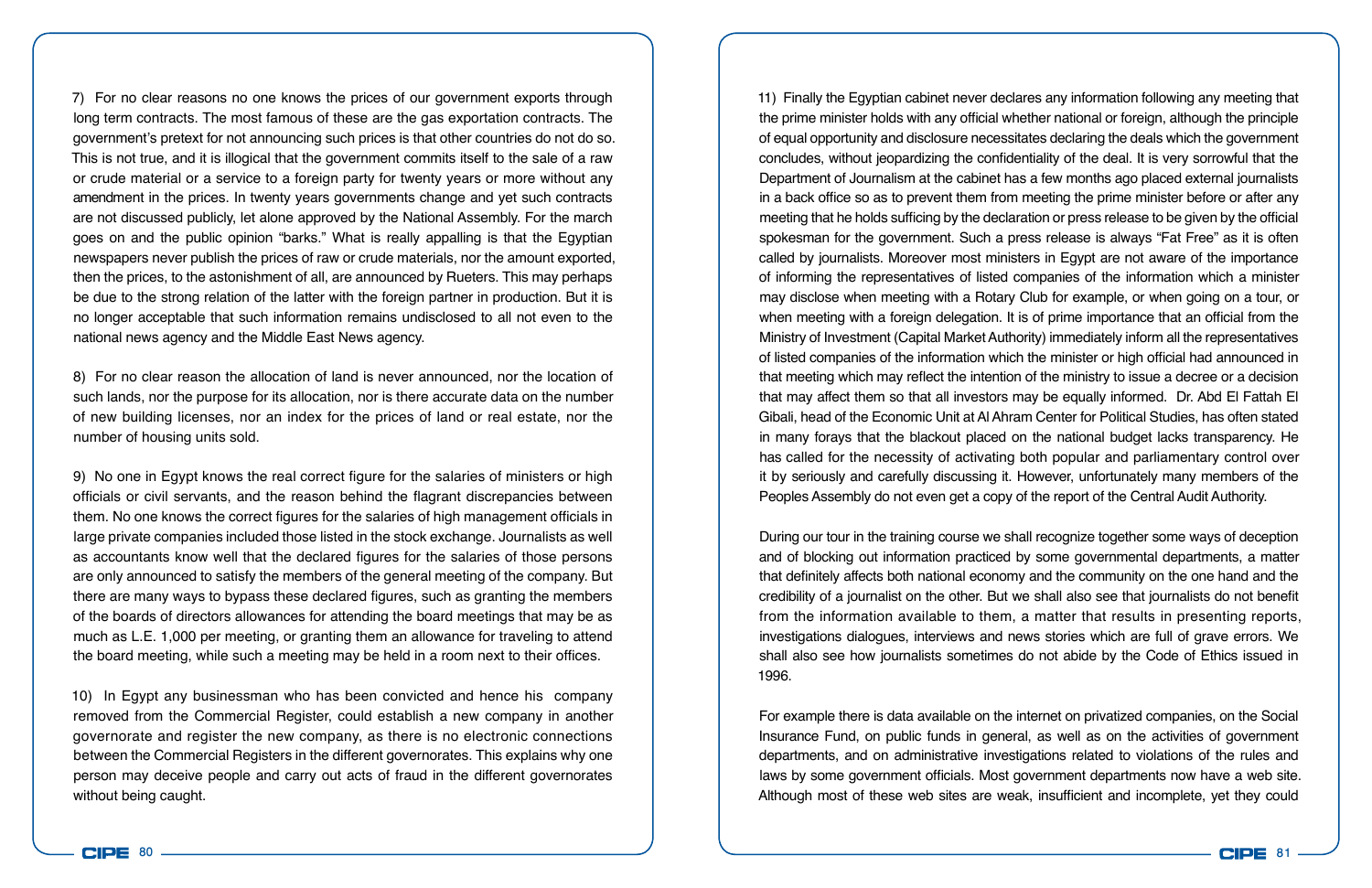7) For no clear reasons no one knows the prices of our government exports through long term contracts. The most famous of these are the gas exportation contracts. The government's pretext for not announcing such prices is that other countries do not do so. This is not true, and it is illogical that the government commits itself to the sale of a raw or crude material or a service to a foreign party for twenty years or more without any amendment in the prices. In twenty years governments change and yet such contracts are not discussed publicly, let alone approved by the National Assembly. For the march goes on and the public opinion "barks." What is really appalling is that the Egyptian newspapers never publish the prices of raw or crude materials, nor the amount exported, then the prices, to the astonishment of all, are announced by Rueters. This may perhaps be due to the strong relation of the latter with the foreign partner in production. But it is no longer acceptable that such information remains undisclosed to all not even to the national news agency and the Middle East News agency.

8) For no clear reason the allocation of land is never announced, nor the location of such lands, nor the purpose for its allocation, nor is there accurate data on the number of new building licenses, nor an index for the prices of land or real estate, nor the number of housing units sold.

9) No one in Egypt knows the real correct figure for the salaries of ministers or high officials or civil servants, and the reason behind the flagrant discrepancies between them. No one knows the correct figures for the salaries of high management officials in large private companies included those listed in the stock exchange. Journalists as well as accountants know well that the declared figures for the salaries of those persons are only announced to satisfy the members of the general meeting of the company. But there are many ways to bypass these declared figures, such as granting the members of the boards of directors allowances for attending the board meetings that may be as much as L.E. 1,000 per meeting, or granting them an allowance for traveling to attend the board meeting, while such a meeting may be held in a room next to their offices.

10) In Egypt any businessman who has been convicted and hence his company removed from the Commercial Register, could establish a new company in another governorate and register the new company, as there is no electronic connections between the Commercial Registers in the different governorates. This explains why one person may deceive people and carry out acts of fraud in the different governorates without being caught.

11) Finally the Egyptian cabinet never declares any information following any meeting that the prime minister holds with any official whether national or foreign, although the principle of equal opportunity and disclosure necessitates declaring the deals which the government concludes, without jeopardizing the confidentiality of the deal. It is very sorrowful that the Department of Journalism at the cabinet has a few months ago placed external journalists in a back office so as to prevent them from meeting the prime minister before or after any meeting that he holds sufficing by the declaration or press release to be given by the official spokesman for the government. Such a press release is always "Fat Free" as it is often called by journalists. Moreover most ministers in Egypt are not aware of the importance of informing the representatives of listed companies of the information which a minister may disclose when meeting with a Rotary Club for example, or when going on a tour, or when meeting with a foreign delegation. It is of prime importance that an official from the Ministry of Investment (Capital Market Authority) immediately inform all the representatives of listed companies of the information which the minister or high official had announced in that meeting which may reflect the intention of the ministry to issue a decree or a decision that may affect them so that all investors may be equally informed. Dr. Abd El Fattah El Gibali, head of the Economic Unit at Al Ahram Center for Political Studies, has often stated in many forays that the blackout placed on the national budget lacks transparency. He has called for the necessity of activating both popular and parliamentary control over it by seriously and carefully discussing it. However, unfortunately many members of the Peoples Assembly do not even get a copy of the report of the Central Audit Authority.

During our tour in the training course we shall recognize together some ways of deception and of blocking out information practiced by some governmental departments, a matter that definitely affects both national economy and the community on the one hand and the credibility of a journalist on the other. But we shall also see that journalists do not benefit from the information available to them, a matter that results in presenting reports, investigations dialogues, interviews and news stories which are full of grave errors. We shall also see how journalists sometimes do not abide by the Code of Ethics issued in 1996.

For example there is data available on the internet on privatized companies, on the Social Insurance Fund, on public funds in general, as well as on the activities of government departments, and on administrative investigations related to violations of the rules and laws by some government officials. Most government departments now have a web site. Although most of these web sites are weak, insufficient and incomplete, yet they could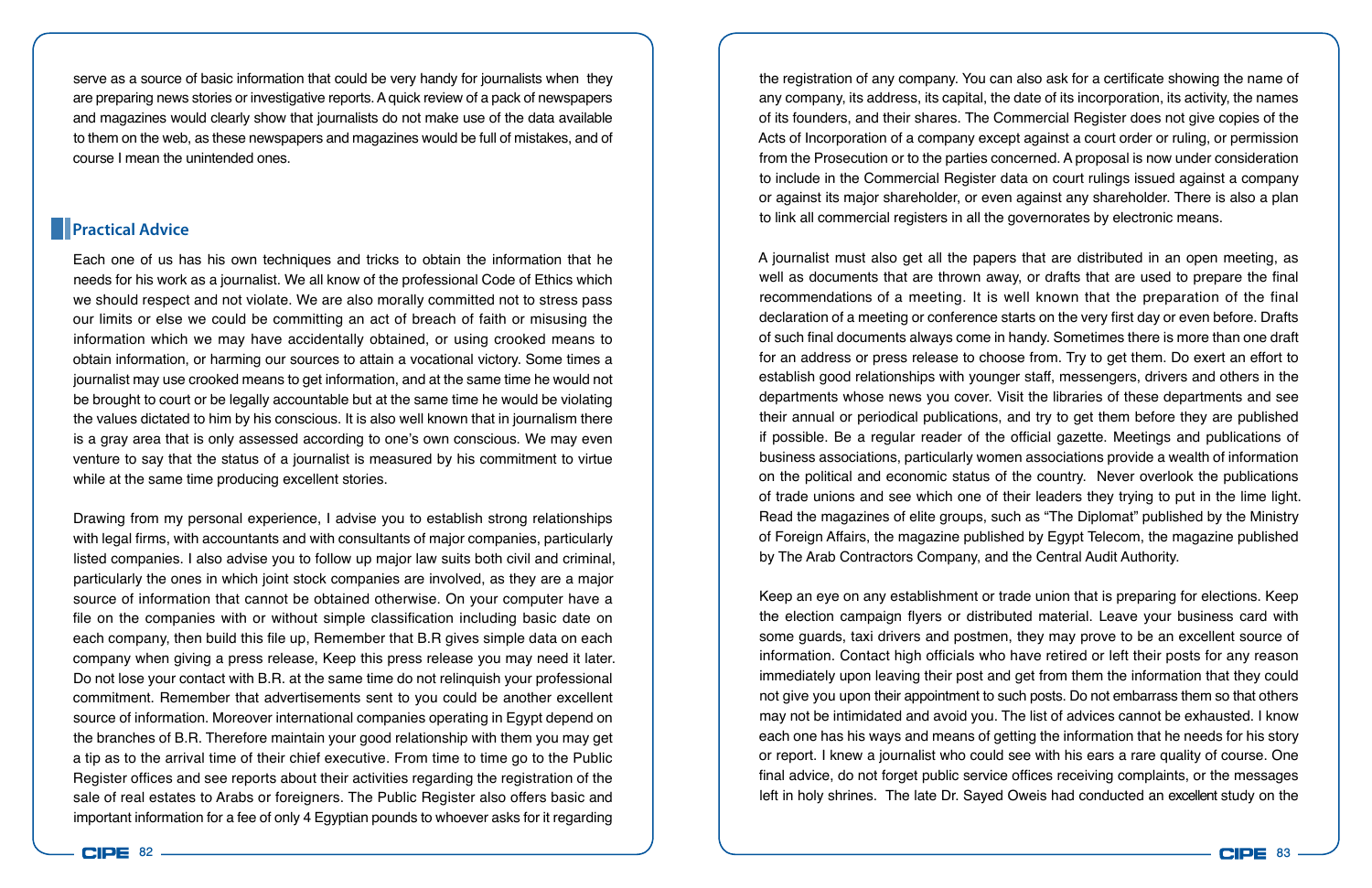serve as a source of basic information that could be very handy for journalists when they are preparing news stories or investigative reports. A quick review of a pack of newspapers and magazines would clearly show that journalists do not make use of the data available to them on the web, as these newspapers and magazines would be full of mistakes, and of course I mean the unintended ones.

### **Practical Advice**

Each one of us has his own techniques and tricks to obtain the information that he needs for his work as a journalist. We all know of the professional Code of Ethics which we should respect and not violate. We are also morally committed not to stress pass our limits or else we could be committing an act of breach of faith or misusing the information which we may have accidentally obtained, or using crooked means to obtain information, or harming our sources to attain a vocational victory. Some times a journalist may use crooked means to get information, and at the same time he would not be brought to court or be legally accountable but at the same time he would be violating the values dictated to him by his conscious. It is also well known that in journalism there is a gray area that is only assessed according to one's own conscious. We may even venture to say that the status of a journalist is measured by his commitment to virtue while at the same time producing excellent stories.

Drawing from my personal experience, I advise you to establish strong relationships with legal firms, with accountants and with consultants of major companies, particularly listed companies. I also advise you to follow up major law suits both civil and criminal, particularly the ones in which joint stock companies are involved, as they are a major source of information that cannot be obtained otherwise. On your computer have a file on the companies with or without simple classification including basic date on each company, then build this file up, Remember that B.R gives simple data on each company when giving a press release, Keep this press release you may need it later. Do not lose your contact with B.R. at the same time do not relinquish your professional commitment. Remember that advertisements sent to you could be another excellent source of information. Moreover international companies operating in Egypt depend on the branches of B.R. Therefore maintain your good relationship with them you may get a tip as to the arrival time of their chief executive. From time to time go to the Public Register offices and see reports about their activities regarding the registration of the sale of real estates to Arabs or foreigners. The Public Register also offers basic and important information for a fee of only 4 Egyptian pounds to whoever asks for it regarding

the registration of any company. You can also ask for a certificate showing the name of any company, its address, its capital, the date of its incorporation, its activity, the names of its founders, and their shares. The Commercial Register does not give copies of the Acts of Incorporation of a company except against a court order or ruling, or permission from the Prosecution or to the parties concerned. A proposal is now under consideration to include in the Commercial Register data on court rulings issued against a company or against its major shareholder, or even against any shareholder. There is also a plan to link all commercial registers in all the governorates by electronic means.

A journalist must also get all the papers that are distributed in an open meeting, as well as documents that are thrown away, or drafts that are used to prepare the final recommendations of a meeting. It is well known that the preparation of the final declaration of a meeting or conference starts on the very first day or even before. Drafts of such final documents always come in handy. Sometimes there is more than one draft for an address or press release to choose from. Try to get them. Do exert an effort to establish good relationships with younger staff, messengers, drivers and others in the departments whose news you cover. Visit the libraries of these departments and see their annual or periodical publications, and try to get them before they are published if possible. Be a regular reader of the official gazette. Meetings and publications of business associations, particularly women associations provide a wealth of information on the political and economic status of the country. Never overlook the publications of trade unions and see which one of their leaders they trying to put in the lime light. Read the magazines of elite groups, such as "The Diplomat" published by the Ministry of Foreign Affairs, the magazine published by Egypt Telecom, the magazine published by The Arab Contractors Company, and the Central Audit Authority.

Keep an eye on any establishment or trade union that is preparing for elections. Keep the election campaign flyers or distributed material. Leave your business card with some guards, taxi drivers and postmen, they may prove to be an excellent source of information. Contact high officials who have retired or left their posts for any reason immediately upon leaving their post and get from them the information that they could not give you upon their appointment to such posts. Do not embarrass them so that others may not be intimidated and avoid you. The list of advices cannot be exhausted. I know each one has his ways and means of getting the information that he needs for his story or report. I knew a journalist who could see with his ears a rare quality of course. One final advice, do not forget public service offices receiving complaints, or the messages left in holy shrines. The late Dr. Sayed Oweis had conducted an excellent study on the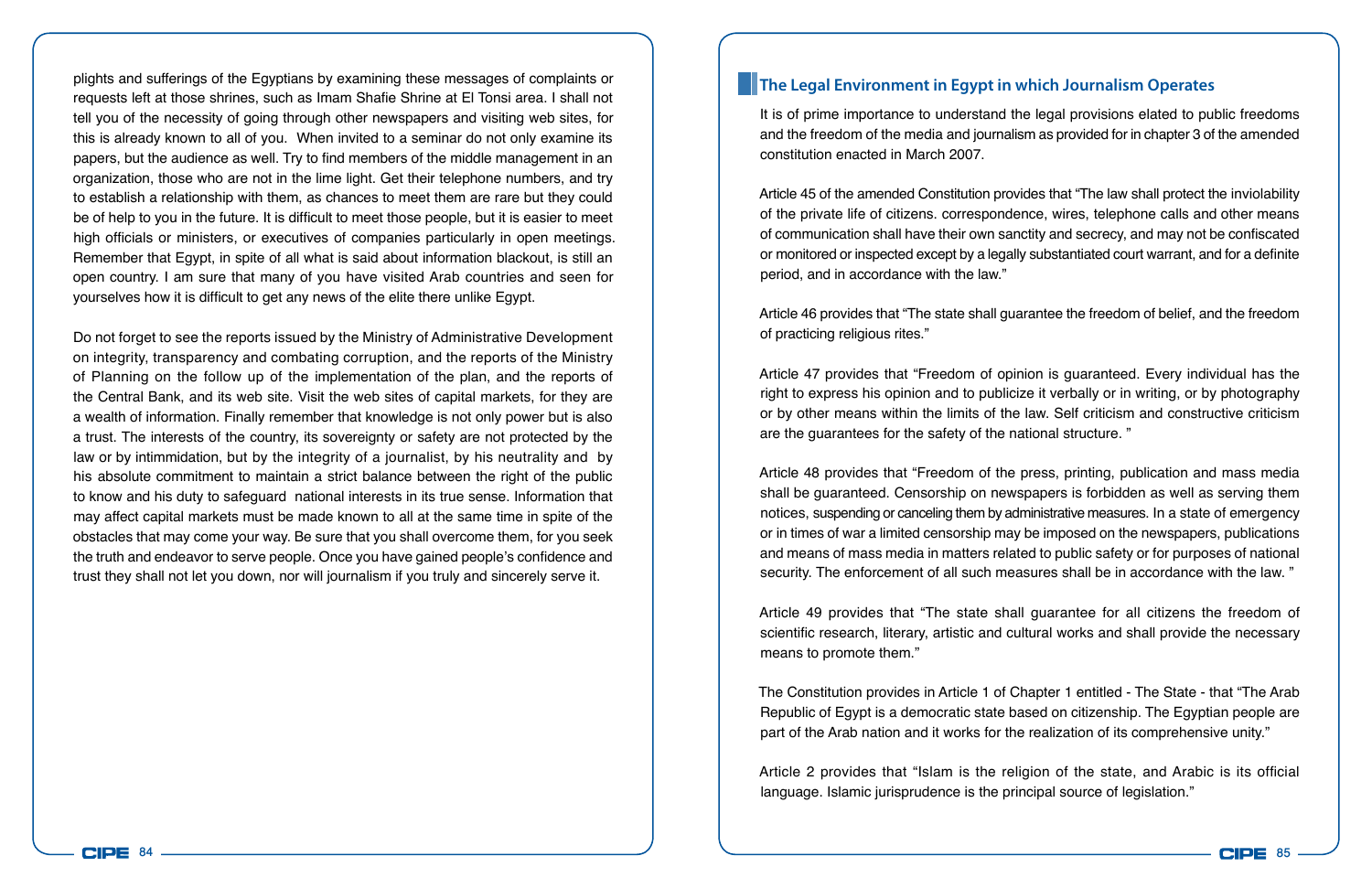plights and sufferings of the Egyptians by examining these messages of complaints or requests left at those shrines, such as Imam Shafie Shrine at El Tonsi area. I shall not tell you of the necessity of going through other newspapers and visiting web sites, for this is already known to all of you. When invited to a seminar do not only examine its papers, but the audience as well. Try to find members of the middle management in an organization, those who are not in the lime light. Get their telephone numbers, and try to establish a relationship with them, as chances to meet them are rare but they could be of help to you in the future. It is difficult to meet those people, but it is easier to meet high officials or ministers, or executives of companies particularly in open meetings. Remember that Egypt, in spite of all what is said about information blackout, is still an open country. I am sure that many of you have visited Arab countries and seen for yourselves how it is difficult to get any news of the elite there unlike Egypt.

Do not forget to see the reports issued by the Ministry of Administrative Development on integrity, transparency and combating corruption, and the reports of the Ministry of Planning on the follow up of the implementation of the plan, and the reports of the Central Bank, and its web site. Visit the web sites of capital markets, for they are a wealth of information. Finally remember that knowledge is not only power but is also a trust. The interests of the country, its sovereignty or safety are not protected by the law or by intimmidation, but by the integrity of a journalist, by his neutrality and by his absolute commitment to maintain a strict balance between the right of the public to know and his duty to safeguard national interests in its true sense. Information that may affect capital markets must be made known to all at the same time in spite of the obstacles that may come your way. Be sure that you shall overcome them, for you seek the truth and endeavor to serve people. Once you have gained people's confidence and trust they shall not let you down, nor will journalism if you truly and sincerely serve it.

#### **The Legal Environment in Egypt in which Journalism Operates**

It is of prime importance to understand the legal provisions elated to public freedoms and the freedom of the media and journalism as provided for in chapter 3 of the amended constitution enacted in March 2007.

Article 45 of the amended Constitution provides that "The law shall protect the inviolability of the private life of citizens. correspondence, wires, telephone calls and other means of communication shall have their own sanctity and secrecy, and may not be confiscated or monitored or inspected except by a legally substantiated court warrant, and for a definite period, and in accordance with the law."

Article 46 provides that "The state shall guarantee the freedom of belief, and the freedom of practicing religious rites."

Article 47 provides that "Freedom of opinion is guaranteed. Every individual has the right to express his opinion and to publicize it verbally or in writing, or by photography or by other means within the limits of the law. Self criticism and constructive criticism are the guarantees for the safety of the national structure. "

Article 48 provides that "Freedom of the press, printing, publication and mass media shall be guaranteed. Censorship on newspapers is forbidden as well as serving them notices, suspending or canceling them by administrative measures. In a state of emergency or in times of war a limited censorship may be imposed on the newspapers, publications and means of mass media in matters related to public safety or for purposes of national security. The enforcement of all such measures shall be in accordance with the law. "

Article 49 provides that "The state shall guarantee for all citizens the freedom of scientific research, literary, artistic and cultural works and shall provide the necessary means to promote them."

The Constitution provides in Article 1 of Chapter 1 entitled - The State - that "The Arab Republic of Egypt is a democratic state based on citizenship. The Egyptian people are part of the Arab nation and it works for the realization of its comprehensive unity."

Article 2 provides that "Islam is the religion of the state, and Arabic is its official language. Islamic jurisprudence is the principal source of legislation."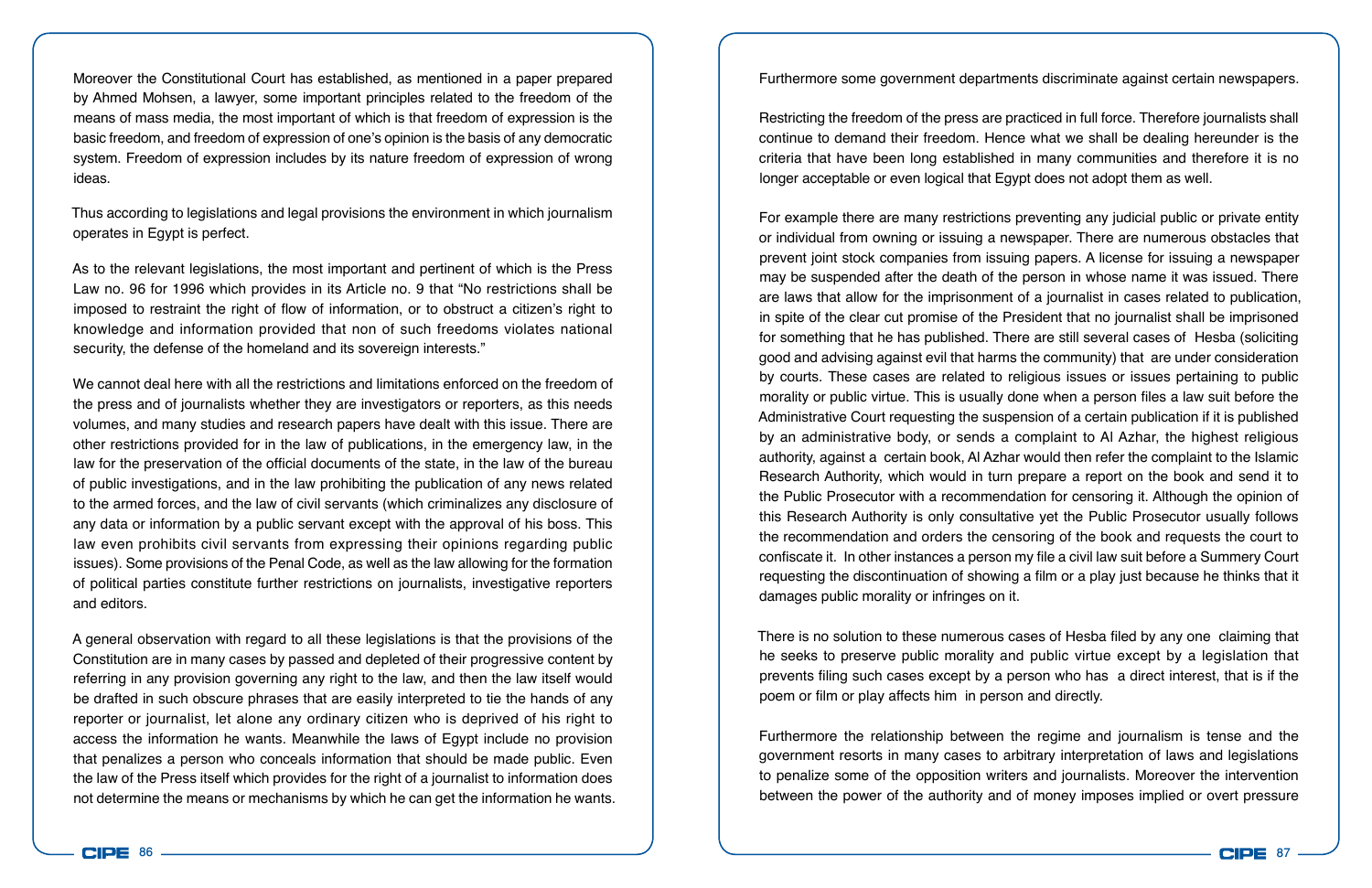Moreover the Constitutional Court has established, as mentioned in a paper prepared by Ahmed Mohsen, a lawyer, some important principles related to the freedom of the means of mass media, the most important of which is that freedom of expression is the basic freedom, and freedom of expression of one's opinion is the basis of any democratic system. Freedom of expression includes by its nature freedom of expression of wrong ideas.

Thus according to legislations and legal provisions the environment in which journalism operates in Egypt is perfect.

As to the relevant legislations, the most important and pertinent of which is the Press Law no. 96 for 1996 which provides in its Article no. 9 that "No restrictions shall be imposed to restraint the right of flow of information, or to obstruct a citizen's right to knowledge and information provided that non of such freedoms violates national security, the defense of the homeland and its sovereign interests."

We cannot deal here with all the restrictions and limitations enforced on the freedom of the press and of journalists whether they are investigators or reporters, as this needs volumes, and many studies and research papers have dealt with this issue. There are other restrictions provided for in the law of publications, in the emergency law, in the law for the preservation of the official documents of the state, in the law of the bureau of public investigations, and in the law prohibiting the publication of any news related to the armed forces, and the law of civil servants (which criminalizes any disclosure of any data or information by a public servant except with the approval of his boss. This law even prohibits civil servants from expressing their opinions regarding public issues). Some provisions of the Penal Code, as well as the law allowing for the formation of political parties constitute further restrictions on journalists, investigative reporters and editors.

A general observation with regard to all these legislations is that the provisions of the Constitution are in many cases by passed and depleted of their progressive content by referring in any provision governing any right to the law, and then the law itself would be drafted in such obscure phrases that are easily interpreted to tie the hands of any reporter or journalist, let alone any ordinary citizen who is deprived of his right to access the information he wants. Meanwhile the laws of Egypt include no provision that penalizes a person who conceals information that should be made public. Even the law of the Press itself which provides for the right of a journalist to information does not determine the means or mechanisms by which he can get the information he wants. Furthermore some government departments discriminate against certain newspapers.

Restricting the freedom of the press are practiced in full force. Therefore journalists shall continue to demand their freedom. Hence what we shall be dealing hereunder is the criteria that have been long established in many communities and therefore it is no longer acceptable or even logical that Egypt does not adopt them as well.

For example there are many restrictions preventing any judicial public or private entity or individual from owning or issuing a newspaper. There are numerous obstacles that prevent joint stock companies from issuing papers. A license for issuing a newspaper may be suspended after the death of the person in whose name it was issued. There are laws that allow for the imprisonment of a journalist in cases related to publication, in spite of the clear cut promise of the President that no journalist shall be imprisoned for something that he has published. There are still several cases of Hesba (soliciting good and advising against evil that harms the community) that are under consideration by courts. These cases are related to religious issues or issues pertaining to public morality or public virtue. This is usually done when a person files a law suit before the Administrative Court requesting the suspension of a certain publication if it is published by an administrative body, or sends a complaint to Al Azhar, the highest religious authority, against a certain book, Al Azhar would then refer the complaint to the Islamic Research Authority, which would in turn prepare a report on the book and send it to the Public Prosecutor with a recommendation for censoring it. Although the opinion of this Research Authority is only consultative yet the Public Prosecutor usually follows the recommendation and orders the censoring of the book and requests the court to confiscate it. In other instances a person my file a civil law suit before a Summery Court requesting the discontinuation of showing a film or a play just because he thinks that it damages public morality or infringes on it.

There is no solution to these numerous cases of Hesba filed by any one claiming that he seeks to preserve public morality and public virtue except by a legislation that prevents filing such cases except by a person who has a direct interest, that is if the poem or film or play affects him in person and directly.

Furthermore the relationship between the regime and journalism is tense and the government resorts in many cases to arbitrary interpretation of laws and legislations to penalize some of the opposition writers and journalists. Moreover the intervention between the power of the authority and of money imposes implied or overt pressure

**CIPE**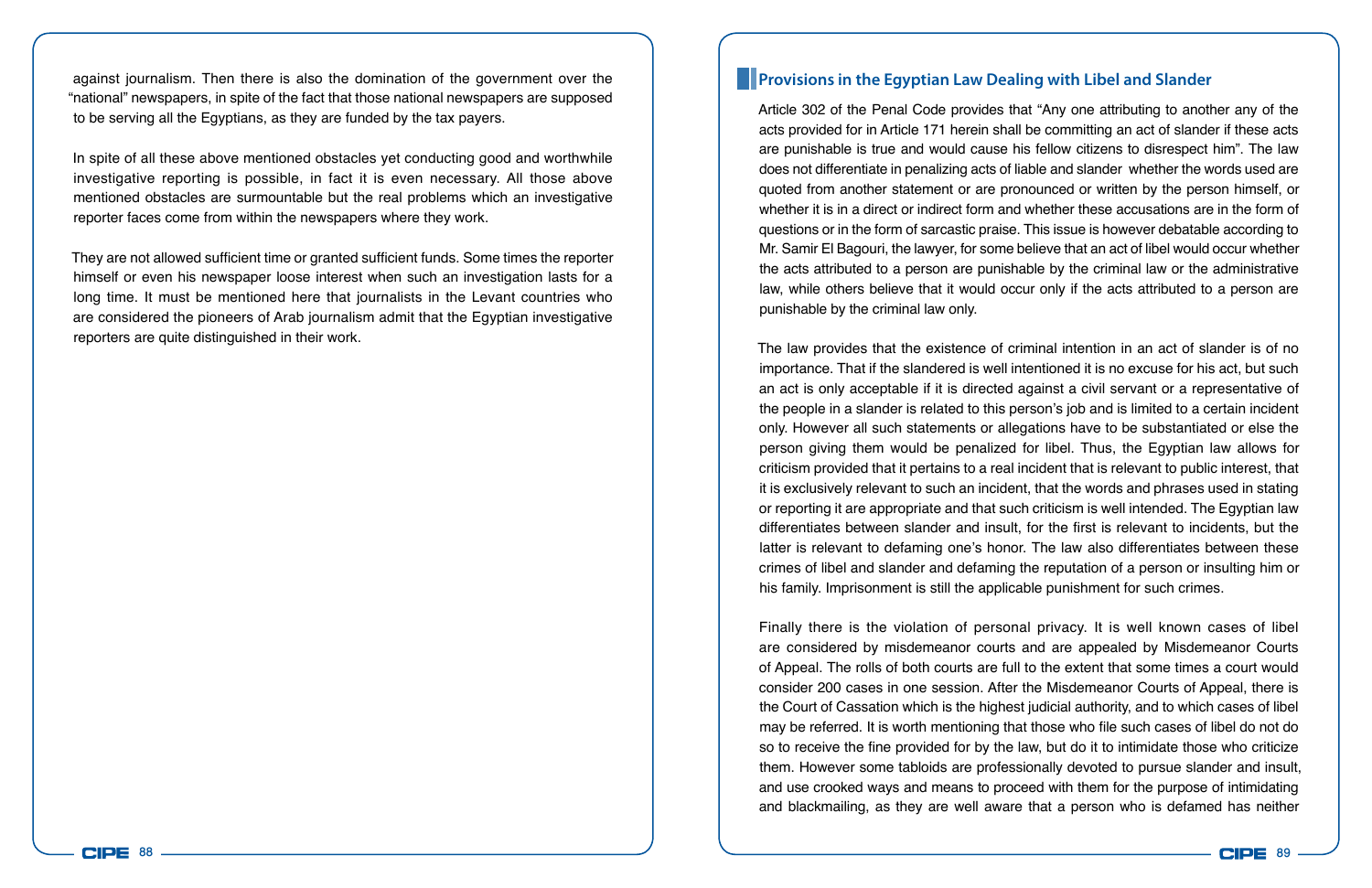against journalism. Then there is also the domination of the government over the "national" newspapers, in spite of the fact that those national newspapers are supposed to be serving all the Egyptians, as they are funded by the tax payers.

In spite of all these above mentioned obstacles yet conducting good and worthwhile investigative reporting is possible, in fact it is even necessary. All those above mentioned obstacles are surmountable but the real problems which an investigative reporter faces come from within the newspapers where they work.

They are not allowed sufficient time or granted sufficient funds. Some times the reporter himself or even his newspaper loose interest when such an investigation lasts for a long time. It must be mentioned here that journalists in the Levant countries who are considered the pioneers of Arab journalism admit that the Egyptian investigative reporters are quite distinguished in their work.

#### **Provisions in the Egyptian Law Dealing with Libel and Slander**

Article 302 of the Penal Code provides that "Any one attributing to another any of the acts provided for in Article 171 herein shall be committing an act of slander if these acts are punishable is true and would cause his fellow citizens to disrespect him". The law does not differentiate in penalizing acts of liable and slander whether the words used are quoted from another statement or are pronounced or written by the person himself, or whether it is in a direct or indirect form and whether these accusations are in the form of questions or in the form of sarcastic praise. This issue is however debatable according to Mr. Samir El Bagouri, the lawyer, for some believe that an act of libel would occur whether the acts attributed to a person are punishable by the criminal law or the administrative law, while others believe that it would occur only if the acts attributed to a person are punishable by the criminal law only.

The law provides that the existence of criminal intention in an act of slander is of no importance. That if the slandered is well intentioned it is no excuse for his act, but such an act is only acceptable if it is directed against a civil servant or a representative of the people in a slander is related to this person's job and is limited to a certain incident only. However all such statements or allegations have to be substantiated or else the person giving them would be penalized for libel. Thus, the Egyptian law allows for criticism provided that it pertains to a real incident that is relevant to public interest, that it is exclusively relevant to such an incident, that the words and phrases used in stating or reporting it are appropriate and that such criticism is well intended. The Egyptian law differentiates between slander and insult, for the first is relevant to incidents, but the latter is relevant to defaming one's honor. The law also differentiates between these crimes of libel and slander and defaming the reputation of a person or insulting him or his family. Imprisonment is still the applicable punishment for such crimes.

Finally there is the violation of personal privacy. It is well known cases of libel are considered by misdemeanor courts and are appealed by Misdemeanor Courts of Appeal. The rolls of both courts are full to the extent that some times a court would consider 200 cases in one session. After the Misdemeanor Courts of Appeal, there is the Court of Cassation which is the highest judicial authority, and to which cases of libel may be referred. It is worth mentioning that those who file such cases of libel do not do so to receive the fine provided for by the law, but do it to intimidate those who criticize them. However some tabloids are professionally devoted to pursue slander and insult, and use crooked ways and means to proceed with them for the purpose of intimidating and blackmailing, as they are well aware that a person who is defamed has neither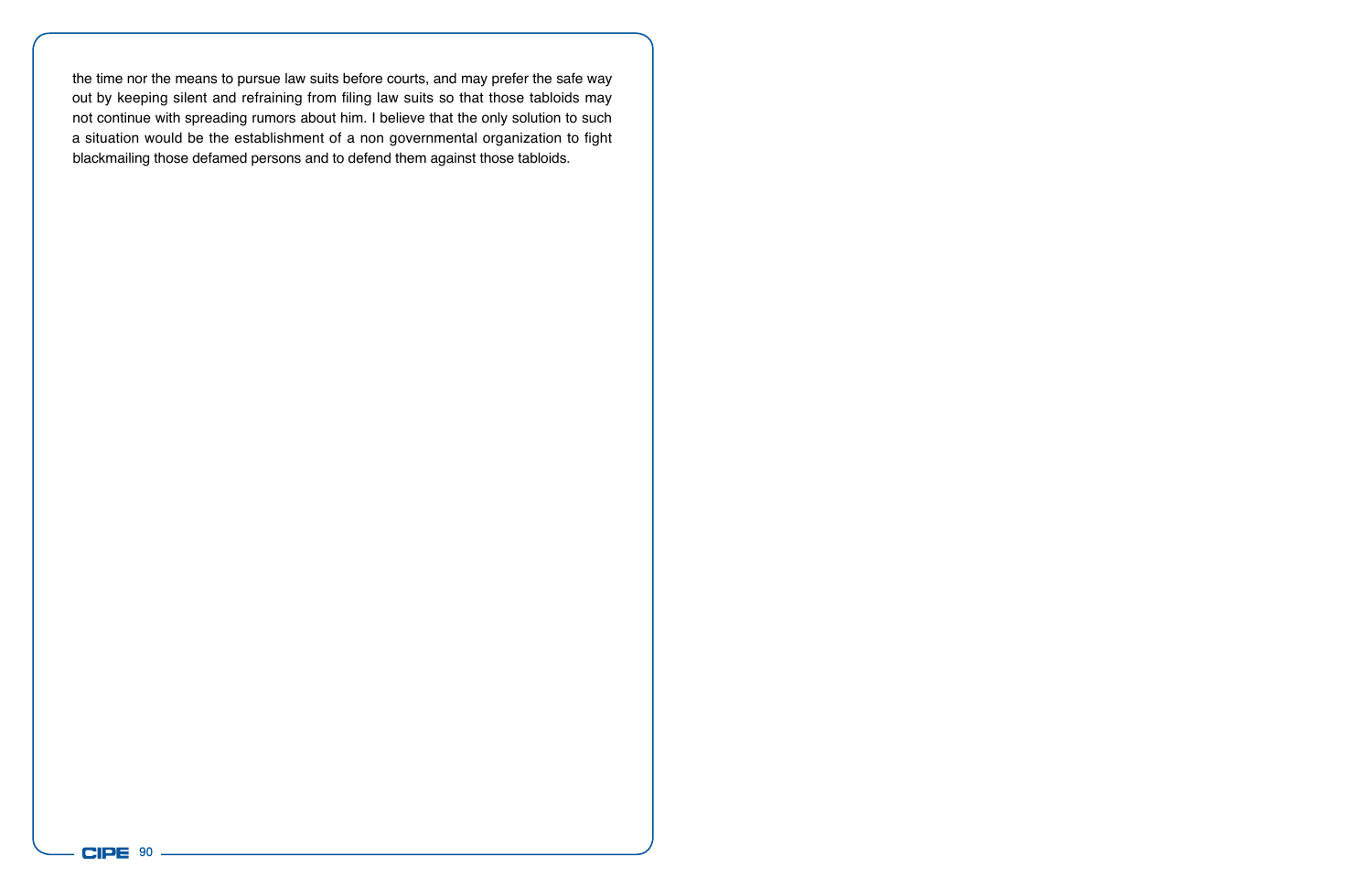the time nor the means to pursue law suits before courts, and may prefer the safe way out by keeping silent and refraining from filing law suits so that those tabloids may not continue with spreading rumors about him. I believe that the only solution to such a situation would be the establishment of a non governmental organization to fight blackmailing those defamed persons and to defend them against those tabloids.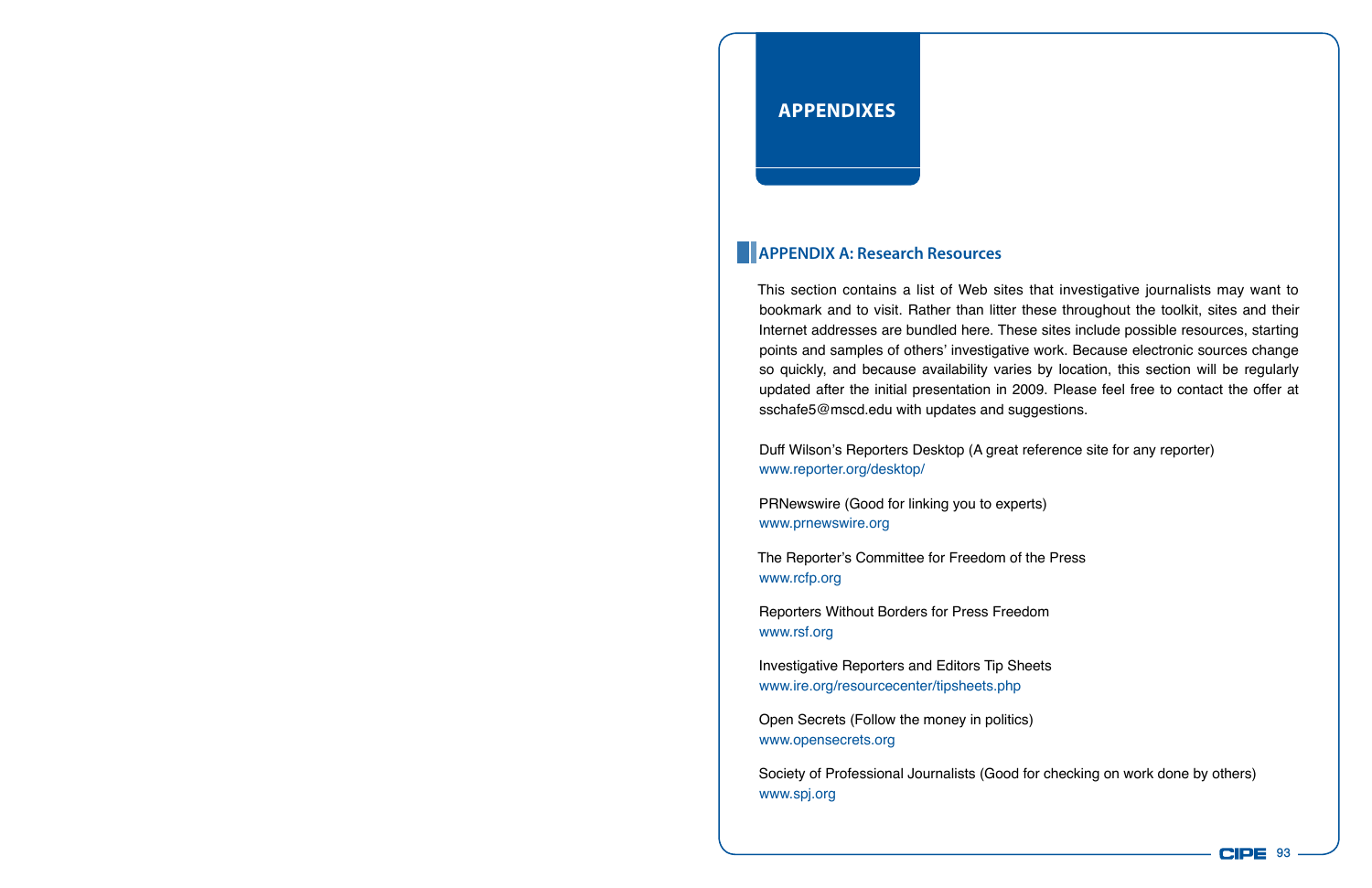## **APPENDIXes**

### **APPENDIX A: Research Resources**

This section contains a list of Web sites that investigative journalists may want to bookmark and to visit. Rather than litter these throughout the toolkit, sites and their Internet addresses are bundled here. These sites include possible resources, starting points and samples of others' investigative work. Because electronic sources change so quickly, and because availability varies by location, this section will be regularly updated after the initial presentation in 2009. Please feel free to contact the offer at sschafe5@mscd.edu with updates and suggestions.

Duff Wilson's Reporters Desktop (A great reference site for any reporter) www.reporter.org/desktop/

PRNewswire (Good for linking you to experts) www.prnewswire.org

The Reporter's Committee for Freedom of the Press www.rcfp.org

Reporters Without Borders for Press Freedom www.rsf.org

Investigative Reporters and Editors Tip Sheets www.ire.org/resourcecenter/tipsheets.php

Open Secrets (Follow the money in politics) www.opensecrets.org

Society of Professional Journalists (Good for checking on work done by others) www.spj.org

**CIPE 93**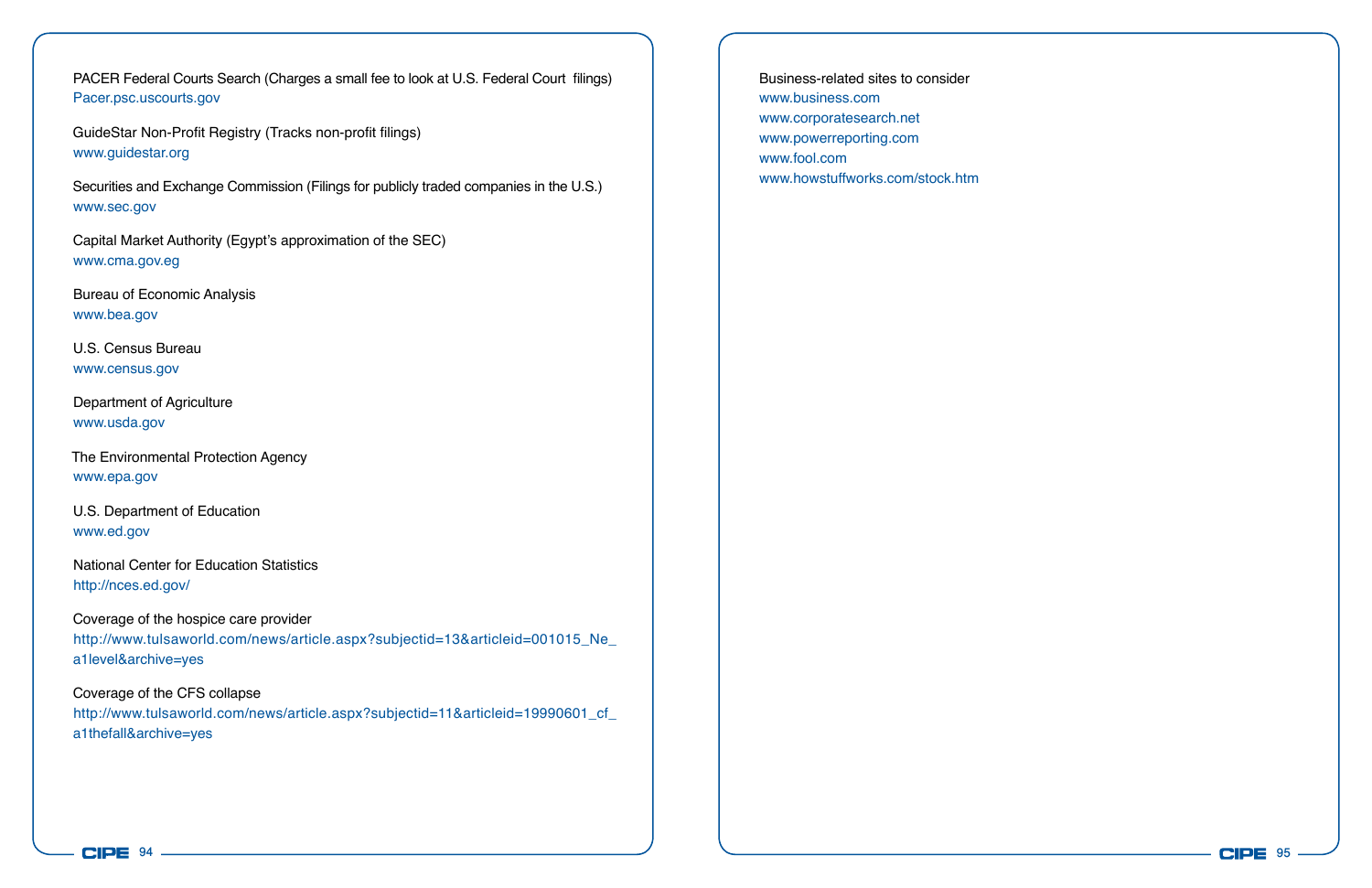PACER Federal Courts Search (Charges a small fee to look at U.S. Federal Court filings) Pacer.psc.uscourts.gov

GuideStar Non-Profit Registry (Tracks non-profit filings) www.guidestar.org

Securities and Exchange Commission (Filings for publicly traded companies in the U.S.) www.sec.gov

Capital Market Authority (Egypt's approximation of the SEC) www.cma.gov.eg

Bureau of Economic Analysis www.bea.gov

U.S. Census Bureau www.census.gov

Department of Agriculture www.usda.gov

The Environmental Protection Agency www.epa.gov

U.S. Department of Education www.ed.gov

National Center for Education Statistics http://nces.ed.gov/

Coverage of the hospice care provider

http://www.tulsaworld.com/news/article.aspx?subjectid=13&articleid=001015\_Ne a1level&archive=yes

Coverage of the CFS collapse http://www.tulsaworld.com/news/article.aspx?subjectid=11&articleid=19990601\_cf\_ a1thefall&archive=yes

Business-related sites to consider www.business.com www.corporatesearch.net www.powerreporting.com www.fool.com www.howstuffworks.com/stock.htm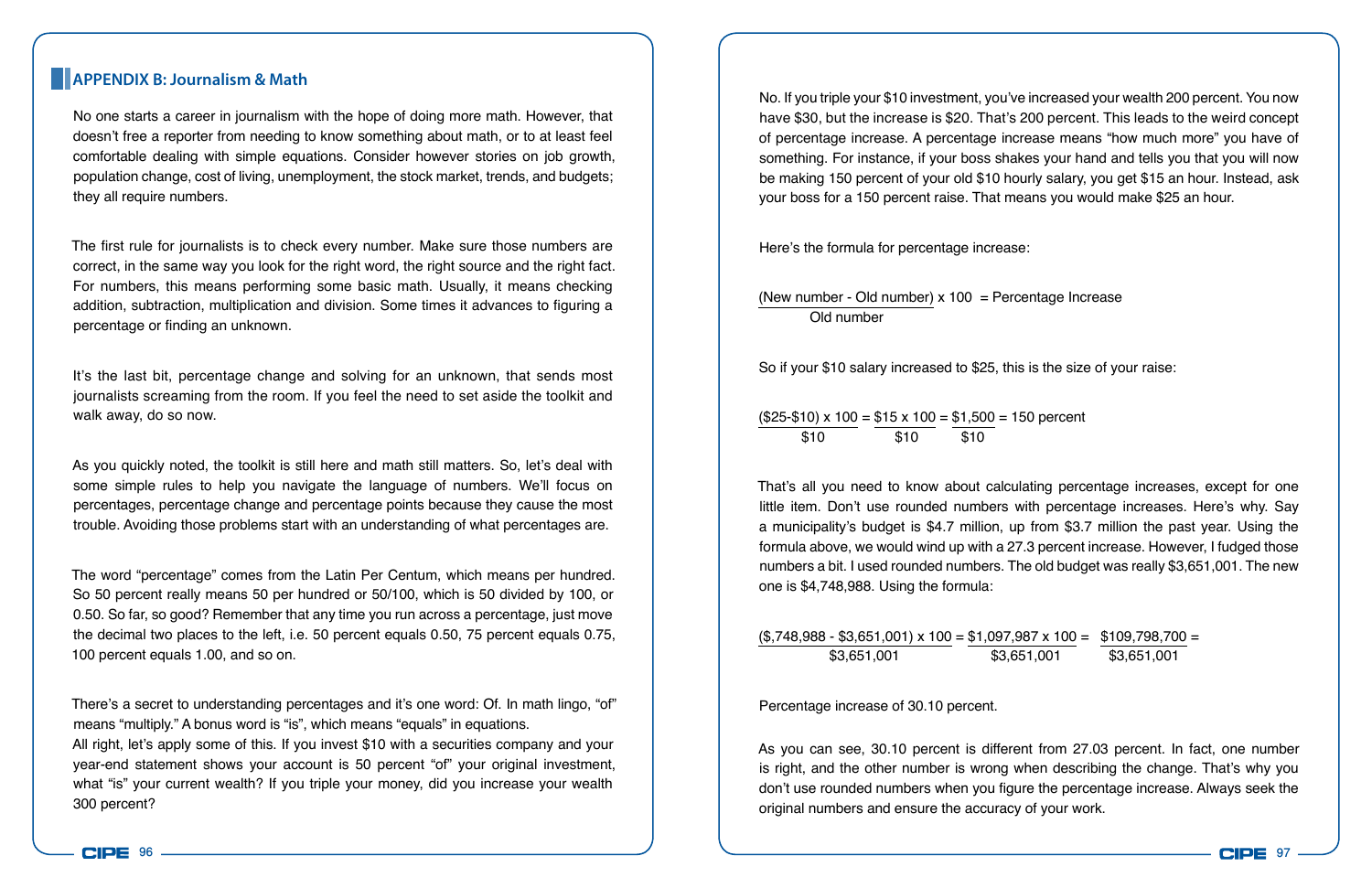#### **APPENDIX B: Journalism & Math**

No one starts a career in journalism with the hope of doing more math. However, that doesn't free a reporter from needing to know something about math, or to at least feel comfortable dealing with simple equations. Consider however stories on job growth, population change, cost of living, unemployment, the stock market, trends, and budgets; they all require numbers.

The first rule for journalists is to check every number. Make sure those numbers are correct, in the same way you look for the right word, the right source and the right fact. For numbers, this means performing some basic math. Usually, it means checking addition, subtraction, multiplication and division. Some times it advances to figuring a percentage or finding an unknown.

It's the last bit, percentage change and solving for an unknown, that sends most journalists screaming from the room. If you feel the need to set aside the toolkit and walk away, do so now.

As you quickly noted, the toolkit is still here and math still matters. So, let's deal with some simple rules to help you navigate the language of numbers. We'll focus on percentages, percentage change and percentage points because they cause the most trouble. Avoiding those problems start with an understanding of what percentages are.

The word "percentage" comes from the Latin Per Centum, which means per hundred. So 50 percent really means 50 per hundred or 50/100, which is 50 divided by 100, or 0.50. So far, so good? Remember that any time you run across a percentage, just move the decimal two places to the left, i.e. 50 percent equals 0.50, 75 percent equals 0.75, 100 percent equals 1.00, and so on.

There's a secret to understanding percentages and it's one word: Of. In math lingo, "of" means "multiply." A bonus word is "is", which means "equals" in equations. All right, let's apply some of this. If you invest \$10 with a securities company and your year-end statement shows your account is 50 percent "of" your original investment, what "is" your current wealth? If you triple your money, did you increase your wealth 300 percent?

No. If you triple your \$10 investment, you've increased your wealth 200 percent. You now have \$30, but the increase is \$20. That's 200 percent. This leads to the weird concept of percentage increase. A percentage increase means "how much more" you have of something. For instance, if your boss shakes your hand and tells you that you will now be making 150 percent of your old \$10 hourly salary, you get \$15 an hour. Instead, ask your boss for a 150 percent raise. That means you would make \$25 an hour.

Here's the formula for percentage increase:

(New number - Old number)  $x 100$  = Percentage Increase Old number

So if your \$10 salary increased to \$25, this is the size of your raise:

 $($25-$10) \times 100 = $15 \times 100 = $1,500 = 150$  percent \$10 \$10 \$10

That's all you need to know about calculating percentage increases, except for one little item. Don't use rounded numbers with percentage increases. Here's why. Say a municipality's budget is \$4.7 million, up from \$3.7 million the past year. Using the formula above, we would wind up with a 27.3 percent increase. However, I fudged those numbers a bit. I used rounded numbers. The old budget was really \$3,651,001. The new one is \$4,748,988. Using the formula:

 $($3,748,988 - $3,651,001) \times 100 = $1,097,987 \times 100 = $109,798,700 = $109,798,700 = $109,798,700 = $109,798,700 = $109,798,700 = $109,798,700 = $109,798,700 = $109,798,700 = $109,798,700 = $109,798,700 = $109,798,700 = $109,798,700 = $109,798,700 = $109,$ \$3,651,001 \$3,651,001 \$3,651,001

Percentage increase of 30.10 percent.

As you can see, 30.10 percent is different from 27.03 percent. In fact, one number is right, and the other number is wrong when describing the change. That's why you don't use rounded numbers when you figure the percentage increase. Always seek the original numbers and ensure the accuracy of your work.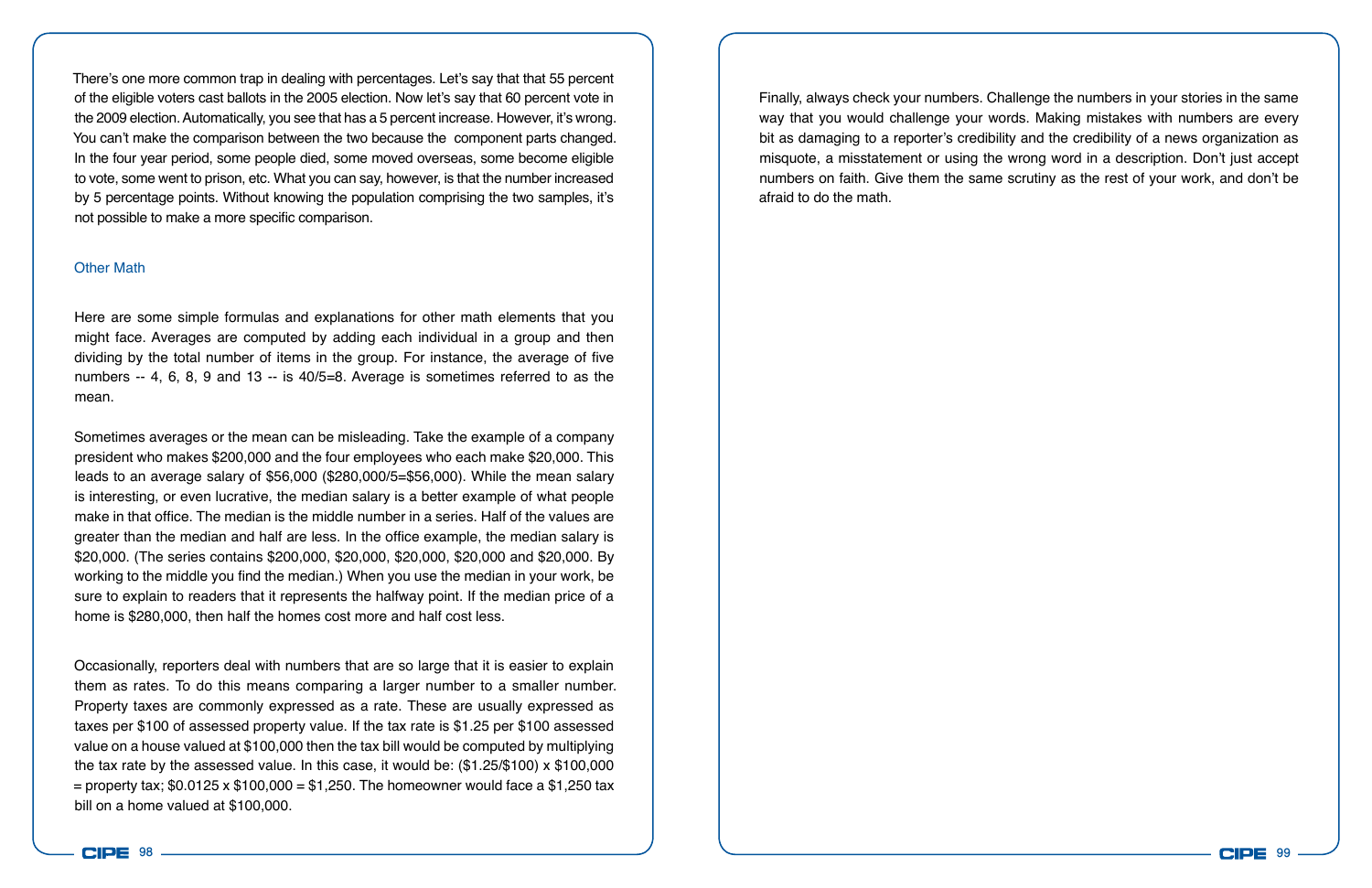There's one more common trap in dealing with percentages. Let's say that that 55 percent of the eligible voters cast ballots in the 2005 election. Now let's say that 60 percent vote in the 2009 election. Automatically, you see that has a 5 percent increase. However, it's wrong. You can't make the comparison between the two because the component parts changed. In the four year period, some people died, some moved overseas, some become eligible to vote, some went to prison, etc. What you can say, however, is that the number increased by 5 percentage points. Without knowing the population comprising the two samples, it's not possible to make a more specific comparison.

#### Other Math

Here are some simple formulas and explanations for other math elements that you might face. Averages are computed by adding each individual in a group and then dividing by the total number of items in the group. For instance, the average of five numbers -- 4, 6, 8, 9 and 13 -- is 40/5=8. Average is sometimes referred to as the mean.

Sometimes averages or the mean can be misleading. Take the example of a company president who makes \$200,000 and the four employees who each make \$20,000. This leads to an average salary of \$56,000 (\$280,000/5=\$56,000). While the mean salary is interesting, or even lucrative, the median salary is a better example of what people make in that office. The median is the middle number in a series. Half of the values are greater than the median and half are less. In the office example, the median salary is \$20,000. (The series contains \$200,000, \$20,000, \$20,000, \$20,000 and \$20,000. By working to the middle you find the median.) When you use the median in your work, be sure to explain to readers that it represents the halfway point. If the median price of a home is \$280,000, then half the homes cost more and half cost less.

Occasionally, reporters deal with numbers that are so large that it is easier to explain them as rates. To do this means comparing a larger number to a smaller number. Property taxes are commonly expressed as a rate. These are usually expressed as taxes per \$100 of assessed property value. If the tax rate is \$1.25 per \$100 assessed value on a house valued at \$100,000 then the tax bill would be computed by multiplying the tax rate by the assessed value. In this case, it would be: (\$1.25/\$100) x \$100,000 = property tax;  $$0.0125 \times $100,000 = $1,250$ . The homeowner would face a \$1,250 tax bill on a home valued at \$100,000.

Finally, always check your numbers. Challenge the numbers in your stories in the same way that you would challenge your words. Making mistakes with numbers are every bit as damaging to a reporter's credibility and the credibility of a news organization as misquote, a misstatement or using the wrong word in a description. Don't just accept numbers on faith. Give them the same scrutiny as the rest of your work, and don't be afraid to do the math.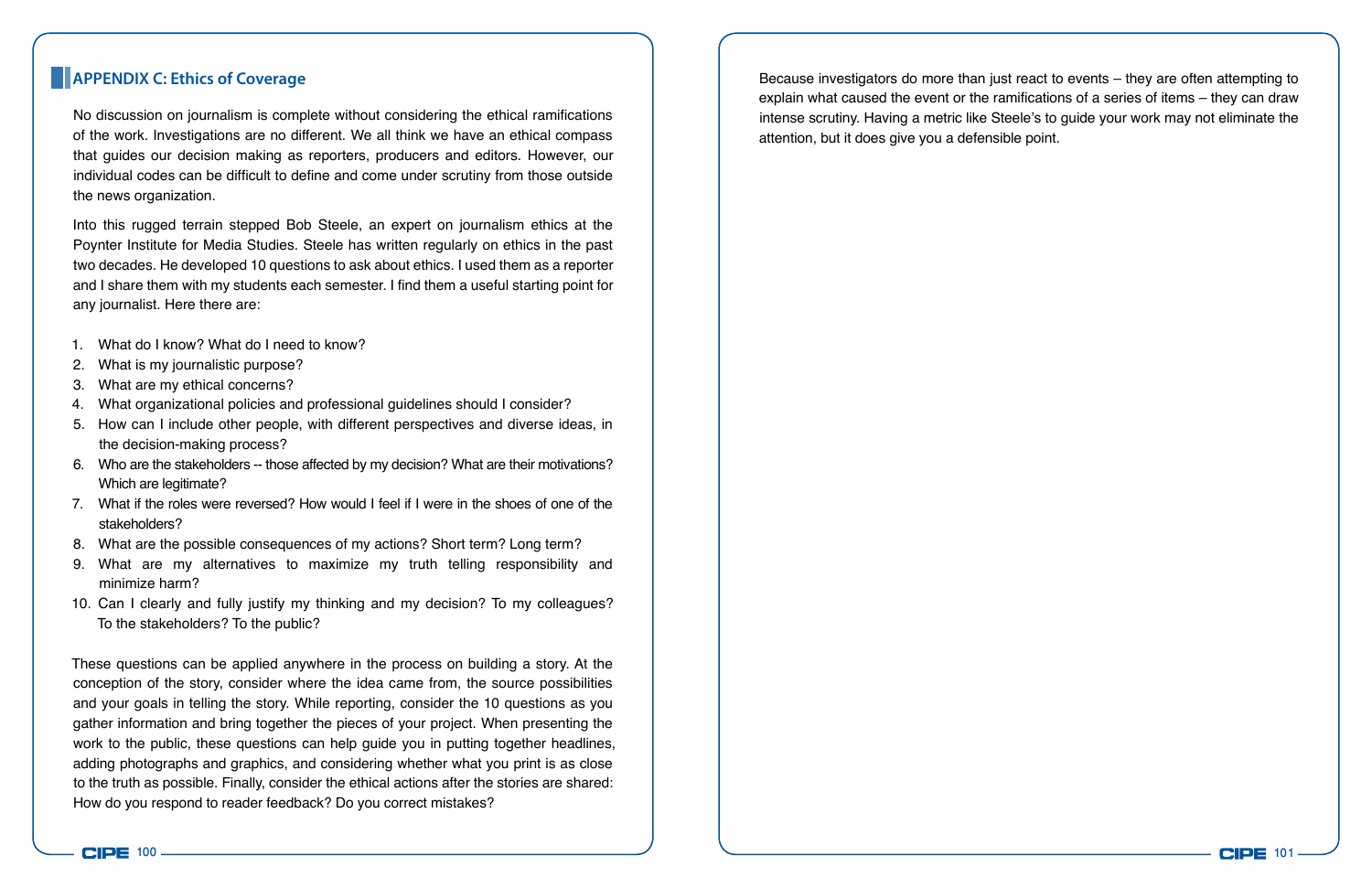No discussion on journalism is complete without considering the ethical ramifications of the work. Investigations are no different. We all think we have an ethical compass that guides our decision making as reporters, producers and editors. However, our individual codes can be difficult to define and come under scrutiny from those outside the news organization.

Into this rugged terrain stepped Bob Steele, an expert on journalism ethics at the Poynter Institute for Media Studies. Steele has written regularly on ethics in the past two decades. He developed 10 questions to ask about ethics. I used them as a reporter and I share them with my students each semester. I find them a useful starting point for any journalist. Here there are:

- 1. What do I know? What do I need to know?
- 2. What is my journalistic purpose?
- 3. What are my ethical concerns?
- 4. What organizational policies and professional guidelines should I consider?
- 5. How can I include other people, with different perspectives and diverse ideas, in the decision-making process?
- 6. Who are the stakeholders -- those affected by my decision? What are their motivations? Which are legitimate?
- 7. What if the roles were reversed? How would I feel if I were in the shoes of one of the stakeholders?
- 8. What are the possible consequences of my actions? Short term? Long term?
- 9. What are my alternatives to maximize my truth telling responsibility and minimize harm?
- 10. Can I clearly and fully justify my thinking and my decision? To my colleagues? To the stakeholders? To the public?

These questions can be applied anywhere in the process on building a story. At the conception of the story, consider where the idea came from, the source possibilities and your goals in telling the story. While reporting, consider the 10 questions as you gather information and bring together the pieces of your project. When presenting the work to the public, these questions can help guide you in putting together headlines, adding photographs and graphics, and considering whether what you print is as close to the truth as possible. Finally, consider the ethical actions after the stories are shared: How do you respond to reader feedback? Do you correct mistakes?

**APPENDIX C: Ethics of Coverage** Because investigators do more than just react to events – they are often attempting to explain what caused the event or the ramifications of a series of items – they can draw intense scrutiny. Having a metric like Steele's to guide your work may not eliminate the attention, but it does give you a defensible point.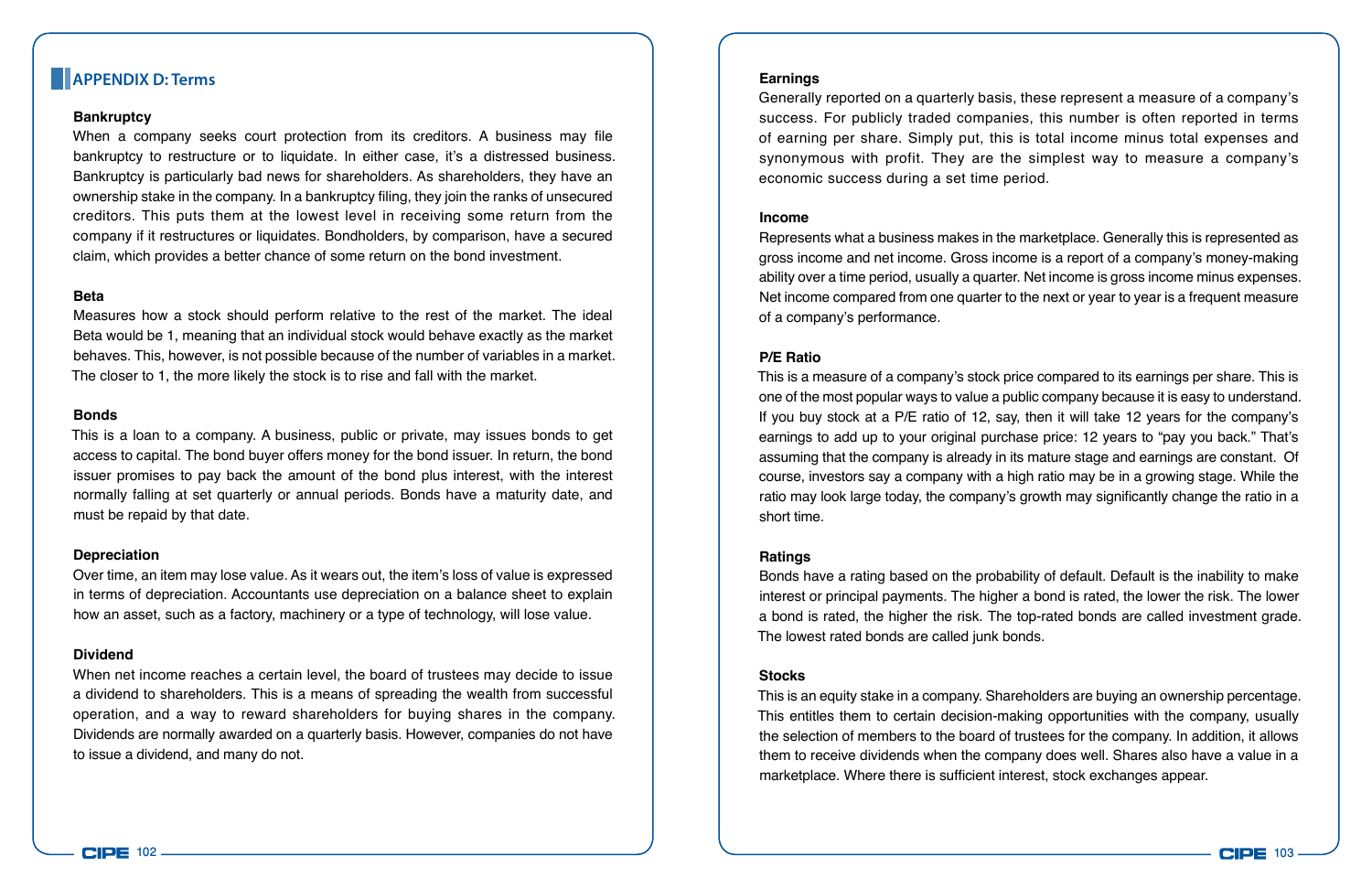#### **APPENDIX D: Terms**

#### **Bankruptcy**

When a company seeks court protection from its creditors. A business may file bankruptcy to restructure or to liquidate. In either case, it's a distressed business. Bankruptcy is particularly bad news for shareholders. As shareholders, they have an ownership stake in the company. In a bankruptcy filing, they join the ranks of unsecured creditors. This puts them at the lowest level in receiving some return from the company if it restructures or liquidates. Bondholders, by comparison, have a secured claim, which provides a better chance of some return on the bond investment.

#### **Beta**

Measures how a stock should perform relative to the rest of the market. The ideal Beta would be 1, meaning that an individual stock would behave exactly as the market behaves. This, however, is not possible because of the number of variables in a market. The closer to 1, the more likely the stock is to rise and fall with the market.

#### **Bonds**

This is a loan to a company. A business, public or private, may issues bonds to get access to capital. The bond buyer offers money for the bond issuer. In return, the bond issuer promises to pay back the amount of the bond plus interest, with the interest normally falling at set quarterly or annual periods. Bonds have a maturity date, and must be repaid by that date.

#### **Depreciation**

Over time, an item may lose value. As it wears out, the item's loss of value is expressed in terms of depreciation. Accountants use depreciation on a balance sheet to explain how an asset, such as a factory, machinery or a type of technology, will lose value.

#### **Dividend**

When net income reaches a certain level, the board of trustees may decide to issue a dividend to shareholders. This is a means of spreading the wealth from successful operation, and a way to reward shareholders for buying shares in the company. Dividends are normally awarded on a quarterly basis. However, companies do not have to issue a dividend, and many do not.

#### **Earnings**

Generally reported on a quarterly basis, these represent a measure of a company's success. For publicly traded companies, this number is often reported in terms of earning per share. Simply put, this is total income minus total expenses and synonymous with profit. They are the simplest way to measure a company's economic success during a set time period.

#### **Income**

Represents what a business makes in the marketplace. Generally this is represented as gross income and net income. Gross income is a report of a company's money-making ability over a time period, usually a quarter. Net income is gross income minus expenses. Net income compared from one quarter to the next or year to year is a frequent measure of a company's performance.

#### **P/E Ratio**

This is a measure of a company's stock price compared to its earnings per share. This is one of the most popular ways to value a public company because it is easy to understand. If you buy stock at a P/E ratio of 12, say, then it will take 12 years for the company's earnings to add up to your original purchase price: 12 years to "pay you back." That's assuming that the company is already in its mature stage and earnings are constant. Of course, investors say a company with a high ratio may be in a growing stage. While the ratio may look large today, the company's growth may significantly change the ratio in a short time.

#### **Ratings**

Bonds have a rating based on the probability of default. Default is the inability to make interest or principal payments. The higher a bond is rated, the lower the risk. The lower a bond is rated, the higher the risk. The top-rated bonds are called investment grade. The lowest rated bonds are called junk bonds.

#### **Stocks**

This is an equity stake in a company. Shareholders are buying an ownership percentage. This entitles them to certain decision-making opportunities with the company, usually the selection of members to the board of trustees for the company. In addition, it allows them to receive dividends when the company does well. Shares also have a value in a marketplace. Where there is sufficient interest, stock exchanges appear.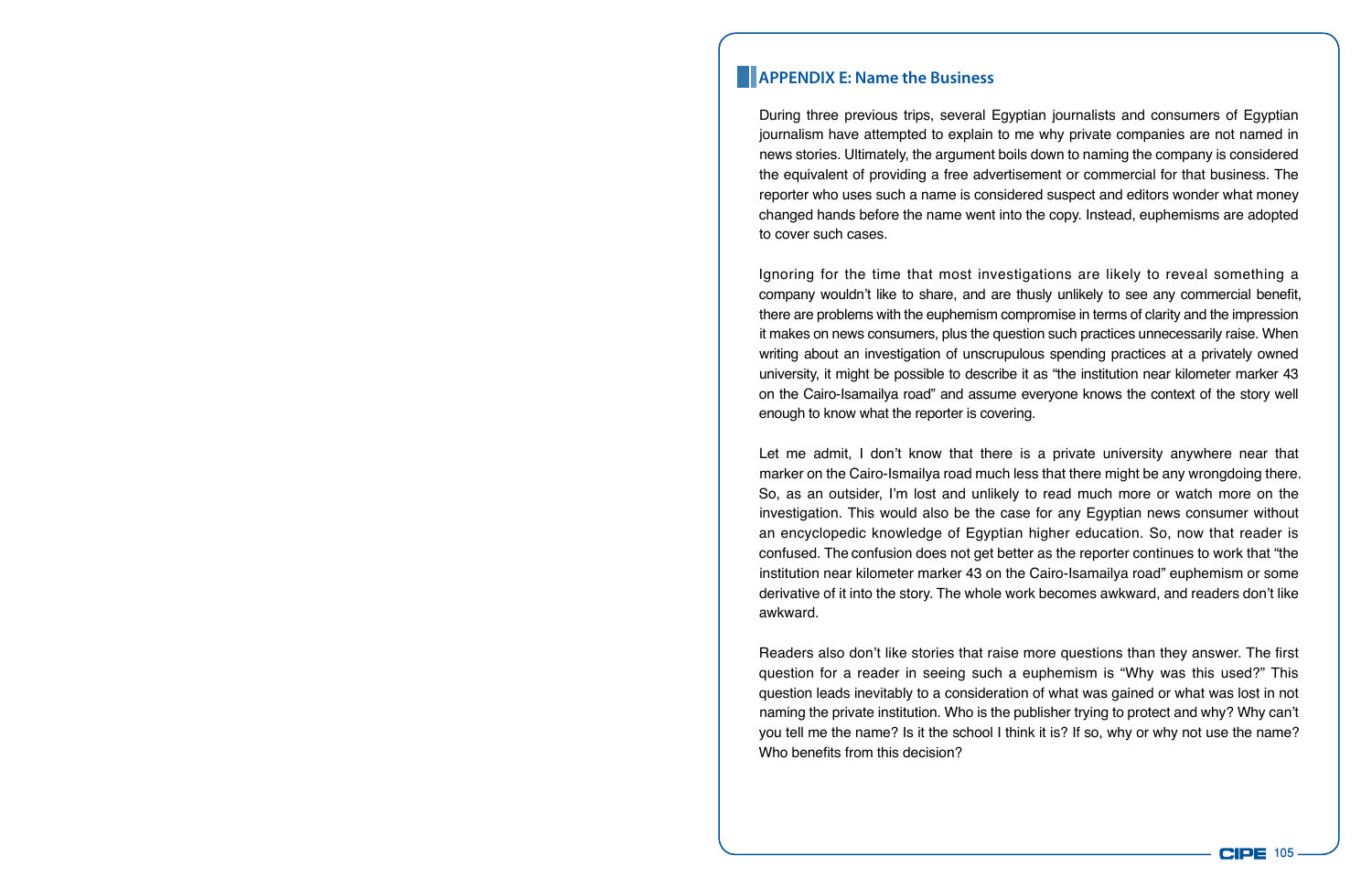#### **APPENDIX E: Name the Business**

During three previous trips, several Egyptian journalists and consumers of Egyptian journalism have attempted to explain to me why private companies are not named in news stories. Ultimately, the argument boils down to naming the company is considered the equivalent of providing a free advertisement or commercial for that business. The reporter who uses such a name is considered suspect and editors wonder what money changed hands before the name went into the copy. Instead, euphemisms are adopted to cover such cases.

Ignoring for the time that most investigations are likely to reveal something a company wouldn't like to share, and are thusly unlikely to see any commercial benefit, there are problems with the euphemism compromise in terms of clarity and the impression it makes on news consumers, plus the question such practices unnecessarily raise. When writing about an investigation of unscrupulous spending practices at a privately owned university, it might be possible to describe it as "the institution near kilometer marker 43 on the Cairo-Isamailya road" and assume everyone knows the context of the story well enough to know what the reporter is covering.

Let me admit, I don't know that there is a private university anywhere near that marker on the Cairo-Ismailya road much less that there might be any wrongdoing there. So, as an outsider, I'm lost and unlikely to read much more or watch more on the investigation. This would also be the case for any Egyptian news consumer without an encyclopedic knowledge of Egyptian higher education. So, now that reader is confused. The confusion does not get better as the reporter continues to work that "the institution near kilometer marker 43 on the Cairo-Isamailya road" euphemism or some derivative of it into the story. The whole work becomes awkward, and readers don't like awkward.

Readers also don't like stories that raise more questions than they answer. The first question for a reader in seeing such a euphemism is "Why was this used?" This question leads inevitably to a consideration of what was gained or what was lost in not naming the private institution. Who is the publisher trying to protect and why? Why can't you tell me the name? Is it the school I think it is? If so, why or why not use the name? Who benefits from this decision?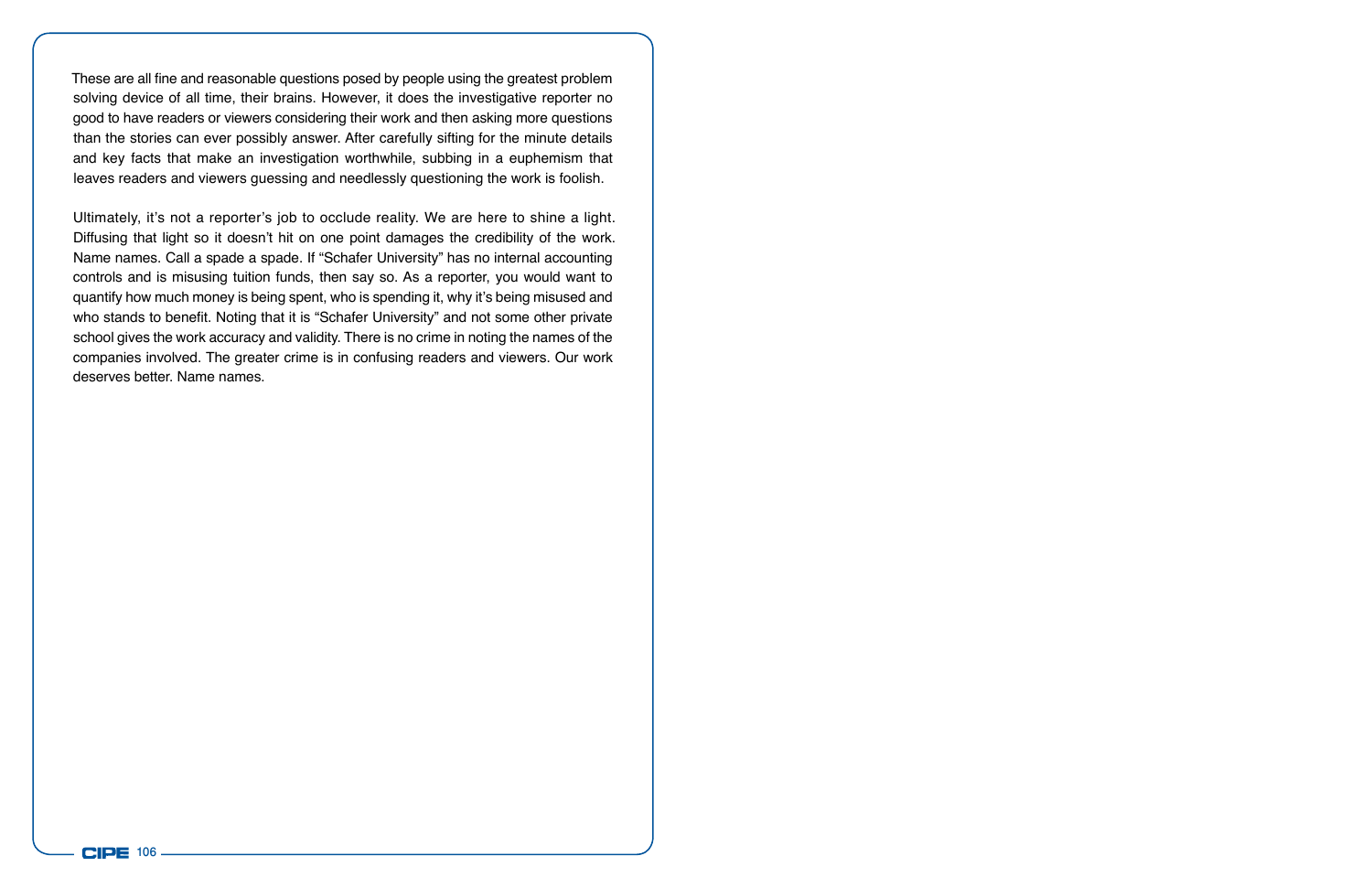These are all fine and reasonable questions posed by people using the greatest problem solving device of all time, their brains. However, it does the investigative reporter no good to have readers or viewers considering their work and then asking more questions than the stories can ever possibly answer. After carefully sifting for the minute details and key facts that make an investigation worthwhile, subbing in a euphemism that leaves readers and viewers guessing and needlessly questioning the work is foolish.

Ultimately, it's not a reporter's job to occlude reality. We are here to shine a light. Diffusing that light so it doesn't hit on one point damages the credibility of the work. Name names. Call a spade a spade. If "Schafer University" has no internal accounting controls and is misusing tuition funds, then say so. As a reporter, you would want to quantify how much money is being spent, who is spending it, why it's being misused and who stands to benefit. Noting that it is "Schafer University" and not some other private school gives the work accuracy and validity. There is no crime in noting the names of the companies involved. The greater crime is in confusing readers and viewers. Our work deserves better. Name names.